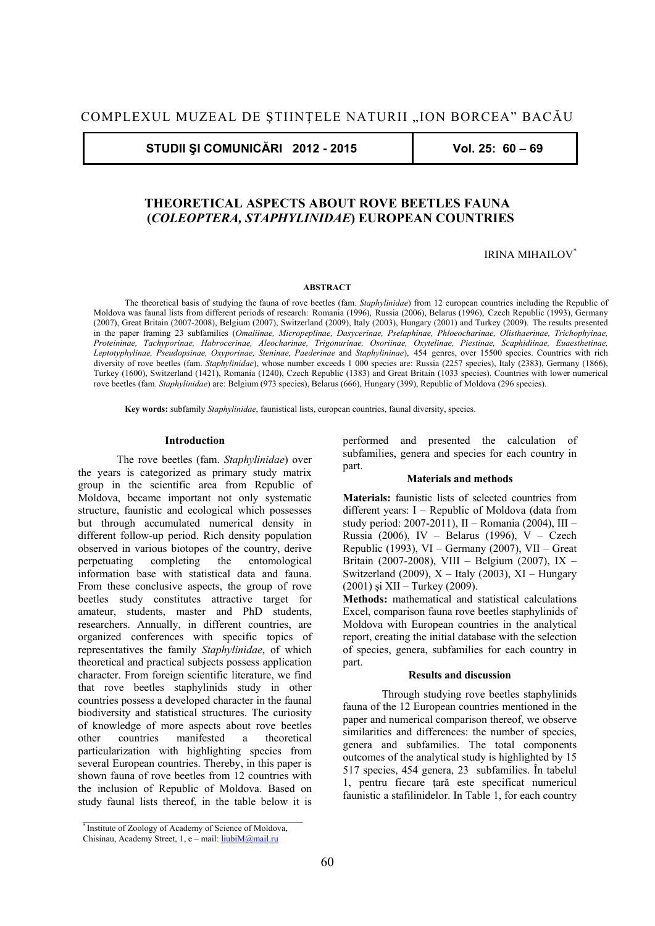**STUDII ŞI COMUNICĂRI 2012 - 2015 Vol. 25: 60 – 69** 

# **THEORETICAL ASPECTS ABOUT ROVE BEETLES FAUNA (***COLEOPTERA, STAPHYLINIDAE***) EUROPEAN COUNTRIES**

# IRINA MIHAILOV\*

#### **ABSTRACT**

The theoretical basis of studying the fauna of rove beetles (fam. *Staphylinidae*) from 12 european countries including the Republic of Moldova was faunal lists from different periods of research: Romania (1996), Russia (2006), Belarus (1996), Czech Republic (1993), Germany (2007), Great Britain (2007-2008), Belgium (2007), Switzerland (2009), Italy (2003), Hungary (2001) and Turkey (2009). The results presented in the paper framing 23 subfamilies (*Omaliinae, Micropeplinae, Dasycerinae, Pselaphinae, Phloeocharinae, Olisthaerinae, Trichophyinae, Proteininae, Tachyporinae, Habrocerinae, Aleocharinae, Trigonurinae, Osoriinae, Oxytelinae, Piestinae, Scaphidiinae, Euaesthetinae, Leptotyphylinae, Pseudopsinae, Oxyporinae, Steninae, Paederinae* and *Staphylininae*), 454 genres, over 15500 species. Countries with rich diversity of rove beetles (fam. *Staphylinidae*), whose number exceeds 1 000 species are: Russia (2257 species), Italy (2383), Germany (1866), Turkey (1600), Switzerland (1421), Romania (1240), Czech Republic (1383) and Great Britain (1033 species). Countries with lower numerical rove beetles (fam. *Staphylinidae*) are: Belgium (973 species), Belarus (666), Hungary (399), Republic of Moldova (296 species).

**Key words:** subfamily *Staphylinidae*, faunistical lists, european countries, faunal diversity, species.

## **Introduction**

 The rove beetles (fam. *Staphylinidae*) over the years is categorized as primary study matrix group in the scientific area from Republic of Moldova, became important not only systematic structure, faunistic and ecological which possesses but through accumulated numerical density in different follow-up period. Rich density population observed in various biotopes of the country, derive perpetuating completing the entomological information base with statistical data and fauna. From these conclusive aspects, the group of rove beetles study constitutes attractive target for amateur, students, master and PhD students, researchers. Annually, in different countries, are organized conferences with specific topics of representatives the family *Staphylinidae*, of which theoretical and practical subjects possess application character. From foreign scientific literature, we find that rove beetles staphylinids study in other countries possess a developed character in the faunal biodiversity and statistical structures. The curiosity of knowledge of more aspects about rove beetles other countries manifested a theoretical particularization with highlighting species from several European countries. Thereby, in this paper is shown fauna of rove beetles from 12 countries with the inclusion of Republic of Moldova. Based on study faunal lists thereof, in the table below it is

performed and presented the calculation of subfamilies, genera and species for each country in part.

## **Materials and methods**

**Materials:** faunistic lists of selected countries from different years: I – Republic of Moldova (data from study period: 2007-2011), II – Romania (2004), III – Russia (2006), IV – Belarus (1996), V – Czech Republic (1993), VI – Germany (2007), VII – Great Britain (2007-2008), VIII – Belgium (2007), IX – Switzerland (2009),  $X -$ Italy (2003),  $XI -$ Hungary (2001) şi XII – Turkey (2009).

**Methods:** mathematical and statistical calculations Excel, comparison fauna rove beetles staphylinids of Moldova with European countries in the analytical report, creating the initial database with the selection of species, genera, subfamilies for each country in part.

#### **Results and discussion**

 Through studying rove beetles staphylinids fauna of the 12 European countries mentioned in the paper and numerical comparison thereof, we observe similarities and differences: the number of species, genera and subfamilies. The total components outcomes of the analytical study is highlighted by 15 517 species, 454 genera, 23 subfamilies. În tabelul 1, pentru fiecare ţară este specificat numericul faunistic a stafilinidelor. In Table 1, for each country

<sup>\*</sup> Institute of Zoology of Academy of Science of Moldova,

Chisinau, Academy Street, 1, e - mail: liubiM@mail.ru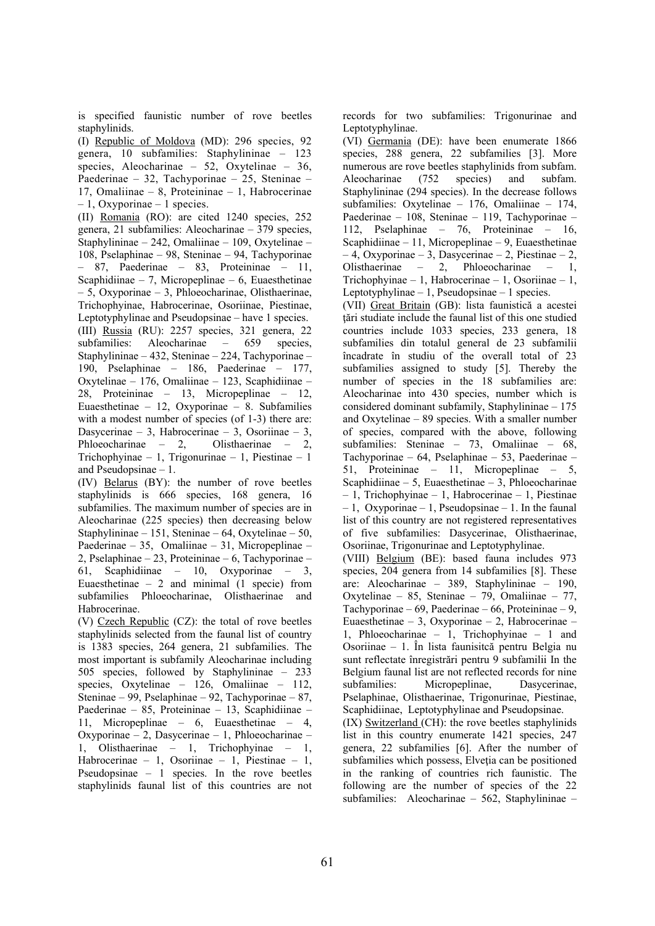is specified faunistic number of rove beetles staphylinids.

(I) Republic of Moldova (MD): 296 species, 92 genera, 10 subfamilies: Staphylininae – 123 species, Aleocharinae – 52, Oxytelinae – 36, Paederinae – 32, Tachyporinae – 25, Steninae – 17, Omaliinae – 8, Proteininae – 1, Habrocerinae  $-1$ , Oxyporinae – 1 species.

(II) Romania (RO): are cited 1240 species, 252 genera, 21 subfamilies: Aleocharinae – 379 species, Staphylininae – 242, Omaliinae – 109, Oxytelinae – 108, Pselaphinae – 98, Steninae – 94, Tachyporinae – 87, Paederinae – 83, Proteininae – 11, Scaphidiinae – 7, Micropeplinae – 6, Euaesthetinae – 5, Oxyporinae – 3, Phloeocharinae, Olisthaerinae, Trichophyinae, Habrocerinae, Osoriinae, Piestinae, Leptotyphylinae and Pseudopsinae – have 1 species. (III) Russia (RU): 2257 species, 321 genera, 22 subfamilies: Aleocharinae – 659 species, Staphylininae – 432, Steninae – 224, Tachyporinae – 190, Pselaphinae – 186, Paederinae – 177, Oxytelinae – 176, Omaliinae – 123, Scaphidiinae – 28, Proteininae – 13, Micropeplinae – 12, Euaesthetinae – 12, Oxyporinae – 8. Subfamilies with a modest number of species (of 1-3) there are: Dasycerinae – 3, Habrocerinae – 3, Osoriinae – 3, Phloeocharinae – 2, Olisthaerinae – 2, Trichophyinae – 1, Trigonurinae – 1, Piestinae – 1 and Pseudopsinae – 1.

(IV) Belarus (BY): the number of rove beetles staphylinids is 666 species, 168 genera, 16 subfamilies. The maximum number of species are in Aleocharinae (225 species) then decreasing below Staphylininae – 151, Steninae – 64, Oxytelinae – 50, Paederinae – 35, Omaliinae – 31, Micropeplinae – 2, Pselaphinae – 23, Proteininae – 6, Tachyporinae – 61, Scaphidiinae – 10, Oxyporinae – 3, Euaesthetinae – 2 and minimal  $(1 \text{ specie})$  from subfamilies Phloeocharinae, Olisthaerinae and Habrocerinae.

(V) Czech Republic (CZ): the total of rove beetles staphylinids selected from the faunal list of country is 1383 species, 264 genera, 21 subfamilies. The most important is subfamily Aleocharinae including 505 species, followed by Staphylininae – 233 species, Oxytelinae – 126, Omaliinae – 112, Steninae – 99, Pselaphinae – 92, Tachyporinae – 87, Paederinae – 85, Proteininae – 13, Scaphidiinae – 11, Micropeplinae – 6, Euaesthetinae – 4, Oxyporinae – 2, Dasycerinae – 1, Phloeocharinae – 1, Olisthaerinae – 1, Trichophyinae – 1, Habrocerinae – 1, Osoriinae – 1, Piestinae – 1, Pseudopsinae – 1 species. In the rove beetles staphylinids faunal list of this countries are not records for two subfamilies: Trigonurinae and Leptotyphylinae.

(VI) Germania (DE): have been enumerate 1866 species, 288 genera, 22 subfamilies [3]. More numerous are rove beetles staphylinids from subfam. Aleocharinae (752 species) and subfam. Staphylininae (294 species). In the decrease follows subfamilies: Oxytelinae – 176, Omaliinae – 174, Paederinae – 108, Steninae – 119, Tachyporinae – 112, Pselaphinae – 76, Proteininae – 16, Scaphidiinae – 11, Micropeplinae – 9, Euaesthetinae  $-4$ , Oxyporinae – 3, Dasycerinae – 2, Piestinae – 2, Olisthaerinae – 2, Phloeocharinae – 1, Trichophyinae – 1, Habrocerinae – 1, Osoriinae – 1, Leptotyphylinae – 1, Pseudopsinae – 1 species.

(VII) Great Britain (GB): lista faunistică a acestei ţări studiate include the faunal list of this one studied countries include 1033 species, 233 genera, 18 subfamilies din totalul general de 23 subfamilii încadrate în studiu of the overall total of 23 subfamilies assigned to study [5]. Thereby the number of species in the 18 subfamilies are: Aleocharinae into 430 species, number which is considered dominant subfamily, Staphylininae – 175 and Oxytelinae – 89 species. With a smaller number of species, compared with the above, following subfamilies: Steninae – 73, Omaliinae – 68, Tachyporinae – 64, Pselaphinae – 53, Paederinae – 51, Proteininae – 11, Micropeplinae – 5, Scaphidiinae – 5, Euaesthetinae – 3, Phloeocharinae – 1, Trichophyinae – 1, Habrocerinae – 1, Piestinae – 1, Oxyporinae – 1, Pseudopsinae – 1. In the faunal list of this country are not registered representatives of five subfamilies: Dasycerinae, Olisthaerinae, Osoriinae, Trigonurinae and Leptotyphylinae.

(VIII) Belgium (BE): based fauna includes 973 species, 204 genera from 14 subfamilies [8]. These are: Aleocharinae – 389, Staphylininae – 190, Oxytelinae – 85, Steninae – 79, Omaliinae – 77, Tachyporinae – 69, Paederinae – 66, Proteininae – 9, Euaesthetinae – 3, Oxyporinae – 2, Habrocerinae – 1, Phloeocharinae – 1, Trichophyinae – 1 and Osoriinae – 1. În lista faunisitcă pentru Belgia nu sunt reflectate înregistrări pentru 9 subfamilii In the Belgium faunal list are not reflected records for nine subfamilies: Micropeplinae, Dasycerinae, Pselaphinae, Olisthaerinae, Trigonurinae, Piestinae, Scaphidiinae, Leptotyphylinae and Pseudopsinae. (IX) Switzerland (CH): the rove beetles staphylinids

list in this country enumerate 1421 species, 247 genera, 22 subfamilies [6]. After the number of subfamilies which possess, Elveţia can be positioned in the ranking of countries rich faunistic. The following are the number of species of the 22 subfamilies: Aleocharinae – 562, Staphylininae –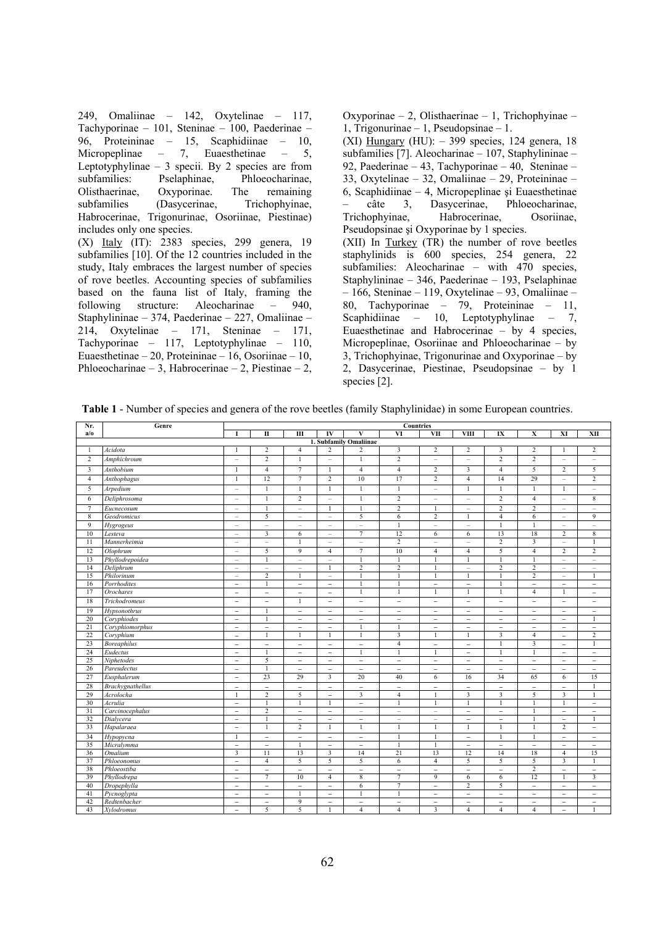249, Omaliinae – 142, Oxytelinae – 117, Tachyporinae – 101, Steninae – 100, Paederinae – 96, Proteininae – 15, Scaphidiinae – 10, Micropeplinae – 7, Euaesthetinae – 5, Leptotyphylinae – 3 specii. By 2 species are from subfamilies: Pselaphinae, Phloeocharinae, Olisthaerinae, Oxyporinae. The remaining subfamilies (Dasycerinae, Trichophyinae, Habrocerinae, Trigonurinae, Osoriinae, Piestinae) includes only one species. (X) Italy (IT): 2383 species, 299 genera, 19 subfamilies [10]. Of the 12 countries included in the study, Italy embraces the largest number of species of rove beetles. Accounting species of subfamilies based on the fauna list of Italy, framing the following structure: Aleocharinae – 940, Staphylininae – 374, Paederinae – 227, Omaliinae – 214, Oxytelinae – 171, Steninae – 171, Tachyporinae – 117, Leptotyphylinae – 110, Euaesthetinae – 20, Proteininae – 16, Osoriinae – 10, Phloeocharinae – 3, Habrocerinae – 2, Piestinae – 2,

Oxyporinae – 2, Olisthaerinae – 1, Trichophyinae – 1, Trigonurinae – 1, Pseudopsinae – 1. (XI) Hungary (HU):  $-399$  species, 124 genera, 18 subfamilies [7]. Aleocharinae – 107, Staphylininae – 92, Paederinae – 43, Tachyporinae – 40, Steninae – 33, Oxytelinae – 32, Omaliinae – 29, Proteininae – 6, Scaphidiinae – 4, Micropeplinae şi Euaesthetinae – câte 3, Dasycerinae, Phloeocharinae, Trichophyinae, Habrocerinae, Osoriinae, Pseudopsinae şi Oxyporinae by 1 species. (XII) In Turkey (TR) the number of rove beetles staphylinids is 600 species, 254 genera, 22 subfamilies: Aleocharinae – with 470 species, Staphylininae – 346, Paederinae – 193, Pselaphinae – 166, Steninae – 119, Oxytelinae – 93, Omaliinae – 80, Tachyporinae – 79, Proteininae – 11, Scaphidiinae – 10, Leptotyphylinae – 7, Euaesthetinae and Habrocerinae – by 4 species, Micropeplinae, Osoriinae and Phloeocharinae – by 3, Trichophyinae, Trigonurinae and Oxyporinae – by 2, Dasycerinae, Piestinae, Pseudopsinae – by 1 species [2].

**Table 1** - Number of species and genera of the rove beetles (family Staphylinidae) in some European countries.

| Nr.                     | Genre              | <b>Countries</b>         |                          |                          |                          |                          |                          |                          |                          |                          |                          |                          |                          |  |
|-------------------------|--------------------|--------------------------|--------------------------|--------------------------|--------------------------|--------------------------|--------------------------|--------------------------|--------------------------|--------------------------|--------------------------|--------------------------|--------------------------|--|
| a/o                     |                    | 1                        | П                        | $\overline{III}$         | $\overline{\bf{IV}}$     | V                        | VI                       | <b>VII</b>               | <b>VIII</b>              | $\overline{\mathbf{I}}$  | X                        | XI                       | XII                      |  |
|                         |                    |                          |                          |                          |                          | 1. Subfamily Omaliinae   |                          |                          |                          |                          |                          |                          |                          |  |
| 1                       | Acidota            | $\mathbf{1}$             | $\overline{c}$           | $\overline{4}$           | $\overline{2}$           | $\overline{c}$           | $\overline{\mathbf{3}}$  | $\overline{2}$           | $\overline{2}$           | 3                        | $\overline{c}$           | 1                        | $\overline{c}$           |  |
| $\overline{c}$          | Amphichroum        | $\qquad \qquad -$        | $\overline{c}$           | $\mathbf{1}$             | Ē.                       | $\mathbf{1}$             | $\overline{c}$           | $\qquad \qquad -$        | $\overline{\phantom{0}}$ | $\overline{c}$           | $\overline{c}$           | $\qquad \qquad -$        | $\qquad \qquad -$        |  |
| $\overline{\mathbf{3}}$ | Anthobium          | 1                        | $\overline{4}$           | $\overline{7}$           | 1                        | $\overline{4}$           | $\overline{4}$           | $\overline{c}$           | 3                        | $\overline{4}$           | 5                        | $\overline{c}$           | 5                        |  |
| $\overline{4}$          | Anthophagus        | 1                        | 12                       | $\overline{7}$           | $\overline{2}$           | 10                       | 17                       | $\overline{2}$           | $\overline{4}$           | 14                       | 29                       | $\qquad \qquad -$        | $\overline{2}$           |  |
| 5                       | Arpedium           | i.                       | $\overline{1}$           | $\mathbf{1}$             | $\mathbf{1}$             | $\mathbf{1}$             | $\mathbf{1}$             | $\overline{a}$           | $\mathbf{1}$             | $\mathbf{1}$             | $\mathbf{1}$             | $\mathbf{1}$             | ÷                        |  |
| 6                       | Deliphrosoma       | L                        | $\mathbf{1}$             | $\overline{2}$           | Ľ.                       | $\mathbf{1}$             | $\overline{2}$           | ÷                        | ÷,                       | $\overline{2}$           | $\overline{4}$           | $\overline{a}$           | $\,$ 8 $\,$              |  |
| $\tau$                  | Eucnecosum         | ÷                        | $\mathbf{1}$             | $\overline{\phantom{a}}$ | $\mathbf{1}$             | 1                        | $\overline{2}$           | 1                        | $\overline{\phantom{a}}$ | $\overline{2}$           | $\overline{2}$           | $\overline{\phantom{a}}$ | $\overline{\phantom{a}}$ |  |
| $\overline{8}$          | Geodromicus        | $\qquad \qquad -$        | 5                        | $\overline{\phantom{m}}$ | $\overline{\phantom{0}}$ | 5                        | 6                        | $\sqrt{2}$               | 1                        | $\overline{4}$           | 6                        | $\qquad \qquad -$        | 9                        |  |
| $\overline{9}$          | Hygrogeus          | ÷                        |                          | L.                       | ÷                        | $\overline{a}$           | $\mathbf{1}$             | $\overline{a}$           | $\overline{a}$           | $\overline{1}$           | $\mathbf{1}$             | ÷                        | ÷                        |  |
| 10                      | Lesteva            | $\overline{\phantom{m}}$ | $\overline{\mathbf{3}}$  | 6                        | $\overline{\phantom{a}}$ | 7                        | 12                       | 6                        | 6                        | 13                       | 18                       | $\overline{2}$           | 8                        |  |
| 11                      | Mannerheimia       | ÷                        |                          | 1                        | $\overline{a}$           | $\overline{\phantom{m}}$ | 2                        | $\equiv$                 | $\overline{\phantom{0}}$ | $\overline{2}$           | 3                        | ÷                        | $\mathbf{1}$             |  |
| 12                      | Olophrum           | $\qquad \qquad -$        | 5                        | $\overline{9}$           | $\overline{4}$           | $\tau$                   | 10                       | $\overline{4}$           | $\overline{4}$           | 5                        | $\overline{4}$           | $\overline{2}$           | $\overline{c}$           |  |
| 13                      | Phyllodrepoidea    | $\qquad \qquad -$        |                          | $\overline{\phantom{m}}$ | $\overline{\phantom{m}}$ |                          |                          |                          |                          |                          |                          | $\qquad \qquad -$        | $\qquad \qquad -$        |  |
| 14                      | Deliphrum          | -                        |                          | -                        | $\mathbf{1}$             | $\overline{2}$           | $\overline{2}$           | $\mathbf{1}$             | -                        | $\overline{2}$           | $\overline{2}$           | $\overline{\phantom{a}}$ | -                        |  |
| 15                      | Philorinum         | $\overline{\phantom{a}}$ | $\overline{2}$           | $\mathbf{1}$             | $\overline{\phantom{a}}$ | $\mathbf{1}$             | $\mathbf{1}$             | $\mathbf{1}$             | $\mathbf{1}$             | $\overline{1}$           | $\overline{c}$           | $\overline{\phantom{a}}$ | $\mathbf{1}$             |  |
| 16                      | Porrhodites        | $\overline{\phantom{0}}$ | $\overline{1}$           | $\overline{\phantom{a}}$ | $\overline{\phantom{0}}$ |                          | $\mathbf{1}$             | $\overline{\phantom{a}}$ | $\overline{\phantom{a}}$ | $\mathbf{1}$             | $\overline{\phantom{a}}$ | $\overline{\phantom{0}}$ | $\qquad \qquad -$        |  |
| 17                      | <b>Orochares</b>   | $\overline{\phantom{0}}$ | $\overline{\phantom{0}}$ | $\overline{\phantom{a}}$ | $\overline{a}$           | $\mathbf{1}$             | $\mathbf{1}$             | $\mathbf{1}$             | $\mathbf{1}$             | $\mathbf{1}$             | $\overline{4}$           | 1                        | $\overline{\phantom{0}}$ |  |
| 18                      | Trichodromeus      | $\overline{\phantom{0}}$ | $\qquad \qquad -$        | $\mathbf{1}$             | $\overline{\phantom{0}}$ | $\overline{\phantom{a}}$ | $\overline{\phantom{a}}$ | $\qquad \qquad -$        | $\overline{\phantom{a}}$ | $\overline{\phantom{a}}$ | $\qquad \qquad -$        | $\qquad \qquad -$        | $\qquad \qquad -$        |  |
| 19                      | Hypsonothrus       | $\overline{\phantom{0}}$ | -1                       | $\overline{\phantom{a}}$ | $\overline{a}$           |                          | $\overline{\phantom{0}}$ | $\overline{\phantom{0}}$ |                          | $\overline{\phantom{0}}$ | $\overline{a}$           | $\overline{a}$           | $\overline{a}$           |  |
| 20                      | Coryphiodes        | $\overline{\phantom{0}}$ | $\overline{1}$           | $\overline{\phantom{0}}$ | $\overline{a}$           | $\overline{\phantom{0}}$ | $\overline{\phantom{a}}$ | $\overline{\phantom{0}}$ | $\overline{\phantom{0}}$ | $\overline{\phantom{0}}$ | $\qquad \qquad -$        | $\overline{\phantom{a}}$ | $\overline{1}$           |  |
| 21                      | Coryphiomorphus    | $\overline{a}$           | $\overline{a}$           | $\overline{\phantom{a}}$ | $\overline{a}$           | $\mathbf{1}$             | $\mathbf{1}$             | $\overline{\phantom{0}}$ | $\overline{\phantom{a}}$ | $\overline{\phantom{0}}$ | $\overline{a}$           | $\overline{\phantom{0}}$ | $\overline{a}$           |  |
| 22                      | Coryphium          | $\overline{a}$           | $\mathbf{1}$             | $\mathbf{1}$             | $\mathbf{1}$             | $\mathbf{1}$             | $\overline{3}$           | $\mathbf{1}$             | $\mathbf{1}$             | $\overline{3}$           | $\overline{4}$           | $\overline{\phantom{0}}$ | $\sqrt{2}$               |  |
| 23                      | <b>Boreaphilus</b> | $\overline{\phantom{0}}$ | $\overline{\phantom{0}}$ | $\overline{\phantom{a}}$ | $\qquad \qquad -$        | $\overline{\phantom{a}}$ | $\overline{4}$           | $\qquad \qquad -$        | $\overline{\phantom{a}}$ | $\mathbf{1}$             | $\overline{\mathbf{3}}$  | $\qquad \qquad -$        | $\overline{1}$           |  |
| 24                      | Eudectus           | $\overline{\phantom{0}}$ | $\mathbf{1}$             | $\overline{\phantom{m}}$ | $\qquad \qquad -$        | $\overline{1}$           | $\mathbf{1}$             | $\mathbf{1}$             | $\overline{\phantom{0}}$ | $\mathbf{1}$             | $\mathbf{1}$             | $\qquad \qquad -$        | $\overline{\phantom{a}}$ |  |
| 25                      | Niphetodes         | $\qquad \qquad -$        | 5                        | $\overline{\phantom{a}}$ | $\overline{\phantom{0}}$ | $\overline{\phantom{a}}$ | $\overline{\phantom{a}}$ | $\overline{\phantom{a}}$ | $\overline{\phantom{a}}$ | $\overline{\phantom{a}}$ | $\overline{\phantom{a}}$ | $\overline{\phantom{a}}$ | $\overline{\phantom{0}}$ |  |
| 26                      | Pareudectus        | $\overline{a}$           | $\overline{1}$           | $\overline{\phantom{a}}$ | $\overline{a}$           | $\overline{\phantom{a}}$ | $\overline{\phantom{a}}$ | $\overline{a}$           | $\overline{\phantom{0}}$ | $\overline{\phantom{a}}$ | $\overline{a}$           | $\overline{a}$           | $\overline{a}$           |  |
| 27                      | Eusphalerum        | $\overline{\phantom{0}}$ | 23                       | 29                       | $\overline{\mathbf{3}}$  | 20                       | 40                       | 6                        | 16                       | 34                       | 65                       | 6                        | 15                       |  |
| 28                      | Brachygnathellus   | $\qquad \qquad -$        | $\overline{\phantom{a}}$ | $\overline{\phantom{a}}$ | $\overline{\phantom{0}}$ | $\overline{\phantom{a}}$ | $\overline{\phantom{a}}$ | $\overline{\phantom{a}}$ | $\overline{\phantom{a}}$ | $\overline{\phantom{a}}$ | $\overline{\phantom{a}}$ | $\overline{\phantom{0}}$ | $\mathbf{1}$             |  |
| 29                      | Acrolocha          | $\mathbf{1}$             | 2                        | 5                        | $\overline{\phantom{0}}$ | $\overline{3}$           | $\overline{4}$           | $\mathbf{1}$             | $\overline{3}$           | $\overline{3}$           | 5                        | 3                        | $\overline{1}$           |  |
| 30                      | Acrulia            | $\overline{a}$           | $\overline{1}$           | 1                        | 1                        | $\overline{\phantom{a}}$ | $\mathbf{1}$             | $\mathbf{1}$             | $\mathbf{1}$             | $\mathbf{1}$             | $\mathbf{1}$             | $\mathbf{1}$             | $\overline{\phantom{0}}$ |  |
| $\overline{31}$         | Carcinocephalus    | $\overline{a}$           | $\overline{c}$           | $\overline{\phantom{a}}$ | $\overline{a}$           | $\overline{\phantom{a}}$ | $\overline{a}$           | ÷,                       | $\overline{\phantom{0}}$ | $\overline{a}$           | $\mathbf{1}$             | $\overline{a}$           | $\overline{\phantom{0}}$ |  |
| 32                      | Dialvcera          | $\overline{a}$           | $\overline{1}$           | $\overline{\phantom{a}}$ | $\overline{a}$           | $\overline{\phantom{a}}$ | $\sim$                   | $\overline{\phantom{a}}$ | $\overline{\phantom{a}}$ | $\overline{\phantom{a}}$ | $\overline{1}$           | $\overline{a}$           | 1                        |  |
| 33                      | Hapalaraea         | $\overline{a}$           | $\mathbf{1}$             | $\overline{2}$           | 1                        | $\mathbf{1}$             | $\mathbf{1}$             | $\mathbf{1}$             | $\mathbf{1}$             | $\mathbf{1}$             | $\mathbf{1}$             | $\overline{c}$           | $\qquad \qquad -$        |  |
| 34                      | Нуроруспа          | $\mathbf{1}$             | $\overline{\phantom{0}}$ | $\overline{\phantom{a}}$ | $\overline{\phantom{0}}$ | $\overline{\phantom{0}}$ | $\mathbf{1}$             | $\mathbf{1}$             | $\overline{\phantom{0}}$ | $\mathbf{1}$             | $\mathbf{1}$             | $\overline{\phantom{0}}$ | $\overline{\phantom{0}}$ |  |
| 35                      | Micralymma         | $\overline{a}$           | $\overline{a}$           | 1                        | $\overline{a}$           | $\overline{\phantom{0}}$ | $\mathbf{1}$             | $\mathbf{1}$             | $\overline{a}$           | $\overline{a}$           | $\overline{a}$           | $\overline{a}$           | $\overline{\phantom{a}}$ |  |
| 36                      | Omalium            | 3                        | 11                       | 13                       | $\overline{\mathbf{3}}$  | 14                       | 21                       | 13                       | 12                       | 14                       | 18                       | $\overline{4}$           | 15                       |  |
| 37                      | Phloeonomus        | $\overline{a}$           | $\overline{4}$           | 5                        | 5                        | 5                        | $6\overline{6}$          | $\overline{4}$           | 5                        | 5                        | 5                        | $\overline{\mathbf{3}}$  | $\mathbf{1}$             |  |
| 38                      | Phloeostiba        | $\overline{\phantom{0}}$ | $\overline{a}$           | $\overline{\phantom{0}}$ | $\overline{a}$           | $\qquad \qquad -$        | $\qquad \qquad -$        | $\overline{a}$           | $\overline{\phantom{0}}$ | $\overline{\phantom{0}}$ | $\overline{c}$           | $\overline{\phantom{0}}$ | $\overline{\phantom{0}}$ |  |
| 39                      | Phyllodrepa        | $\overline{a}$           | $\overline{7}$           | 10                       | $\overline{4}$           | $\overline{8}$           | $\overline{7}$           | $\overline{9}$           | $6\overline{6}$          | $\overline{6}$           | 12                       | 1                        | 3                        |  |
| 40                      | Dropephylla        | $\overline{a}$           | $\overline{\phantom{0}}$ | $\overline{\phantom{a}}$ | $\overline{a}$           | 6                        | $\tau$                   | $\qquad \qquad -$        | $\overline{c}$           | 5                        | $\overline{\phantom{0}}$ | $\overline{\phantom{0}}$ | $\overline{\phantom{0}}$ |  |
| 41                      | Pycnoglypta        | $\overline{\phantom{0}}$ | $\overline{\phantom{0}}$ | $\overline{1}$           | $\overline{a}$           |                          | $\mathbf{1}$             | $\overline{a}$           | $\overline{\phantom{0}}$ | $\overline{\phantom{a}}$ | $\overline{\phantom{0}}$ | $\overline{a}$           | $\overline{a}$           |  |
| 42                      | Redtenbacher       | $\overline{\phantom{0}}$ | $\overline{\phantom{0}}$ | 9                        | $\overline{a}$           | $\overline{\phantom{a}}$ | $\qquad \qquad -$        | $\overline{\phantom{0}}$ | $\overline{\phantom{0}}$ | $\overline{\phantom{a}}$ | $\overline{\phantom{0}}$ | $\overline{\phantom{a}}$ | $\overline{\phantom{0}}$ |  |
| 43                      | Xylodromus         | $\overline{\phantom{0}}$ | 5                        | 5                        | $\mathbf{1}$             | $\overline{4}$           | $\overline{4}$           | $\overline{\mathbf{3}}$  | $\overline{4}$           | $\overline{4}$           | $\overline{4}$           | $\overline{a}$           | $\mathbf{1}$             |  |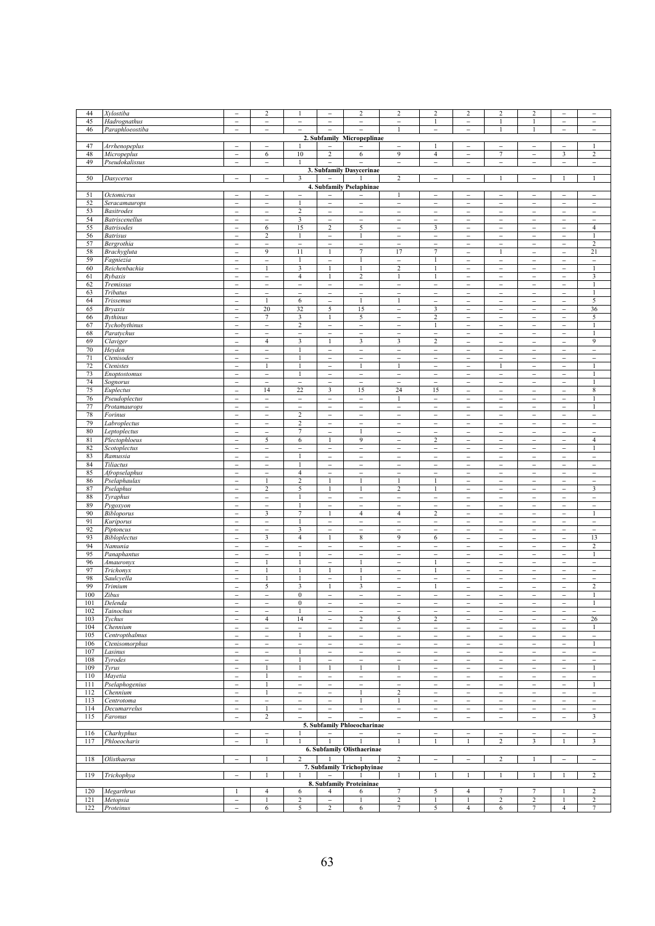| 44         | Xylostiba                                  | $\overline{a}$                                       | $\overline{2}$                                       | $\mathbf{1}$                                        | $\overline{\phantom{0}}$                             | $\overline{c}$                                       | $\sqrt{2}$                                           | $\sqrt{2}$                                           | $\overline{2}$                                       | $\,2$                                                | $\boldsymbol{2}$                                     | $\qquad \qquad -$                                    | -                                                    |
|------------|--------------------------------------------|------------------------------------------------------|------------------------------------------------------|-----------------------------------------------------|------------------------------------------------------|------------------------------------------------------|------------------------------------------------------|------------------------------------------------------|------------------------------------------------------|------------------------------------------------------|------------------------------------------------------|------------------------------------------------------|------------------------------------------------------|
| 45         | Hadrognathus                               | $\overline{\phantom{0}}$                             | $\overline{a}$                                       | $\overline{\phantom{a}}$                            | $\overline{\phantom{0}}$                             | $\overline{\phantom{a}}$                             | $\overline{a}$                                       | $\mathbf{1}$                                         | $\qquad \qquad -$                                    | 1                                                    | 1                                                    | $\overline{a}$                                       | $\overline{a}$                                       |
| 46         | Paraphloeostiba                            | $\overline{\phantom{0}}$                             | $\overline{\phantom{0}}$                             |                                                     | $\overline{a}$                                       | $\overline{\phantom{a}}$                             | $\mathbf{1}$                                         | $\overline{\phantom{0}}$                             | $\overline{\phantom{a}}$                             | $\mathbf{1}$                                         | 1                                                    | $\overline{\phantom{0}}$                             | $\overline{\phantom{a}}$                             |
| 47         | Arrhenopeplus                              | $\overline{\phantom{a}}$                             | $\overline{\phantom{a}}$                             | 1                                                   |                                                      | 2. Subfamily Micropeplinae                           |                                                      | $\mathbf{1}$                                         | $\overline{\phantom{a}}$                             |                                                      |                                                      | $\overline{\phantom{a}}$                             | 1                                                    |
| 48         | Micropeplus                                | -                                                    | 6                                                    | 10                                                  | $\overline{a}$<br>$\overline{c}$                     | 6                                                    | $\overline{\phantom{0}}$<br>9                        | $\overline{4}$                                       | $\qquad \qquad -$                                    | $\overline{\phantom{a}}$<br>7                        | $\overline{\phantom{0}}$<br>$\overline{\phantom{0}}$ | 3                                                    | 2                                                    |
| 49         | Pseudokalissus                             | $\overline{\phantom{0}}$                             | $\overline{\phantom{a}}$                             | $\mathbf{1}$                                        | $\overline{a}$                                       | $\overline{a}$                                       | $\overline{\phantom{a}}$                             | $\overline{\phantom{a}}$                             | $\overline{\phantom{a}}$                             | $\overline{\phantom{a}}$                             | $\overline{\phantom{0}}$                             | $\overline{\phantom{a}}$                             | $\overline{\phantom{a}}$                             |
|            |                                            |                                                      |                                                      |                                                     |                                                      | 3. Subfamily Dasycerinae                             |                                                      |                                                      |                                                      |                                                      |                                                      |                                                      |                                                      |
| 50         | Dasycerus                                  | $\overline{\phantom{a}}$                             | $\equiv$                                             | 3                                                   | $\overline{\phantom{a}}$                             |                                                      | $\overline{c}$                                       | $\overline{\phantom{a}}$                             | $\overline{\phantom{a}}$                             | $\mathbf{1}$                                         | $\overline{\phantom{0}}$                             | $\mathbf{1}$                                         | 1                                                    |
|            |                                            |                                                      |                                                      |                                                     |                                                      | 4. Subfamily Pselaphinae                             |                                                      |                                                      |                                                      |                                                      |                                                      |                                                      |                                                      |
| 51         | Octomicrus                                 | $\overline{\phantom{0}}$                             | $\overline{\phantom{m}}$                             | $\overline{\phantom{a}}$                            | $\overline{a}$                                       |                                                      | 1                                                    | $\overline{a}$                                       | $\overline{\phantom{0}}$                             | $\overline{\phantom{0}}$                             | $\overline{\phantom{0}}$                             | $\overline{\phantom{a}}$                             | $\overline{a}$                                       |
| 52<br>53   | Seracamaurops                              | $\overline{\phantom{0}}$                             | $\overline{\phantom{0}}$                             | $\mathbf{1}$                                        | $\bar{ }$                                            | $\overline{\phantom{0}}$                             | $\qquad \qquad -$                                    | $\overline{\phantom{0}}$                             | $\overline{\phantom{a}}$                             | $\overline{a}$                                       | $\overline{\phantom{a}}$                             | $\overline{\phantom{a}}$                             | $\qquad \qquad -$                                    |
| 54         | <b>Basitrodes</b><br><b>Batriscenellus</b> | $\overline{\phantom{0}}$<br>$\overline{\phantom{0}}$ | $\overline{\phantom{a}}$<br>$\overline{\phantom{a}}$ | $\overline{c}$<br>3                                 | $\overline{\phantom{a}}$<br>$\overline{\phantom{0}}$ | $\overline{\phantom{a}}$<br>$\overline{\phantom{a}}$ | $\overline{\phantom{a}}$<br>$\overline{\phantom{0}}$ | $\overline{\phantom{a}}$<br>$\overline{\phantom{0}}$ | $\overline{\phantom{a}}$<br>$\overline{\phantom{a}}$ | $\overline{\phantom{a}}$<br>$\overline{\phantom{a}}$ | $\overline{\phantom{a}}$<br>$\overline{\phantom{a}}$ | $\overline{\phantom{a}}$<br>$\overline{\phantom{a}}$ | $\overline{\phantom{a}}$<br>$\qquad \qquad -$        |
| 55         | <b>Batrisodes</b>                          | $\overline{\phantom{0}}$                             | 6                                                    | 15                                                  | $\overline{c}$                                       | 5                                                    | $\overline{\phantom{0}}$                             | 3                                                    | $\overline{\phantom{a}}$                             | $\overline{\phantom{a}}$                             | $\overline{\phantom{a}}$                             | $\overline{\phantom{a}}$                             | $\overline{4}$                                       |
| 56         | <b>Batrisus</b>                            | $\overline{a}$                                       | $\overline{2}$                                       | $\mathbf{1}$                                        | -                                                    | $\mathbf{1}$                                         | $\qquad \qquad -$                                    | $\overline{a}$                                       | $\overline{\phantom{a}}$                             | $\overline{\phantom{0}}$                             | $\overline{\phantom{0}}$                             | $\overline{\phantom{a}}$                             | $\mathbf{1}$                                         |
| 57         | Bergrothia                                 | $\overline{\phantom{0}}$                             | $\overline{\phantom{0}}$                             | $\overline{\phantom{0}}$                            | $\overline{\phantom{0}}$                             | $\overline{\phantom{0}}$                             | $\overline{\phantom{0}}$                             | $\overline{\phantom{0}}$                             | $\overline{\phantom{a}}$                             | $\overline{\phantom{0}}$                             | $\overline{a}$                                       | $\overline{\phantom{0}}$                             | $\overline{c}$                                       |
| 58         | Brachygluta                                | $\overline{\phantom{0}}$                             | $\overline{9}$                                       | 11                                                  | $\mathbf{1}$                                         | 7                                                    | 17                                                   | 7                                                    | $\overline{\phantom{0}}$                             | $\mathbf{1}$                                         | $\overline{a}$                                       | $\overline{\phantom{0}}$                             | 21                                                   |
| 59         | Fagniezia                                  | $\overline{\phantom{0}}$                             | $\overline{\phantom{0}}$                             | $\mathbf{1}$                                        | $\overline{\phantom{0}}$                             | $\mathbf{1}$                                         | $\overline{\phantom{a}}$                             | $\mathbf{1}$                                         | $\overline{\phantom{a}}$                             | $\overline{\phantom{a}}$                             | $\overline{\phantom{0}}$                             | $\qquad \qquad -$                                    | $\qquad \qquad -$                                    |
| 60         | Reichenbachia                              | $\overline{a}$                                       | $\mathbf{1}$                                         | 3                                                   | $\mathbf{1}$                                         | 1                                                    | $\sqrt{2}$                                           | $\mathbf{1}$                                         | $\overline{\phantom{a}}$                             | $\overline{a}$                                       | -                                                    | $\overline{a}$                                       | $\mathbf{1}$                                         |
| 61<br>62   | Rybaxis<br>Tremissus                       | $\overline{\phantom{0}}$<br>$\overline{\phantom{0}}$ | $\overline{\phantom{a}}$<br>$\overline{a}$           | $\overline{4}$<br>$\overline{\phantom{0}}$          | $\mathbf{1}$<br>$\overline{\phantom{0}}$             | $\overline{c}$<br>$\overline{\phantom{a}}$           | $\mathbf{1}$<br>$\overline{\phantom{a}}$             | $\mathbf{1}$<br>$\overline{\phantom{0}}$             | $\overline{\phantom{0}}$<br>$\overline{\phantom{0}}$ | $\qquad \qquad -$<br>$\overline{\phantom{a}}$        | $\overline{\phantom{0}}$<br>$\overline{\phantom{0}}$ | $\overline{\phantom{a}}$<br>$\overline{\phantom{0}}$ | 3<br>$\mathbf{1}$                                    |
| 63         | Tribatus                                   | -                                                    | $\overline{\phantom{a}}$                             | $\qquad \qquad -$                                   | $\overline{\phantom{0}}$                             | $\overline{\phantom{a}}$                             | $\overline{\phantom{a}}$                             | $\qquad \qquad -$                                    | $\qquad \qquad -$                                    | $\overline{\phantom{a}}$                             | $\qquad \qquad -$                                    | $\overline{\phantom{a}}$                             | 1                                                    |
| 64         | Trissemus                                  | $\overline{\phantom{0}}$                             | -1                                                   | 6                                                   | $\overline{\phantom{a}}$                             | $\mathbf{1}$                                         | $\mathbf{1}$                                         | $\overline{\phantom{0}}$                             | $\overline{\phantom{a}}$                             | $\overline{\phantom{a}}$                             | $\overline{\phantom{0}}$                             | $\overline{\phantom{0}}$                             | 5                                                    |
| 65         | <b>Bryaxis</b>                             | -                                                    | 20                                                   | 32                                                  | 5                                                    | 15                                                   | $\qquad \qquad -$                                    | 3                                                    | $\qquad \qquad -$                                    | $\qquad \qquad -$                                    | $\overline{\phantom{0}}$                             | $\qquad \qquad -$                                    | 36                                                   |
| 66         | <b>Bythinus</b>                            | $\overline{\phantom{a}}$                             | $\tau$                                               | 3                                                   | 1                                                    | 5                                                    | $\overline{\phantom{a}}$                             | $\overline{c}$                                       | $\overline{\phantom{a}}$                             | $\overline{\phantom{a}}$                             | $\overline{\phantom{0}}$                             | $\overline{\phantom{a}}$                             | 5                                                    |
| 67         | Tychobythinus                              | $\overline{\phantom{0}}$                             | $\qquad \qquad -$                                    | $\overline{c}$                                      | $\overline{\phantom{0}}$                             | $\qquad \qquad -$                                    | $\overline{\phantom{0}}$                             | 1                                                    | $\qquad \qquad -$                                    | $\qquad \qquad -$                                    | $\overline{\phantom{0}}$                             | $\overline{\phantom{a}}$                             | 1                                                    |
| 68<br>69   | Paratychus                                 | $\overline{\phantom{0}}$                             | $\overline{\phantom{a}}$<br>$\overline{4}$           | $\overline{\phantom{a}}$<br>$\overline{\mathbf{3}}$ | $\overline{\phantom{a}}$<br>$\mathbf{1}$             | $\overline{\phantom{a}}$<br>$\overline{\mathbf{3}}$  | $\overline{\phantom{0}}$<br>$\overline{\mathbf{3}}$  | $\qquad \qquad -$<br>$\overline{2}$                  | $\overline{\phantom{a}}$                             | $\overline{\phantom{a}}$                             | $\overline{\phantom{a}}$                             | $\overline{\phantom{a}}$                             | 1<br>9                                               |
| 70         | Claviger<br>Heyden                         | $\overline{\phantom{0}}$<br>$\overline{\phantom{0}}$ | $\overline{\phantom{a}}$                             | 1                                                   | $\overline{\phantom{0}}$                             | $\overline{\phantom{a}}$                             | $\overline{\phantom{a}}$                             | $\overline{\phantom{a}}$                             | $\overline{\phantom{a}}$<br>$\overline{\phantom{a}}$ | $\overline{\phantom{a}}$<br>$\overline{\phantom{a}}$ | $\overline{\phantom{a}}$<br>$\overline{\phantom{a}}$ | $\overline{\phantom{a}}$<br>$\overline{\phantom{a}}$ | $\overline{\phantom{a}}$                             |
| 71         | Ctenisodes                                 | $\overline{a}$                                       | $\overline{\phantom{0}}$                             | $\mathbf{1}$                                        | $\overline{a}$                                       | $\overline{\phantom{0}}$                             | $\overline{\phantom{0}}$                             | $\overline{a}$                                       | $\overline{\phantom{0}}$                             | $\overline{\phantom{0}}$                             | $\overline{\phantom{0}}$                             | $\overline{\phantom{0}}$                             | $\overline{a}$                                       |
| 72         | Ctenistes                                  | $\overline{\phantom{0}}$                             | $\mathbf{1}$                                         | 1                                                   | $\overline{\phantom{0}}$                             | $\mathbf{1}$                                         | $\mathbf{1}$                                         | $\overline{\phantom{a}}$                             | $\overline{\phantom{a}}$                             | $\mathbf{1}$                                         | $\overline{\phantom{0}}$                             | $\overline{\phantom{a}}$                             | $\mathbf{1}$                                         |
| 73         | Enoptostomus                               | $\overline{a}$                                       | $\overline{\phantom{0}}$                             | $\mathbf{1}$                                        | $\overline{\phantom{0}}$                             | $\overline{\phantom{0}}$                             | $\overline{\phantom{0}}$                             | $\overline{\phantom{0}}$                             | $\overline{\phantom{0}}$                             | $\overline{\phantom{0}}$                             | $\overline{\phantom{0}}$                             | $\overline{a}$                                       |                                                      |
| 74         | Sognorus                                   | $\overline{\phantom{0}}$                             | $\qquad \qquad -$                                    | $\qquad \qquad -$                                   | $\overline{\phantom{0}}$                             | $\qquad \qquad -$                                    | $\overline{\phantom{a}}$                             | $\qquad \qquad -$                                    | $\qquad \qquad -$                                    | $\qquad \qquad -$                                    | $\overline{\phantom{0}}$                             | $\qquad \qquad -$                                    | 1                                                    |
| 75         | Euplectus                                  | $\overline{a}$                                       | 14                                                   | 22                                                  | $\mathfrak{Z}$                                       | 15                                                   | 24                                                   | 15                                                   | $\overline{\phantom{0}}$                             | $\overline{\phantom{0}}$                             | $\overline{a}$                                       | $\overline{a}$                                       | $\,$ 8 $\,$                                          |
| 76         | Pseudoplectus                              | $\overline{\phantom{0}}$                             | $\qquad \qquad -$                                    | $\overline{\phantom{a}}$                            | $\overline{\phantom{0}}$                             | $\overline{\phantom{0}}$                             | $\mathbf{1}$                                         | $\overline{a}$                                       | $\qquad \qquad -$                                    | $\overline{\phantom{a}}$                             | $\qquad \qquad -$                                    | $\qquad \qquad -$                                    | $\mathbf{1}$<br>$\mathbf{1}$                         |
| 77<br>78   | Protamaurops<br>Forinus                    | $\overline{\phantom{0}}$<br>$\qquad \qquad -$        | $\overline{\phantom{0}}$<br>$\overline{\phantom{a}}$ | $\overline{\phantom{0}}$<br>$\overline{c}$          | $\overline{\phantom{0}}$<br>$\overline{\phantom{0}}$ | $\overline{\phantom{0}}$<br>$\qquad \qquad -$        | $\qquad \qquad -$<br>$\bar{\phantom{a}}$             | $\overline{\phantom{0}}$<br>$\overline{\phantom{a}}$ | $\overline{\phantom{0}}$<br>$\overline{\phantom{a}}$ | $\overline{\phantom{a}}$<br>$\qquad \qquad -$        | $\overline{\phantom{0}}$<br>$\overline{\phantom{0}}$ | $\overline{\phantom{m}}$<br>$\overline{\phantom{a}}$ | $\qquad \qquad -$                                    |
| 79         | Labroplectus                               | $\overline{\phantom{0}}$                             | $\overline{\phantom{0}}$                             | $\overline{c}$                                      | $\overline{\phantom{0}}$                             | $\overline{\phantom{0}}$                             | $\overline{\phantom{0}}$                             | $\overline{\phantom{0}}$                             | $\overline{\phantom{0}}$                             | $\overline{\phantom{0}}$                             | $\overline{a}$                                       | $\overline{\phantom{0}}$                             | $\overline{\phantom{a}}$                             |
| 80         | Leptoplectus                               | $\qquad \qquad -$                                    | $\qquad \qquad -$                                    | 7                                                   | $\overline{\phantom{0}}$                             | $\mathbf{1}$                                         | $\overline{\phantom{a}}$                             | $\overline{\phantom{0}}$                             | $\qquad \qquad -$                                    | $\qquad \qquad -$                                    | $\qquad \qquad -$                                    | $\qquad \qquad -$                                    | $\qquad \qquad -$                                    |
| 81         | Plectophloeus                              | $\overline{a}$                                       | 5                                                    | 6                                                   | $\mathbf{1}$                                         | 9                                                    | $\qquad \qquad -$                                    | $\overline{2}$                                       | $\qquad \qquad -$                                    | $\overline{\phantom{0}}$                             | $\overline{\phantom{0}}$                             | $\overline{\phantom{a}}$                             | $\overline{4}$                                       |
| 82         | Scotoplectus                               | $\qquad \qquad -$                                    | $\overline{\phantom{a}}$                             | $\overline{\phantom{a}}$                            | -                                                    | $\overline{\phantom{0}}$                             | $\overline{\phantom{a}}$                             | $\overline{\phantom{a}}$                             | $\qquad \qquad -$                                    | $\overline{\phantom{a}}$                             | $\overline{\phantom{0}}$                             | $\overline{\phantom{a}}$                             | $\mathbf{1}$                                         |
| 83         | Ramussia                                   | $\overline{a}$                                       | $\overline{a}$                                       | $\mathbf{1}$                                        | $\overline{a}$                                       | $\overline{\phantom{a}}$                             | $\qquad \qquad -$                                    | $\overline{a}$                                       | $\overline{\phantom{0}}$                             | $\overline{\phantom{0}}$                             | $\overline{\phantom{0}}$                             | $\overline{a}$                                       | L,                                                   |
| 84         | Tiliactus                                  | $\overline{\phantom{0}}$                             | $\overline{\phantom{a}}$                             | $\mathbf{1}$                                        | $\overline{\phantom{0}}$                             | $\qquad \qquad -$                                    | $\overline{\phantom{a}}$                             | $\qquad \qquad -$                                    | $\qquad \qquad -$                                    | $\overline{\phantom{a}}$                             | $\qquad \qquad -$                                    | $\overline{\phantom{a}}$                             | $\overline{\phantom{a}}$                             |
| 85<br>86   | Afropselaphus<br>Pselaphaulax              | $\overline{\phantom{0}}$<br>$\overline{\phantom{0}}$ | $\overline{\phantom{a}}$<br>1                        | $\overline{4}$<br>$\,2$                             | $\overline{\phantom{0}}$<br>$\mathbf{1}$             | $\overline{\phantom{0}}$<br>$\mathbf{1}$             | $\qquad \qquad -$<br>$\mathbf{1}$                    | $\overline{a}$<br>$\mathbf{1}$                       | $\overline{\phantom{0}}$<br>$\overline{\phantom{a}}$ | $\qquad \qquad -$<br>$\qquad \qquad -$               | $\overline{a}$<br>$\qquad \qquad -$                  | $\overline{a}$                                       | $\overline{a}$                                       |
| 87         | Pselaphus                                  | $\overline{\phantom{0}}$                             | $\overline{c}$                                       | 5                                                   | $\mathbf{1}$                                         | $\mathbf{1}$                                         | $\overline{c}$                                       | $\mathbf{1}$                                         | $\overline{\phantom{0}}$                             | $\overline{\phantom{0}}$                             | $\overline{a}$                                       | $\overline{\phantom{a}}$<br>$\overline{\phantom{0}}$ | $\overline{\phantom{a}}$<br>3                        |
| 88         | Tyraphus                                   | $\overline{\phantom{0}}$                             | $\overline{\phantom{a}}$                             | $\mathbf{1}$                                        | $\overline{\phantom{0}}$                             | $\overline{\phantom{a}}$                             | $\overline{\phantom{a}}$                             | $\qquad \qquad -$                                    | $\overline{\phantom{a}}$                             | $\qquad \qquad -$                                    | $\overline{\phantom{0}}$                             | $\qquad \qquad -$                                    | $\overline{\phantom{a}}$                             |
| 89         | Pygoxyon                                   | $\overline{\phantom{0}}$                             | $\overline{\phantom{a}}$                             | $\mathbf{1}$                                        | $\overline{\phantom{0}}$                             | $\overline{\phantom{a}}$                             | $\qquad \qquad -$                                    | $\overline{\phantom{0}}$                             | $\overline{\phantom{0}}$                             | $\overline{\phantom{0}}$                             | $\overline{\phantom{0}}$                             | $\overline{\phantom{m}}$                             | $\overline{\phantom{0}}$                             |
| 90         | Bibloporus                                 | -                                                    | 3                                                    | $\tau$                                              | 1                                                    | $\overline{4}$                                       | $\overline{4}$                                       | $\sqrt{2}$                                           | $\qquad \qquad -$                                    | $\overline{a}$                                       | $\overline{\phantom{0}}$                             | $\qquad \qquad -$                                    | $\mathbf{1}$                                         |
| 91         | Kuriporus                                  | $\overline{\phantom{0}}$                             | $\overline{\phantom{m}}$                             | 1                                                   | $\overline{\phantom{0}}$                             | $\overline{\phantom{a}}$                             | $\overline{\phantom{a}}$                             | $\overline{\phantom{0}}$                             | $\overline{\phantom{0}}$                             | $\overline{\phantom{0}}$                             | $\overline{\phantom{0}}$                             | $\overline{\phantom{m}}$                             | $\overline{\phantom{0}}$                             |
| 92<br>93   | Piptoncus<br><b>Bibloplectus</b>           | $\overline{\phantom{0}}$                             | $\overline{\phantom{a}}$<br>3                        | 3<br>$\overline{4}$                                 | $\overline{\phantom{0}}$                             | $\overline{\phantom{a}}$<br>8                        | $\overline{\phantom{0}}$<br>9                        | $\overline{\phantom{0}}$<br>6                        | $\overline{a}$                                       | $\qquad \qquad -$                                    | $\overline{\phantom{0}}$                             | $\overline{\phantom{a}}$                             | $\overline{\phantom{0}}$<br>13                       |
| 94         | $\overline{N}$ amunia                      | $\overline{\phantom{0}}$<br>$\overline{\phantom{0}}$ | $\overline{a}$                                       | $\overline{\phantom{0}}$                            | 1<br>$\overline{\phantom{0}}$                        | $\overline{\phantom{0}}$                             | $\qquad \qquad -$                                    | $\overline{a}$                                       | $\overline{\phantom{a}}$<br>$\overline{\phantom{0}}$ | $\overline{\phantom{a}}$<br>$\qquad \qquad -$        | $\overline{\phantom{a}}$<br>$\overline{\phantom{0}}$ | $\overline{\phantom{a}}$<br>$\overline{\phantom{a}}$ | $\overline{2}$                                       |
| 95         | Panaphantus                                | $\overline{\phantom{0}}$                             | $\overline{\phantom{0}}$                             | $\mathbf{1}$                                        | $\overline{\phantom{0}}$                             | $\bar{\phantom{0}}$                                  | $\overline{\phantom{0}}$                             | $\overline{\phantom{0}}$                             | $\overline{\phantom{a}}$                             | $\overline{\phantom{a}}$                             | $\overline{\phantom{0}}$                             | $\overline{\phantom{a}}$                             | 1                                                    |
| 96         | Amauronyx                                  | $\overline{\phantom{0}}$                             | $\mathbf{1}$                                         | $\mathbf{1}$                                        | $\overline{a}$                                       | $\mathbf{1}$                                         | $\overline{\phantom{0}}$                             | $\mathbf{1}$                                         | $\overline{\phantom{0}}$                             | $\overline{\phantom{0}}$                             | $\overline{a}$                                       | $\overline{\phantom{0}}$                             | $\overline{\phantom{a}}$                             |
| 97         | Trichonyx                                  | $\overline{\phantom{0}}$                             | $\mathbf{1}$                                         | 1                                                   | 1                                                    | 1                                                    | $\overline{\phantom{0}}$                             | 1                                                    | $\overline{\phantom{a}}$                             | $\overline{\phantom{a}}$                             | $\overline{\phantom{0}}$                             | $\overline{\phantom{a}}$                             | $\overline{\phantom{a}}$                             |
| 98         | Saulcyella                                 | $\overline{\phantom{0}}$                             |                                                      | 1                                                   | $\overline{a}$                                       |                                                      | $\qquad \qquad -$                                    | $\overline{a}$                                       | $\overline{\phantom{a}}$                             | $\overline{\phantom{0}}$                             | $\overline{a}$                                       | $\overline{a}$                                       | $\qquad \qquad -$                                    |
| 99         | Trimium                                    | $\qquad \qquad -$                                    | 5                                                    | 3                                                   | 1                                                    | 3                                                    | $\overline{\phantom{a}}$                             | $\mathbf{1}$                                         | $\qquad \qquad -$                                    | $\qquad \qquad -$                                    | -                                                    | $\overline{\phantom{0}}$                             | $\boldsymbol{2}$                                     |
| 100<br>101 | Zibus                                      | $\overline{a}$<br>-                                  | $\overline{a}$                                       | $\boldsymbol{0}$                                    | $\overline{a}$                                       | $\overline{\phantom{0}}$                             | $\overline{\phantom{0}}$<br>$\overline{\phantom{0}}$ | $\overline{a}$<br>-                                  | $\overline{a}$<br>-                                  | $\overline{a}$<br>$\overline{\phantom{0}}$           | $\overline{\phantom{0}}$                             | $\overline{a}$<br>-                                  | 1                                                    |
| 102        | Delenda<br>Tainochus                       | $\overline{\phantom{0}}$                             | $\overline{\phantom{a}}$                             | $\mathbf{0}$<br>$\mathbf{1}$                        | $\overline{a}$<br>$\overline{\phantom{a}}$           | -<br>$\overline{\phantom{a}}$                        | $\overline{\phantom{0}}$                             | $\overline{a}$                                       | $\overline{a}$                                       | $\overline{\phantom{a}}$                             | -<br>$\overline{a}$                                  | $\overline{a}$                                       | $\overline{a}$                                       |
| 103        | Tychus                                     | -                                                    | $\overline{4}$                                       | 14                                                  | $\overline{\phantom{a}}$                             | 2                                                    | 5                                                    | 2                                                    | $-$                                                  | $\overline{\phantom{a}}$                             | $\overline{\phantom{a}}$                             | $\overline{\phantom{a}}$                             | 26                                                   |
| 104        | Chennium                                   | $\overline{\phantom{0}}$                             | $\overline{\phantom{0}}$                             | $\overline{\phantom{a}}$                            | $\overline{\phantom{a}}$                             | $\overline{\phantom{0}}$                             | $\overline{\phantom{0}}$                             | $\overline{\phantom{0}}$                             | $\overline{\phantom{a}}$                             | $\bar{\phantom{0}}$                                  | $\overline{\phantom{0}}$                             | $\overline{\phantom{a}}$                             | 1                                                    |
| 105        | Centropthalmus                             | $\overline{\phantom{0}}$                             | $\qquad \qquad -$                                    | $\mathbf{1}$                                        | $\overline{\phantom{0}}$                             | $\qquad \qquad -$                                    | $\overline{\phantom{a}}$                             | $\overline{\phantom{a}}$                             | $\overline{\phantom{0}}$                             | $\overline{\phantom{a}}$                             | $\overline{\phantom{0}}$                             | $\qquad \qquad -$                                    | $\overline{\phantom{a}}$                             |
| 106        | Ctenisomorphus                             | $\overline{\phantom{0}}$                             | $\overline{\phantom{0}}$                             | $\overline{\phantom{a}}$                            | $\overline{\phantom{0}}$                             | $\overline{\phantom{a}}$                             | $\overline{\phantom{a}}$                             | $\overline{\phantom{0}}$                             | $\overline{\phantom{a}}$                             | $\overline{\phantom{0}}$                             | $\overline{\phantom{0}}$                             | $\overline{\phantom{a}}$                             | 1                                                    |
| 107<br>108 | Lasinus                                    | $\overline{\phantom{0}}$<br>$\overline{\phantom{0}}$ | $\overline{\phantom{a}}$                             | $\mathbf{1}$<br>$\mathbf{1}$                        | $\overline{\phantom{0}}$<br>$\overline{\phantom{a}}$ | $\qquad \qquad -$<br>$\overline{\phantom{a}}$        | $\overline{\phantom{a}}$<br>$\overline{\phantom{a}}$ | $\overline{\phantom{a}}$<br>$\overline{\phantom{a}}$ | $\overline{\phantom{0}}$<br>$\overline{\phantom{a}}$ | $\overline{\phantom{a}}$<br>$\bar{\phantom{0}}$      | $\overline{\phantom{0}}$<br>$\overline{\phantom{a}}$ | $\overline{\phantom{a}}$<br>$\overline{\phantom{a}}$ | $\overline{\phantom{a}}$<br>$\overline{\phantom{a}}$ |
| 109        | Tyrodes<br>Tyrus                           | $\overline{\phantom{0}}$                             | $\overline{\phantom{0}}$<br>1                        | 1                                                   | 1                                                    | $\mathbf{1}$                                         | 1                                                    | $\overline{\phantom{a}}$                             | $\overline{\phantom{a}}$                             | $\overline{\phantom{a}}$                             | $\overline{\phantom{a}}$                             | $\overline{\phantom{a}}$                             | $\mathbf{1}$                                         |
| 110        | Mayetia                                    | $\overline{\phantom{0}}$                             | 1                                                    | $\overline{\phantom{a}}$                            | $\overline{\phantom{0}}$                             | $\overline{\phantom{a}}$                             | $\overline{\phantom{a}}$                             | $\overline{\phantom{a}}$                             | $\overline{\phantom{a}}$                             | $\overline{\phantom{a}}$                             | $\overline{\phantom{a}}$                             | $\overline{\phantom{a}}$                             | $\overline{\phantom{a}}$                             |
| 111        | Pselaphogenius                             | $\overline{a}$                                       | $\mathbf{1}$                                         | $\overline{\phantom{0}}$                            | $\overline{a}$                                       | $\overline{\phantom{0}}$                             | $\overline{\phantom{0}}$                             | $\overline{\phantom{0}}$                             | $\overline{\phantom{0}}$                             | $\overline{\phantom{0}}$                             | $\overline{\phantom{0}}$                             | $\overline{\phantom{0}}$                             | $\mathbf{1}$                                         |
| 112        | Chennium                                   | $\overline{\phantom{0}}$                             | 1                                                    | $\overline{\phantom{a}}$                            | $\overline{\phantom{a}}$                             | $\mathbf{1}$                                         | $\overline{c}$                                       | $\overline{\phantom{a}}$                             | $\overline{\phantom{0}}$                             | $\overline{\phantom{a}}$                             | $\overline{\phantom{0}}$                             | $\overline{\phantom{a}}$                             | $\overline{\phantom{a}}$                             |
| 113        | Centrotoma                                 | $\overline{a}$                                       | $\overline{a}$                                       | $\overline{\phantom{0}}$                            | $\overline{\phantom{0}}$                             |                                                      | $\mathbf{1}$                                         | $\overline{\phantom{0}}$                             | $\overline{\phantom{0}}$                             | $\overline{\phantom{a}}$                             | $\overline{\phantom{0}}$                             | $\overline{\phantom{0}}$                             | $\overline{\phantom{0}}$                             |
| 114        | Decumarrelus                               | $\overline{\phantom{0}}$                             | $\mathbf{1}$                                         | $\overline{\phantom{a}}$                            | $\overline{\phantom{0}}$                             | $\overline{\phantom{a}}$                             | $\overline{\phantom{a}}$                             | $\qquad \qquad -$                                    | $\overline{\phantom{a}}$                             | $\overline{\phantom{a}}$                             | $\overline{\phantom{a}}$                             | $\qquad \qquad -$                                    | $\qquad \qquad -$                                    |
| 115        | Faronus                                    | $\overline{a}$                                       | $\sqrt{2}$                                           | $\overline{\phantom{0}}$                            | $\overline{a}$                                       | $\overline{a}$                                       | $\overline{\phantom{a}}$                             | $\overline{\phantom{0}}$                             | $\overline{\phantom{a}}$                             | $\overline{\phantom{0}}$                             | $\overline{a}$                                       | $\overline{\phantom{0}}$                             | 3                                                    |
| 116        | Charhyphus                                 | $\overline{\phantom{0}}$                             | $\overline{\phantom{0}}$                             |                                                     |                                                      | 5. Subfamily Phloeocharinae                          | $\overline{\phantom{a}}$                             | $\overline{\phantom{0}}$                             | $\overline{\phantom{a}}$                             | $\overline{a}$                                       | $\overline{\phantom{0}}$                             | $\overline{\phantom{0}}$                             | $\overline{a}$                                       |
| 117        | Phloeocharis                               | $\overline{a}$                                       | 1                                                    | 1                                                   | 1                                                    | 1                                                    | $\mathbf{1}$                                         | 1                                                    | 1                                                    | 2                                                    | 3                                                    | 1                                                    | 3                                                    |
|            |                                            |                                                      |                                                      |                                                     |                                                      | 6. Subfamily Olisthaerinae                           |                                                      |                                                      |                                                      |                                                      |                                                      |                                                      |                                                      |
| 118        | Olisthaerus                                | $\overline{\phantom{a}}$                             | 1                                                    | 2                                                   | 1                                                    | -1                                                   | $\overline{c}$                                       | $\overline{\phantom{0}}$                             | $\overline{\phantom{a}}$                             | $\overline{c}$                                       | $\mathbf{1}$                                         | $\overline{\phantom{a}}$                             | $\overline{\phantom{0}}$                             |
|            |                                            |                                                      |                                                      |                                                     |                                                      | 7. Subfamily Trichophyinae                           |                                                      |                                                      |                                                      |                                                      |                                                      |                                                      |                                                      |
| 119        | Trichophya                                 | $\overline{\phantom{a}}$                             | $\overline{1}$                                       | 1                                                   | $\overline{\phantom{a}}$                             |                                                      | 1                                                    | 1                                                    | -1                                                   | 1                                                    | 1                                                    | 1                                                    | 2                                                    |
|            |                                            |                                                      |                                                      |                                                     |                                                      | 8. Subfamily Proteininae                             |                                                      |                                                      |                                                      |                                                      |                                                      |                                                      |                                                      |
| 120        | Megarthrus                                 | 1                                                    | $\overline{4}$                                       | 6                                                   | 4                                                    | 6                                                    | $\tau$                                               | 5                                                    | $\overline{4}$                                       | $\tau$                                               | $\tau$                                               | 1                                                    | 2                                                    |
| 121<br>122 | Metopsia                                   | $\overline{\phantom{0}}$<br>$\overline{\phantom{0}}$ | $\mathbf{1}$<br>6                                    | $\sqrt{2}$<br>5                                     | $\overline{\phantom{0}}$<br>$\overline{c}$           | 6                                                    | $\sqrt{2}$<br>7                                      | $\mathbf{1}$<br>5                                    | $\mathbf{1}$<br>$\overline{4}$                       | $\sqrt{2}$<br>6                                      | $\boldsymbol{2}$<br>7                                | 1<br>$\overline{4}$                                  | $\boldsymbol{2}$<br>7                                |
|            | Proteinus                                  |                                                      |                                                      |                                                     |                                                      |                                                      |                                                      |                                                      |                                                      |                                                      |                                                      |                                                      |                                                      |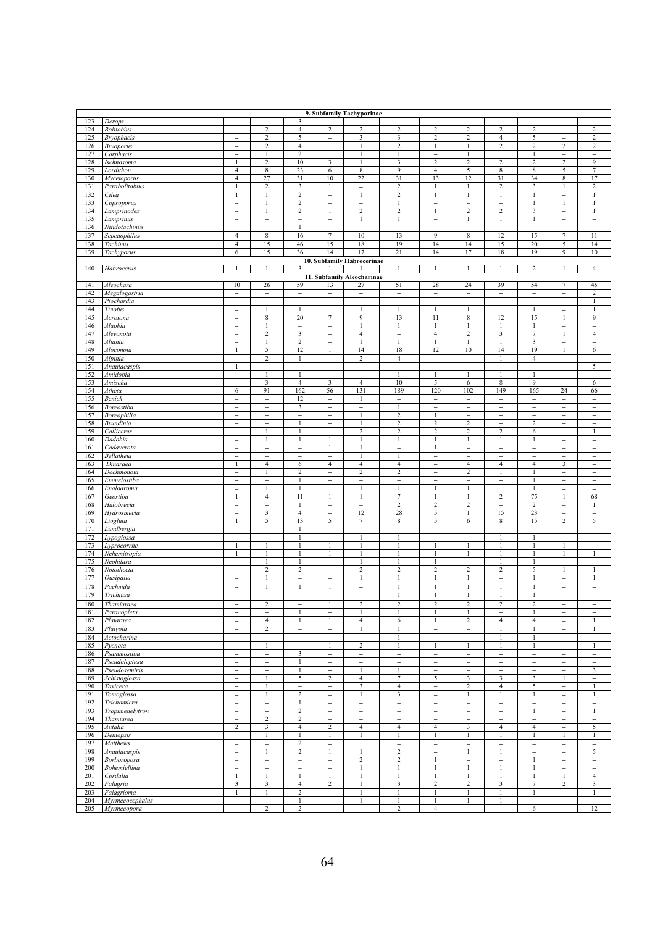|     | 9. Subfamily Tachyporinae          |                               |                          |                          |                                   |                            |                          |                                     |                          |                          |                          |                                          |                          |
|-----|------------------------------------|-------------------------------|--------------------------|--------------------------|-----------------------------------|----------------------------|--------------------------|-------------------------------------|--------------------------|--------------------------|--------------------------|------------------------------------------|--------------------------|
| 123 | Derops                             | $\overline{a}$                | $\overline{a}$           | 3                        | $\overline{\phantom{a}}$          |                            | $\overline{\phantom{a}}$ | $\overline{\phantom{a}}$            | $\overline{a}$           | $\overline{a}$           | $\overline{\phantom{0}}$ | $\overline{\phantom{a}}$                 | $\overline{a}$           |
| 124 | <b>Bolitobius</b>                  | $\overline{a}$                | $\sqrt{2}$               | $\overline{4}$           | $\sqrt{2}$                        | $\boldsymbol{2}$           | $\overline{2}$           | $\sqrt{2}$                          | $\sqrt{2}$               | $\overline{\mathbf{c}}$  | 2                        | $\overline{\phantom{0}}$                 | $\overline{c}$           |
| 125 | <b>Bryophacis</b>                  | $\overline{\phantom{a}}$      | $\overline{c}$           | 5                        | $\overline{a}$                    | 3                          | 3                        | $\overline{2}$                      | $\overline{c}$           | $\overline{4}$           | 5                        | $\overline{\phantom{a}}$                 | $\overline{c}$           |
| 126 | <b>Bryoporus</b>                   | $\overline{a}$                | 2                        | $\overline{4}$           | 1                                 | $\mathbf{1}$               | $\sqrt{2}$               | $\mathbf{1}$                        | 1                        | $\boldsymbol{2}$         | 2                        | $\overline{c}$                           | $\overline{c}$           |
|     |                                    |                               |                          |                          |                                   | 1                          | $\mathbf{1}$             |                                     |                          | $\mathbf{1}$             |                          |                                          |                          |
| 127 | Carphacis                          | $\overline{\phantom{0}}$      |                          | $\overline{\mathbf{c}}$  | 1                                 |                            |                          | $\qquad \qquad -$                   |                          |                          | 1                        | $\overline{\phantom{a}}$                 | -                        |
| 128 | Ischnosoma                         | $\mathbf{1}$                  | $\sqrt{2}$               | 10                       | 3                                 | 1                          | 3                        | $\overline{2}$                      | $\boldsymbol{2}$         | $\sqrt{2}$               | 2                        | $\overline{c}$                           | 9                        |
| 129 | Lordithon                          | $\overline{4}$                | $\,$ 8 $\,$              | 23                       | $\sqrt{6}$                        | 8                          | 9                        | $\overline{4}$                      | 5                        | $\,$ 8 $\,$              | 8                        | 5                                        | $\tau$                   |
| 130 | Mycetoporus                        | $\overline{4}$                | 27                       | 31                       | 10                                | 22                         | 31                       | 13                                  | 12                       | 31                       | 34                       | $\,$ 8 $\,$                              | 17                       |
| 131 | Parabolitobius                     | 1                             | $\overline{c}$           | 3                        | 1                                 | $\qquad \qquad -$          | $\overline{2}$           | $\mathbf{1}$                        | $\mathbf{1}$             | $\sqrt{2}$               | $\overline{\mathbf{3}}$  | $\mathbf{1}$                             | 2                        |
| 132 | Cilea                              | 1                             | 1                        | $\overline{c}$           | $\overline{\phantom{0}}$          | $\mathbf{1}$               | $\overline{2}$           | $\mathbf{1}$                        | $\mathbf{1}$             | $\mathbf{1}$             | $\mathbf{1}$             | $\overline{\phantom{0}}$                 | 1                        |
| 133 | Coproporus                         | $\overline{a}$                | $\mathbf{1}$             | $\overline{2}$           | $\overline{\phantom{0}}$          | $\qquad \qquad -$          | $\mathbf{1}$             | $\overline{\phantom{0}}$            | $\overline{\phantom{0}}$ | $\overline{\phantom{0}}$ | 1                        | $\mathbf{1}$                             | $\mathbf{1}$             |
| 134 | Lamprinodes                        | $\overline{a}$                | $\mathbf{1}$             | $\overline{c}$           | $\mathbf{1}$                      | $\overline{2}$             | $\overline{2}$           | $\mathbf{1}$                        | $\overline{c}$           | $\overline{c}$           | 3                        | $\overline{\phantom{a}}$                 | 1                        |
| 135 | Lamprinus                          | $\overline{\phantom{0}}$      | $\overline{a}$           | $\overline{\phantom{a}}$ | $\qquad \qquad -$                 | $\mathbf{1}$               | $\mathbf{1}$             | $\qquad \qquad -$                   | $\mathbf{1}$             | $\mathbf{1}$             | $\,1$                    | $\qquad \qquad -$                        | $\overline{\phantom{0}}$ |
| 136 | Nitidotachinus                     | $\overline{\phantom{0}}$      | $\overline{\phantom{a}}$ | $\mathbf{1}$             | $\overline{\phantom{a}}$          | $\overline{\phantom{a}}$   | $\overline{\phantom{a}}$ | $\overline{\phantom{0}}$            | $\overline{\phantom{a}}$ | $\overline{\phantom{a}}$ | $\overline{\phantom{a}}$ | $\overline{\phantom{a}}$                 | $\overline{\phantom{0}}$ |
|     |                                    |                               |                          |                          |                                   | 10                         |                          | 9                                   |                          | 12                       | 15                       |                                          |                          |
| 137 | Sepedophilus                       | $\overline{4}$                | $8\phantom{1}$           | 16                       | $\tau$                            |                            | 13                       |                                     | 8                        |                          |                          | $\tau$                                   | 11                       |
| 138 | Tachinus                           | $\overline{4}$                | 15                       | 46                       | 15                                | 18                         | 19                       | 14                                  | 14                       | 15                       | 20                       | 5                                        | 14                       |
| 139 | Tachyporus                         | 6                             | 15                       | 36                       | 14                                | 17                         | 21                       | 14                                  | 17                       | 18                       | 19                       | 9                                        | 10                       |
|     |                                    |                               |                          |                          |                                   | 10. Subfamily Habrocerinae |                          |                                     |                          |                          |                          |                                          |                          |
| 140 | Habrocerus                         | 1                             | $\mathbf{1}$             | 3                        |                                   |                            | $\mathbf{1}$             | $\mathbf{1}$                        | 1                        | $\mathbf{1}$             | $\overline{c}$           | $\mathbf{1}$                             | $\overline{4}$           |
|     |                                    |                               |                          |                          |                                   | 11. Subfamily Aleocharinae |                          |                                     |                          |                          |                          |                                          |                          |
| 141 | Aleochara                          | 10                            | 26                       | 59                       | 13                                | 27                         | 51                       | 28                                  | 24                       | 39                       | 54                       | $\overline{7}$                           | 45                       |
| 142 | Megalogastria                      | $\overline{\phantom{0}}$      | $\overline{\phantom{a}}$ | $\overline{\phantom{a}}$ | $\overline{\phantom{a}}$          | $\bar{\phantom{0}}$        | $\overline{\phantom{a}}$ | $\overline{\phantom{0}}$            | $\qquad \qquad -$        | $\overline{\phantom{a}}$ | $\overline{\phantom{a}}$ | $\overline{\phantom{a}}$                 | $\overline{c}$           |
| 143 | Piochardia                         | $\overline{a}$                | $\overline{a}$           | $\qquad \qquad -$        | $\overline{\phantom{0}}$          | $\qquad \qquad -$          | $\bar{\phantom{a}}$      | $\overline{\phantom{0}}$            | $\overline{\phantom{0}}$ | $\overline{\phantom{0}}$ | $\overline{\phantom{0}}$ | $\overline{\phantom{a}}$                 | 1                        |
| 144 | Tinotus                            | $\overline{\phantom{0}}$      | $\mathbf{1}$             | $\mathbf{1}$             | 1                                 | $\mathbf{1}$               | $\mathbf{1}$             | $\mathbf{1}$                        |                          | $\mathbf{1}$             | $\mathbf{1}$             | $\overline{\phantom{0}}$                 | 1                        |
| 145 | Acrotona                           | $\overline{\phantom{0}}$      | $\,$ 8 $\,$              | 20                       | $\tau$                            | 9                          | 13                       | 11                                  | 8                        | 12                       | 15                       | $\mathbf{1}$                             | 9                        |
| 146 | Alaobia                            | $\overline{a}$                |                          | $\qquad \qquad -$        | $\qquad \qquad -$                 |                            | 1                        | 1                                   |                          | 1                        | 1                        | $\qquad \qquad -$                        | $\overline{a}$           |
| 147 | Alevonota                          | $\overline{a}$                | $\sqrt{2}$               | 3                        | $\overline{a}$                    | $\overline{4}$             | $\qquad \qquad -$        | $\overline{4}$                      | $\sqrt{2}$               | 3                        | 7                        | $\mathbf{1}$                             | $\overline{4}$           |
| 148 | Alianta                            |                               |                          | $\sqrt{2}$               |                                   |                            | $\mathbf{1}$             | $\mathbf{1}$                        |                          | $\mathbf{1}$             | 3                        |                                          |                          |
| 149 | Aloconota                          | $\overline{\phantom{0}}$<br>1 |                          | 12                       | $\qquad \qquad -$<br>$\mathbf{1}$ |                            |                          |                                     | 10                       | 14                       | 19                       | $\overline{\phantom{a}}$<br>$\mathbf{1}$ | -                        |
|     |                                    |                               | 5                        |                          |                                   | 14                         | 18                       | 12                                  |                          |                          |                          |                                          | 6                        |
| 150 | Alpinia                            | $\overline{\phantom{0}}$      | $\boldsymbol{2}$         | $\mathbf{1}$             | $\overline{a}$                    | 2                          | $\overline{4}$           | $\overline{\phantom{a}}$            | $\qquad \qquad -$        | $\mathbf{1}$             | $\overline{\mathbf{4}}$  | $\overline{\phantom{a}}$                 | -                        |
| 151 | Anaulacaspis                       | 1                             | $\overline{a}$           | $\overline{\phantom{0}}$ | $\overline{\phantom{0}}$          | $\qquad \qquad -$          | $\qquad \qquad -$        | $\overline{a}$                      | $\overline{\phantom{a}}$ | $\overline{\phantom{0}}$ | $\overline{\phantom{0}}$ | $\overline{\phantom{0}}$                 | 5                        |
| 152 | Amidobia                           | $\overline{a}$                | $\mathbf{1}$             | $\mathbf{1}$             | $\overline{a}$                    | $\qquad \qquad -$          | $\mathbf{1}$             | $\mathbf{1}$                        | $\mathbf{1}$             | $\mathbf{1}$             | $\mathbf{1}$             | $\overline{\phantom{a}}$                 | $\overline{\phantom{0}}$ |
| 153 | Amischa                            | $\overline{a}$                | 3                        | $\overline{4}$           | 3                                 | $\overline{4}$             | 10                       | 5                                   | 6                        | 8                        | 9                        | $\overline{\phantom{0}}$                 | 6                        |
| 154 | Atheta                             | 6                             | 91                       | 162                      | 56                                | 131                        | 189                      | 120                                 | 102                      | 149                      | 165                      | 24                                       | 66                       |
| 155 | Benick                             | $\overline{a}$                | $\overline{\phantom{a}}$ | 12                       | $\overline{\phantom{0}}$          | 1                          | $\qquad \qquad -$        | $\overline{\phantom{0}}$            | $\bar{\phantom{0}}$      | $\overline{\phantom{0}}$ | $\overline{\phantom{0}}$ | $\overline{\phantom{0}}$                 | $\overline{a}$           |
| 156 | Boreostiba                         | $\overline{\phantom{0}}$      | $\overline{\phantom{0}}$ | 3                        | $\qquad \qquad -$                 | $\overline{\phantom{0}}$   | $\mathbf{1}$             | $\qquad \qquad -$                   | $\qquad \qquad -$        | $\overline{\phantom{a}}$ | $\overline{\phantom{0}}$ | $\overline{\phantom{a}}$                 | $\overline{\phantom{0}}$ |
| 157 | Boreophilia                        | $\overline{\phantom{0}}$      | $\overline{\phantom{0}}$ | $\overline{\phantom{a}}$ | $\overline{\phantom{a}}$          | 1                          | $\overline{2}$           | $\mathbf{1}$                        | $\overline{\phantom{a}}$ | $\overline{\phantom{a}}$ | $\overline{\phantom{a}}$ | $\overline{\phantom{a}}$                 | $\overline{\phantom{0}}$ |
| 158 | <b>Brundinia</b>                   | $\overline{a}$                | $\overline{\phantom{a}}$ | $\mathbf{1}$             | $\overline{\phantom{0}}$          | 1                          | $\sqrt{2}$               | $\sqrt{2}$                          | $\overline{c}$           | $\overline{\phantom{0}}$ | $\overline{c}$           | $\overline{\phantom{0}}$                 | $\qquad \qquad -$        |
| 159 | Callicerus                         | $\overline{\phantom{0}}$      | $\mathbf{1}$             | $\mathbf{1}$             | $\overline{\phantom{0}}$          | $\overline{c}$             | $\sqrt{2}$               | $\sqrt{2}$                          | $\sqrt{2}$               | $\overline{c}$           | 6                        | $\overline{\phantom{0}}$                 | 1                        |
| 160 | Dadobia                            | $\overline{a}$                |                          |                          | 1                                 |                            | 1                        | $\mathbf{1}$                        |                          |                          |                          | $\overline{\phantom{a}}$                 | $\overline{a}$           |
| 161 | Cadaverota                         | $\overline{a}$                | $\overline{\phantom{0}}$ | $\overline{\phantom{a}}$ | 1                                 |                            | $\overline{\phantom{0}}$ | $\mathbf{1}$                        | $\qquad \qquad -$        | $\overline{\phantom{a}}$ | $\overline{\phantom{0}}$ | $\overline{\phantom{a}}$                 | $\overline{\phantom{0}}$ |
| 162 | Bellatheta                         | $\overline{a}$                | -                        | $\overline{a}$           | $\overline{a}$                    | 1                          | $\mathbf{1}$             | $\overline{\phantom{0}}$            | $\overline{\phantom{0}}$ | $\overline{a}$           | $\overline{\phantom{0}}$ | $\qquad \qquad -$                        | $\overline{\phantom{0}}$ |
| 163 | Dinaraea                           |                               | 4                        | 6                        | $\overline{4}$                    | 4                          | $\overline{4}$           |                                     | 4                        | $\overline{4}$           | 4                        | 3                                        |                          |
|     |                                    | $\overline{a}$                | $\mathbf{1}$             | $\overline{c}$           | $\overline{\phantom{0}}$          | $\overline{c}$             | $\overline{2}$           | $\qquad \qquad -$<br>$\overline{a}$ | $\overline{c}$           | $\mathbf{1}$             | 1                        | $\overline{\phantom{a}}$                 | -<br>$\overline{a}$      |
| 164 | Dochmonota                         |                               |                          |                          |                                   |                            |                          |                                     |                          |                          |                          |                                          |                          |
| 165 | Emmelostiba                        | $\qquad \qquad -$             | $\overline{\phantom{a}}$ | $\mathbf{1}$             | $\qquad \qquad -$                 | $\qquad \qquad -$          | $\overline{\phantom{a}}$ | $\overline{\phantom{m}}$            | $\overline{\phantom{a}}$ | $\qquad \qquad -$        | 1                        | $\overline{\phantom{a}}$                 | $\overline{\phantom{a}}$ |
| 166 | Enalodroma                         | $\overline{a}$                | 1                        | $\mathbf{1}$             | $\mathbf{1}$                      | $\mathbf{1}$               | $\mathbf{1}$             | $\mathbf{1}$                        | $\mathbf{1}$             | $\mathbf{1}$             | $\mathbf{1}$             | $\overline{\phantom{a}}$                 | $\overline{a}$           |
| 167 | Geostiba                           | 1                             | $\overline{4}$           | 11                       | 1                                 | $\mathbf{1}$               | $\tau$                   | $\mathbf{1}$                        | 1                        | $\sqrt{2}$               | 75                       | $\mathbf{1}$                             | 68                       |
| 168 | Halobrecta                         | $\overline{a}$                | $\overline{\phantom{0}}$ | $\mathbf{1}$             | $\overline{\phantom{0}}$          | $\qquad \qquad -$          | $\overline{c}$           | 2                                   | 2                        | $\overline{a}$           | 2                        | $\overline{\phantom{0}}$                 | 1                        |
| 169 | Hydrosmecta                        | $\overline{\phantom{0}}$      | 3                        | $\overline{4}$           | $\overline{\phantom{0}}$          | 12                         | 28                       | 5                                   | $\mathbf{1}$             | 15                       | 23                       | $\overline{\phantom{a}}$                 | $\overline{\phantom{0}}$ |
| 170 | Liogluta                           | 1                             | 5                        | 13                       | 5                                 | $\tau$                     | $\,$ 8 $\,$              | 5                                   | 6                        | 8                        | 15                       | $\overline{2}$                           | 5                        |
| 171 | Lundbergia                         | $\overline{\phantom{0}}$      | $\overline{a}$           | $\mathbf{1}$             | $\overline{a}$                    | $\overline{\phantom{a}}$   | $\overline{\phantom{a}}$ | $\overline{\phantom{0}}$            | $\qquad \qquad -$        | $\overline{a}$           | $\overline{\phantom{0}}$ | $\qquad \qquad -$                        | $\overline{\phantom{0}}$ |
| 172 | Lypoglossa                         | $\overline{\phantom{0}}$      | $\overline{\phantom{a}}$ | 1                        | $\overline{\phantom{a}}$          | 1                          | $\mathbf{1}$             | $\overline{\phantom{0}}$            | $\overline{\phantom{a}}$ | $\mathbf{1}$             | 1                        | $\overline{\phantom{a}}$                 | $\overline{\phantom{0}}$ |
| 173 | Lyprocorrhe                        | $\mathbf{1}$                  | $\mathbf{1}$             | 1                        | $\mathbf{1}$                      | 1                          | 1                        | $\mathbf{1}$                        | $\mathbf{1}$             | $\mathbf{1}$             |                          | $\mathbf{1}$                             | $\overline{a}$           |
| 174 | $\overline{\mathit{N}$ ehemitropia | 1                             | $\mathbf{1}$             | $\mathbf{1}$             | 1                                 | 1                          | $\mathbf{1}$             | $\mathbf{1}$                        | 1                        | $\mathbf{1}$             | $\mathbf{1}$             | $\mathbf{1}$                             | $\mathbf{1}$             |
| 175 | Neohilara                          | $\overline{a}$                | 1                        | 1                        | $\overline{a}$                    |                            | $\mathbf{1}$             | 1                                   | $\overline{a}$           | $\mathbf{1}$             |                          | $\overline{\phantom{0}}$                 | $\overline{\phantom{0}}$ |
| 176 | Notothecta                         | $\overline{\phantom{0}}$      | $\overline{c}$           | $\overline{c}$           | $\overline{\phantom{0}}$          | $\overline{c}$             | $\overline{c}$           | $\overline{c}$                      | $\overline{c}$           | $\overline{2}$           | 5                        | 1                                        | 1                        |
| 177 | Ousipalia                          | $\overline{a}$                | $\mathbf{1}$             | $\qquad \qquad -$        | -                                 | $\mathbf{1}$               | $\mathbf{1}$             | $\mathbf{1}$                        | $\mathbf{1}$             | $\overline{a}$           |                          | $\overline{\phantom{0}}$                 | $\mathbf{1}$             |
| 178 | Pachnida                           | $\overline{a}$                | $\mathbf{1}$             | $\mathbf{1}$             | 1                                 | $\overline{\phantom{a}}$   | $\mathbf{1}$             | $\mathbf{1}$                        | 1                        | $\mathbf{1}$             | $\mathbf{1}$             | $\overline{\phantom{a}}$                 | $\overline{\phantom{a}}$ |
| 179 | Trichiusa                          | $\overline{a}$                | $\overline{a}$           | $\overline{\phantom{0}}$ | $\overline{a}$                    | $\overline{\phantom{0}}$   | $\mathbf{1}$             | $\mathbf{1}$                        | 1                        | $\mathbf{1}$             | $\mathbf{1}$             | $\overline{\phantom{0}}$                 | $\overline{a}$           |
| 180 |                                    | $\overline{a}$                | 2                        | $\overline{\phantom{0}}$ | $\mathbf{1}$                      | 2                          | $\overline{2}$           | $\overline{2}$                      | 2                        | $\overline{2}$           | 2                        |                                          |                          |
|     | Thamiaraea                         |                               |                          |                          |                                   | 1                          | $\mathbf{1}$             |                                     |                          |                          |                          | $\qquad \qquad -$                        | $\overline{\phantom{0}}$ |
| 181 | Paranopleta                        | $\qquad \qquad -$             | $\qquad \qquad -$        | $\mathbf{1}$             | $\overline{\phantom{a}}$          |                            |                          | $\mathbf{1}$                        |                          | $\qquad \qquad -$        | 1                        | $\overline{\phantom{a}}$                 | -                        |
| 182 | Plataraea                          | $\overline{\phantom{0}}$      | $\overline{4}$           | $\mathbf{1}$             | $\mathbf{1}$                      | $\overline{4}$             | 6                        | $\mathbf{1}$                        | $\overline{c}$           | $\overline{4}$           | $\overline{4}$           | $\overline{\phantom{a}}$                 | $\mathbf{1}$             |
| 183 | Platyola                           | $\qquad \qquad -$             | 2                        | $\overline{\phantom{0}}$ | $\qquad \qquad -$                 | 1                          | $\mathbf{1}$             | $\overline{\phantom{a}}$            | $\overline{\phantom{0}}$ | $\mathbf{1}$             | $\mathbf{1}$             | $\overline{\phantom{a}}$                 | $\mathbf{1}$             |
| 184 | Actocharina                        | $\overline{a}$                | $\overline{\phantom{0}}$ | $\overline{\phantom{a}}$ | $\overline{\phantom{0}}$          | $\overline{\phantom{0}}$   |                          | $\overline{\phantom{0}}$            | $\overline{\phantom{0}}$ | $\mathbf{1}$             |                          | $\overline{\phantom{a}}$                 | $\overline{\phantom{0}}$ |
| 185 | Pycnota                            | $\overline{a}$                | $\mathbf{1}$             | $\overline{\phantom{a}}$ | 1                                 | $\,2\,$                    | $\mathbf{1}$             | $\mathbf{1}$                        | 1                        | $\mathbf{1}$             | 1                        | $\overline{\phantom{a}}$                 | $\mathbf{1}$             |
| 186 | Psammostiba                        | $\overline{a}$                | -                        | 3                        | -                                 | $\overline{\phantom{a}}$   | $\overline{\phantom{a}}$ | $\overline{\phantom{0}}$            | $\qquad \qquad -$        | $\qquad \qquad -$        | $\overline{\phantom{0}}$ | $\qquad \qquad -$                        | $\qquad \qquad -$        |
| 187 | Pseudoleptusa                      | $\overline{a}$                | $\qquad \qquad -$        | 1                        | $\qquad \qquad -$                 | $\qquad \qquad -$          | $\overline{\phantom{a}}$ | $\qquad \qquad -$                   | -                        | $\qquad \qquad -$        | $\overline{\phantom{0}}$ | $\overline{\phantom{a}}$                 | $\overline{\phantom{0}}$ |
| 188 | Pseudosemiris                      | $\overline{a}$                | $\overline{\phantom{a}}$ | $\mathbf{1}$             | $\overline{\phantom{a}}$          | $\mathbf{1}$               | $\mathbf{1}$             | $\overline{\phantom{0}}$            | $\overline{\phantom{0}}$ | $\overline{\phantom{0}}$ | $\overline{\phantom{0}}$ | $\qquad \qquad -$                        | 3                        |
| 189 | Schistoglossa                      | $\overline{\phantom{0}}$      | $\mathbf{1}$             | 5                        | $\sqrt{2}$                        | $\overline{4}$             | $\tau$                   | 5                                   | 3                        | 3                        | 3                        | $\mathbf{1}$                             | -                        |
| 190 | Taxicera                           | $\overline{a}$                | $\mathbf{1}$             | $\overline{\phantom{0}}$ | $\overline{\phantom{a}}$          | $\mathbf{3}$               | $\overline{4}$           | $\overline{\phantom{a}}$            | $\overline{c}$           | $\overline{4}$           | 5                        | $\overline{\phantom{0}}$                 | $\mathbf{1}$             |
| 191 | Tomoglossa                         | $\qquad \qquad -$             | 1                        | $\overline{c}$           | $\overline{\phantom{a}}$          | 1                          | $\mathfrak{Z}$           | $\overline{\phantom{a}}$            | $\mathbf{1}$             | 1                        | $\mathbf{1}$             | $\overline{\phantom{a}}$                 | 1                        |
| 192 | Trichomicra                        | $\overline{\phantom{0}}$      | $\overline{\phantom{a}}$ | $\mathbf{1}$             | $\overline{\phantom{a}}$          | $\overline{\phantom{a}}$   | $\overline{\phantom{a}}$ | $\overline{\phantom{a}}$            | $\overline{\phantom{a}}$ | $\overline{\phantom{a}}$ | $\overline{\phantom{a}}$ | $\overline{\phantom{a}}$                 | $\overline{\phantom{a}}$ |
|     |                                    |                               |                          |                          |                                   |                            |                          |                                     |                          |                          |                          |                                          |                          |
| 193 | Tropimenelytron                    | $\overline{\phantom{0}}$      | $\qquad \qquad -$        | $\sqrt{2}$               | $\overline{a}$                    | $\qquad \qquad -$          | $\overline{\phantom{a}}$ | $\qquad \qquad -$                   | $\overline{\phantom{0}}$ | $\qquad \qquad -$        | $\mathbf{1}$             | $\overline{\phantom{a}}$                 | $\mathbf{1}$             |
| 194 | Thamiarea                          | $\overline{a}$                | $\overline{c}$           | 2                        | $\overline{\phantom{a}}$          | $\overline{\phantom{a}}$   | $\overline{\phantom{0}}$ | $\overline{\phantom{0}}$            | $\qquad \qquad -$        | $\overline{\phantom{0}}$ | $\overline{\phantom{a}}$ | $\overline{\phantom{a}}$                 | $\overline{\phantom{a}}$ |
| 195 | Autalia                            | $\sqrt{2}$                    | 3                        | 4                        | $\sqrt{2}$                        | $\overline{4}$             | $\overline{4}$           | $\overline{4}$                      | 3                        | $\overline{4}$           | $\overline{4}$           | $\overline{\phantom{a}}$                 | 5                        |
| 196 | Deinopsis                          | $\overline{\phantom{a}}$      | 1                        | 1                        | 1                                 | 1                          | $\mathbf{1}$             | $\mathbf{1}$                        | 1                        | 1                        | $\mathbf{1}$             | $\mathbf{1}$                             | 1                        |
| 197 | Matthews                           | $\overline{\phantom{0}}$      | $\overline{\phantom{a}}$ | $\overline{2}$           | $\overline{\phantom{a}}$          |                            | $\overline{\phantom{0}}$ | $\overline{a}$                      | $\qquad \qquad -$        | $\overline{\phantom{a}}$ | $\overline{\phantom{0}}$ | $\overline{\phantom{a}}$                 | $\overline{\phantom{0}}$ |
| 198 | Anaulacaspis                       | $\overline{\phantom{a}}$      | $\mathbf{1}$             | $\overline{c}$           | $\mathbf{1}$                      | 1                          | $\sqrt{2}$               | $\overline{\phantom{a}}$            | $\mathbf{1}$             | $\mathbf{1}$             | $\overline{\phantom{a}}$ | $\overline{\phantom{a}}$                 | 5                        |
| 199 | Borboropora                        | $\overline{a}$                | $\qquad \qquad -$        | $\qquad \qquad -$        | -                                 | $\boldsymbol{2}$           | $\sqrt{2}$               | $\mathbf{1}$                        | $\qquad \qquad -$        | $\qquad \qquad -$        | $\,1$                    | $\overline{\phantom{0}}$                 | $\overline{\phantom{0}}$ |
| 200 | Bohemiellina                       | $\overline{\phantom{0}}$      | $\overline{\phantom{0}}$ | $\qquad \qquad -$        | $\overline{\phantom{0}}$          | 1                          | $\mathbf{1}$             | $\mathbf{1}$                        | $\mathbf{1}$             | $\mathbf{1}$             | $\mathbf{1}$             | $\overline{\phantom{0}}$                 | $\overline{\phantom{0}}$ |
| 201 | Cordalia                           | $\mathbf{1}$                  | $\mathbf{1}$             | $\mathbf{1}$             | $\mathbf{1}$                      |                            |                          | 1                                   |                          | 1                        |                          | $\mathbf{1}$                             | $\overline{4}$           |
| 202 | Falagria                           | 3                             | 3                        | 4                        | 2                                 | $\mathbf{1}$               | 3                        | $\sqrt{2}$                          | 2                        | 3                        | 7                        | $\boldsymbol{2}$                         | 3                        |
| 203 | Falagrioma                         | $\mathbf{1}$                  | $\mathbf{1}$             | $\boldsymbol{2}$         | $\overline{\phantom{a}}$          | $\mathbf{1}$               | $\mathbf{1}$             | $\mathbf{1}$                        | 1                        | $\mathbf{1}$             | $\mathbf{1}$             | $\qquad \qquad -$                        | $\mathbf{1}$             |
| 204 | Myrmecocephalus                    | $\overline{\phantom{0}}$      | -                        | 1                        | $\qquad \qquad -$                 | $\mathbf{1}$               | $\mathbf{1}$             | $\mathbf{1}$                        | 1                        | $\mathbf{1}$             | -                        | $\overline{\phantom{a}}$                 | -                        |
| 205 | Myrmecopora                        | $\overline{a}$                | $\overline{c}$           | $\overline{c}$           | $\overline{\phantom{a}}$          | $\qquad \qquad -$          | $\overline{2}$           | $\overline{4}$                      | $\overline{\phantom{a}}$ | $\overline{\phantom{a}}$ | 6                        | $\overline{\phantom{0}}$                 | 12                       |
|     |                                    |                               |                          |                          |                                   |                            |                          |                                     |                          |                          |                          |                                          |                          |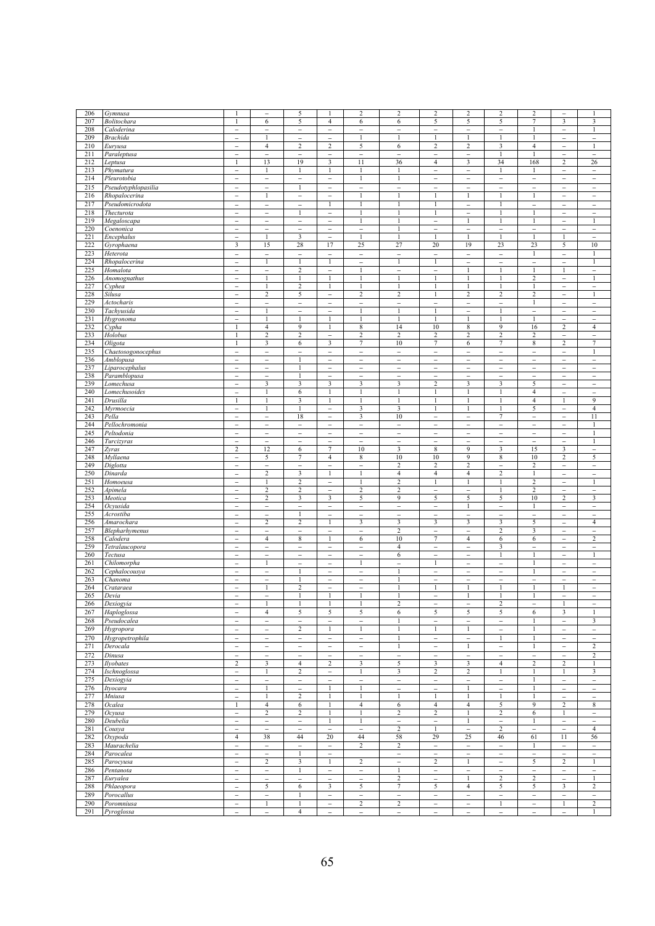| 206        | Gymnusa                       | 1                        |                                | 5                        | $\mathbf{1}$                      | $\overline{c}$                 | $\sqrt{2}$               | $\boldsymbol{2}$                         | $\overline{2}$           | $\sqrt{2}$                    | 2                        | $\overline{\phantom{0}}$                   |                          |
|------------|-------------------------------|--------------------------|--------------------------------|--------------------------|-----------------------------------|--------------------------------|--------------------------|------------------------------------------|--------------------------|-------------------------------|--------------------------|--------------------------------------------|--------------------------|
| 207        | Bolitochara                   | 1                        | 6                              | 5                        | 4                                 | 6                              | 6                        | 5                                        | 5                        | 5                             | 7                        | 3                                          | 3                        |
| 208        | Caloderina                    | $\overline{a}$           | $\overline{\phantom{a}}$       | $\overline{\phantom{0}}$ | $\overline{\phantom{0}}$          | $\overline{a}$                 | $\overline{a}$           | $\overline{\phantom{0}}$                 | $\overline{\phantom{0}}$ | $\overline{a}$                |                          | $\overline{\phantom{a}}$                   | $\mathbf{1}$             |
| 209        | <b>Brachida</b>               | -                        |                                | $\overline{\phantom{0}}$ | -                                 |                                | $\mathbf{1}$             | $\mathbf{1}$                             |                          |                               |                          | $\overline{\phantom{a}}$                   | $\overline{\phantom{0}}$ |
| 210        | Euryusa                       | $\overline{\phantom{0}}$ | $\overline{4}$                 | 2                        | 2                                 | 5                              | 6                        | 2                                        | 2                        | 3                             | $\overline{4}$           | $\overline{\phantom{0}}$                   | 1                        |
| 211        | Paraleptusa                   |                          |                                |                          |                                   |                                | $\overline{a}$           |                                          |                          | 1                             | 1                        |                                            | $\overline{\phantom{0}}$ |
| 212        |                               | $\qquad \qquad -$<br>1   | $\overline{\phantom{a}}$<br>13 | -<br>19                  | $\qquad \qquad -$<br>$\mathbf{3}$ | $\overline{\phantom{0}}$<br>11 | 36                       | $\qquad \qquad -$<br>$\overline{4}$      | $\qquad \qquad -$<br>3   | 34                            | 168                      | $\overline{\phantom{a}}$<br>$\overline{c}$ |                          |
|            | Leptusa                       |                          | $\mathbf{1}$                   |                          |                                   |                                |                          |                                          |                          |                               |                          |                                            | 26                       |
| 213        | Phymatura                     | $\overline{\phantom{a}}$ |                                | $\mathbf{1}$             | 1                                 | $\mathbf{1}$                   | $\mathbf{1}$             | $\overline{a}$                           | $\overline{\phantom{0}}$ | $\mathbf{1}$                  | 1                        | $\overline{\phantom{a}}$                   | $\overline{\phantom{0}}$ |
| 214        | Pleurotobia                   | $\overline{\phantom{a}}$ | $\overline{\phantom{a}}$       | $\overline{\phantom{a}}$ | $\overline{\phantom{a}}$          | 1                              | $\mathbf{1}$             | $\overline{\phantom{a}}$                 | $\overline{\phantom{0}}$ | $\overline{\phantom{a}}$      | $\overline{\phantom{a}}$ | $\overline{\phantom{a}}$                   | $\overline{\phantom{a}}$ |
| 215        | Pseudotyphlopasilia           | -                        | $\overline{\phantom{0}}$       | $\mathbf{1}$             | $\overline{\phantom{a}}$          | $\overline{a}$                 | $\overline{a}$           | $\overline{\phantom{0}}$                 | $\overline{\phantom{0}}$ | $\overline{a}$                | $\overline{\phantom{0}}$ | $\qquad \qquad -$                          | $\qquad \qquad -$        |
| 216        | Rhopalocerina                 | -                        | $\mathbf{1}$                   | $\overline{\phantom{0}}$ | $\overline{a}$                    | $\mathbf{1}$                   | $1\,$                    | $\mathbf{1}$                             | $\mathbf{1}$             | $\mathbf{1}$                  | $\mathbf{1}$             | $\qquad \qquad -$                          | $\overline{a}$           |
| 217        | $\overline{P}$ seudomicrodota | $\overline{\phantom{a}}$ | $\overline{\phantom{a}}$       | $\overline{\phantom{a}}$ | 1                                 |                                | 1                        | $\mathbf{1}$                             | $\overline{\phantom{a}}$ | 1                             | $\overline{\phantom{0}}$ | $\overline{\phantom{a}}$                   | $\overline{\phantom{a}}$ |
| 218        | Thecturota                    | -                        | $\overline{\phantom{0}}$       | $\mathbf{1}$             | $\overline{\phantom{0}}$          |                                | $\mathbf{1}$             | $\mathbf{1}$                             | $\overline{\phantom{0}}$ | $\mathbf{1}$                  | $\mathbf{1}$             | $\overline{\phantom{0}}$                   | $\overline{\phantom{0}}$ |
| 219        | Megaloscapa                   | $\qquad \qquad -$        | $\overline{\phantom{a}}$       | $\overline{\phantom{a}}$ | $\overline{\phantom{a}}$          |                                | 1                        | $\overline{\phantom{a}}$                 | 1                        | 1                             | 1                        | $\overline{\phantom{a}}$                   | 1                        |
|            | Coenonica                     |                          |                                |                          |                                   |                                | $\mathbf{1}$             |                                          |                          |                               |                          |                                            |                          |
| 220        |                               | -                        | $\overline{\phantom{0}}$       | $\overline{a}$           | $\overline{\phantom{0}}$          | $\overline{a}$                 |                          | $\overline{\phantom{0}}$                 | $\overline{\phantom{0}}$ | $\overline{a}$                | $\overline{\phantom{0}}$ | $\overline{\phantom{0}}$                   | $\overline{\phantom{0}}$ |
| 221        | Encephalus                    | -                        |                                | 3                        | $\overline{\phantom{a}}$          |                                | 1                        | $\mathbf{1}$                             |                          | $\mathbf{1}$                  |                          | 1                                          | $\overline{\phantom{0}}$ |
| 222        | Gyrophaena                    | $\mathbf{3}$             | 15                             | 28                       | 17                                | 25                             | 27                       | 20                                       | 19                       | 23                            | 23                       | 5                                          | 10                       |
| 223        | Heterota                      | $\overline{\phantom{a}}$ | $\overline{\phantom{0}}$       | $\overline{\phantom{0}}$ | $\overline{\phantom{a}}$          | $\overline{\phantom{a}}$       | $\overline{\phantom{0}}$ | $\overline{\phantom{a}}$                 | $\overline{\phantom{0}}$ | $\overline{\phantom{0}}$      | $\mathbf{1}$             | $\overline{\phantom{0}}$                   | 1                        |
| 224        | Rhopalocerina                 | -                        |                                |                          | $\mathbf{1}$                      | $\overline{\phantom{0}}$       | $\mathbf{1}$             | 1                                        | $\overline{\phantom{0}}$ | $\overline{a}$                | $\overline{\phantom{0}}$ | $\overline{\phantom{0}}$                   |                          |
| 225        | Homalota                      | $\overline{\phantom{0}}$ | $\qquad \qquad -$              | $\boldsymbol{2}$         | $\overline{\phantom{a}}$          |                                | $\overline{\phantom{0}}$ | $\overline{\phantom{0}}$                 |                          | $\mathbf{1}$                  | 1                        | $\mathbf{1}$                               | $\overline{\phantom{0}}$ |
| 226        | Anomognathus                  | -                        | $\overline{1}$                 |                          | $\mathbf{1}$                      |                                | $1\,$                    | $\mathbf{1}$                             |                          |                               | $\overline{\mathbf{c}}$  | $\overline{\phantom{0}}$                   | $\mathbf{1}$             |
| 227        | Cyphea                        | $\overline{a}$           |                                | $\boldsymbol{2}$         | $\mathbf{1}$                      |                                | $\mathbf{1}$             | $\mathbf{1}$                             |                          | $\mathbf{1}$                  | 1                        | $\qquad \qquad -$                          | $\qquad \qquad -$        |
| 228        | Silusa                        | $\overline{a}$           | $\overline{2}$                 | 5                        | $\overline{\phantom{a}}$          | $\overline{c}$                 | $\overline{c}$           | $\mathbf{1}$                             | $\overline{2}$           | $\overline{2}$                | 2                        | $\overline{\phantom{a}}$                   | $\mathbf{1}$             |
| 229        | Actocharis                    |                          | $\overline{\phantom{0}}$       |                          |                                   | $\overline{\phantom{a}}$       | $\overline{\phantom{0}}$ | $\overline{\phantom{a}}$                 |                          |                               | 1                        |                                            |                          |
| 230        |                               | $\overline{\phantom{a}}$ | $\mathbf{1}$                   | $\qquad \qquad -$        | $\overline{\phantom{a}}$          | 1                              | $\mathbf{1}$             | $\mathbf{1}$                             | $\qquad \qquad -$        | $\overline{\phantom{m}}$<br>1 |                          | $\overline{\phantom{a}}$                   | -                        |
|            | Tachyusida                    | $\overline{\phantom{0}}$ |                                | $\overline{\phantom{0}}$ | $\overline{\phantom{a}}$          |                                |                          |                                          | $\overline{\phantom{0}}$ |                               | $\overline{\phantom{0}}$ | $\overline{\phantom{0}}$                   | $\overline{\phantom{0}}$ |
| 231        | Hygronoma                     | -                        | 1                              | 1                        | 1                                 | 1                              | $\mathbf{1}$             | 1                                        | 1                        | 1                             | 1                        | $\overline{\phantom{a}}$                   | $\overline{\phantom{0}}$ |
| 232        | Cypha                         | 1                        | $\overline{4}$                 | 9                        | 1                                 | $\,$ 8 $\,$                    | 14                       | 10                                       | $\,$ 8 $\,$              | 9                             | 16                       | $\overline{c}$                             | $\overline{4}$           |
| 233        | Holobus                       | $\mathbf{1}$             | $\overline{2}$                 | $\overline{2}$           | $\qquad \qquad -$                 | $\overline{2}$                 | $\overline{c}$           | 2                                        | $\overline{c}$           | $\overline{\mathbf{c}}$       | $\overline{c}$           | $\overline{\phantom{a}}$                   | $\overline{\phantom{0}}$ |
| 234        | Oligota                       | $\mathbf{1}$             | 3                              | 6                        | 3                                 | $\tau$                         | 10                       | $\tau$                                   | 6                        | $\tau$                        | $\,$ 8 $\,$              | $\overline{2}$                             | 7                        |
| 235        | Chaetosogonocephus            | $\overline{\phantom{a}}$ | $\qquad \qquad -$              | $\qquad \qquad -$        | $\qquad \qquad -$                 | $\overline{\phantom{a}}$       | $\overline{\phantom{0}}$ | $\qquad \qquad -$                        | $\overline{a}$           | $\overline{\phantom{a}}$      | $\overline{\phantom{0}}$ | $\overline{\phantom{a}}$                   | $\mathbf{1}$             |
| 236        | Amblopusa                     | $\overline{\phantom{a}}$ | $\overline{\phantom{a}}$       |                          | $\overline{\phantom{a}}$          | $\overline{\phantom{a}}$       | $\overline{\phantom{0}}$ | $\overline{\phantom{a}}$                 | $\overline{\phantom{a}}$ | $\overline{\phantom{a}}$      | $\overline{\phantom{a}}$ | $\overline{\phantom{a}}$                   | $\overline{\phantom{0}}$ |
| 237        | Liparocephalus                | -                        | $\overline{a}$                 | $\mathbf{1}$             | $\overline{\phantom{0}}$          | $\overline{a}$                 | $\overline{\phantom{0}}$ | $\overline{\phantom{0}}$                 | $\overline{a}$           | $\overline{a}$                | $\overline{\phantom{0}}$ | $\overline{\phantom{0}}$                   | $\overline{a}$           |
| 238        | Paramblopusa                  | $\overline{\phantom{a}}$ | $\qquad \qquad -$              | 1                        | $\overline{\phantom{a}}$          | $\overline{\phantom{a}}$       | $\overline{\phantom{0}}$ | $\overline{\phantom{a}}$                 | $\overline{\phantom{a}}$ | $\overline{\phantom{a}}$      | $\overline{\phantom{a}}$ | $\overline{\phantom{a}}$                   | $\overline{\phantom{0}}$ |
| 239        | Lomechusa                     | $\overline{a}$           | 3                              | 3                        | 3                                 | $\mathfrak{Z}$                 | $\overline{\mathbf{3}}$  | $\overline{2}$                           | 3                        | 3                             | 5                        | $\overline{a}$                             | $\overline{\phantom{0}}$ |
| 240        | Lomechusoides                 | $\overline{\phantom{a}}$ | $\mathbf{1}$                   | 6                        | $\mathbf{1}$                      | 1                              | $\mathbf{1}$             | 1                                        | 1                        | 1                             | $\overline{4}$           | $\overline{\phantom{a}}$                   |                          |
|            |                               |                          |                                |                          |                                   |                                |                          |                                          |                          |                               |                          |                                            | $\qquad \qquad -$        |
| 241        | Drusilla                      | $\mathbf{1}$             |                                | 3                        | $\mathbf{1}$                      |                                | 1                        | $\mathbf{1}$                             |                          |                               | 4                        | 1                                          | 9                        |
| 242        | Myrmoecia                     | $\qquad \qquad -$        |                                | $\mathbf{1}$             | $\qquad \qquad -$                 | 3                              | 3                        | $\mathbf{1}$                             | 1                        | $\mathbf{1}$                  | 5                        | $\overline{\phantom{a}}$                   | $\overline{4}$           |
| 243        | Pella                         | $\overline{a}$           | $\overline{\phantom{0}}$       | 18                       | $\overline{\phantom{a}}$          | $\mathfrak{Z}$                 | 10                       | $\overline{\phantom{a}}$                 | $\overline{\phantom{0}}$ | $\tau$                        | $\overline{\phantom{0}}$ | $\overline{\phantom{0}}$                   | 11                       |
| 244        | Pellochromonia                | -                        | $\qquad \qquad -$              | $\overline{a}$           | $\overline{\phantom{a}}$          | $\overline{\phantom{a}}$       | $\overline{\phantom{a}}$ | $\overline{\phantom{a}}$                 | $\overline{\phantom{0}}$ | $\qquad \qquad -$             | $\overline{\phantom{0}}$ | $\overline{\phantom{a}}$                   | $\mathbf{1}$             |
| 245        | Peltodonia                    | $\overline{a}$           | $\overline{\phantom{0}}$       | $\overline{\phantom{0}}$ | $\overline{\phantom{a}}$          | $\overline{\phantom{a}}$       | $\qquad \qquad -$        | $\overline{\phantom{0}}$                 | $\overline{a}$           | $\overline{\phantom{0}}$      | $\overline{\phantom{0}}$ | $\overline{\phantom{0}}$                   | $\mathbf{1}$             |
| 246        | Turcizyras                    | $\qquad \qquad -$        | $\overline{\phantom{a}}$       | $\qquad \qquad -$        | $\overline{\phantom{a}}$          | $\overline{\phantom{0}}$       | $\overline{\phantom{0}}$ | $\overline{\phantom{a}}$                 | $\qquad \qquad -$        | $\qquad \qquad -$             | $\overline{\phantom{0}}$ | $\overline{\phantom{a}}$                   | $\mathbf{1}$             |
| 247        | Zyras                         | $\overline{c}$           | 12                             | 6                        | $7\phantom{.0}$                   | 10                             | $\overline{\mathbf{3}}$  | $\,8\,$                                  | 9                        | 3                             | 15                       | 3                                          | $\overline{\phantom{0}}$ |
| 248        | Myllaena                      | $\overline{\phantom{0}}$ | 5                              | 7                        | $\overline{4}$                    | 8                              | 10                       | 10                                       | 9                        | 8                             | 10                       | $\sqrt{2}$                                 | 5                        |
| 249        | Diglotta                      | $\overline{a}$           | $\overline{\phantom{0}}$       | $\overline{\phantom{0}}$ | $\overline{\phantom{a}}$          | $\overline{\phantom{a}}$       | $\sqrt{2}$               | $\overline{c}$                           | $\overline{2}$           | $\overline{\phantom{0}}$      | $\overline{c}$           | $\overline{\phantom{0}}$                   | $\overline{\phantom{0}}$ |
|            |                               |                          |                                |                          |                                   |                                |                          |                                          |                          |                               |                          |                                            |                          |
| 250        | $\overline{D}$ inarda         | $\qquad \qquad -$        | $\overline{2}$                 | $\overline{\mathbf{3}}$  | $\mathbf{1}$                      | $\mathbf{1}$                   | $\overline{4}$           | $\overline{4}$                           | $\overline{4}$           | $\overline{2}$                | $\mathbf{1}$             | $\overline{\phantom{a}}$                   | $\overline{\phantom{0}}$ |
| 251        | Homoeusa                      | $\overline{\phantom{a}}$ | 1                              | $\overline{c}$           | $\overline{\phantom{a}}$          | 1                              | $\overline{c}$           | $\mathbf{1}$                             | 1                        | -1                            | $\overline{c}$           | $\overline{\phantom{0}}$                   | 1                        |
| 252        | Apimela                       | $\overline{\phantom{0}}$ | $\overline{2}$                 | $\sqrt{2}$               | $\overline{\phantom{0}}$          | $\overline{2}$                 | $\boldsymbol{2}$         | $\overline{\phantom{a}}$                 | $\overline{\phantom{0}}$ | $\mathbf{1}$                  | $\overline{c}$           | $\overline{\phantom{a}}$                   | $\overline{\phantom{0}}$ |
| 253        | Meotica                       | $\overline{a}$           | $\sqrt{2}$                     | 3                        | 3                                 | 5                              | 9                        | 5                                        | 5                        | 5                             | 10                       | $\boldsymbol{2}$                           | 3                        |
| 254        | Ocyusida                      | $\overline{a}$           | $\overline{\phantom{0}}$       | $\overline{a}$           | $\overline{\phantom{0}}$          | $\overline{\phantom{0}}$       | $\overline{\phantom{0}}$ | $\overline{a}$                           | $\mathbf{1}$             | $\overline{a}$                | $\mathbf{1}$             | $\overline{\phantom{a}}$                   | $\overline{a}$           |
| 255        | Acrostiba                     | $\overline{\phantom{a}}$ | $\overline{\phantom{a}}$       | 1                        | $\overline{\phantom{a}}$          | $\overline{\phantom{a}}$       | $\bar{ }$                | $\qquad \qquad -$                        | $\overline{a}$           | $\qquad \qquad -$             | $\overline{\phantom{a}}$ | $\overline{\phantom{a}}$                   | $\overline{\phantom{0}}$ |
| 256        | Amarochara                    | -                        | $\overline{2}$                 | $\sqrt{2}$               | $\mathbf{1}$                      | $\mathfrak{Z}$                 | $\overline{\mathbf{3}}$  | $\overline{\mathbf{3}}$                  | 3                        | $\mathbf{3}$                  | 5                        | $\overline{\phantom{0}}$                   | $\overline{4}$           |
| 257        | Blepharhymenus                | -                        | $\qquad \qquad -$              | $\overline{\phantom{0}}$ | $\qquad \qquad -$                 | $\qquad \qquad -$              | $\boldsymbol{2}$         | $\qquad \qquad -$                        | $\qquad \qquad -$        | $\boldsymbol{2}$              | 3                        | $\qquad \qquad -$                          | $\qquad \qquad -$        |
| 258        | Calodera                      | $\overline{a}$           | $\overline{4}$                 | $\,$ 8 $\,$              | $\mathbf{1}$                      | 6                              | 10                       | $\tau$                                   | $\overline{4}$           | 6                             | 6                        | $\overline{a}$                             | $\overline{c}$           |
| 259        | Tetralaucopora                | $\overline{\phantom{a}}$ | $\qquad \qquad -$              | $\qquad \qquad -$        | $\overline{\phantom{a}}$          | $\overline{\phantom{a}}$       | $\overline{4}$           | $\overline{\phantom{a}}$                 | $\qquad \qquad -$        | 3                             | $\bar{ }$                |                                            | -                        |
|            |                               |                          |                                |                          |                                   |                                |                          |                                          |                          |                               |                          | $\overline{\phantom{a}}$                   |                          |
| 260<br>261 | Tectusa                       | $\overline{a}$           | $\overline{a}$<br>$\mathbf{1}$ | $\overline{\phantom{0}}$ | $\overline{\phantom{a}}$          | $\overline{a}$<br>$\mathbf{1}$ | $\sqrt{6}$               | $\overline{\phantom{0}}$<br>$\mathbf{1}$ | $\overline{a}$           |                               | $\mathbf{1}$             | $\overline{\phantom{0}}$                   | $\mathbf{1}$             |
|            | Chilomorpha                   | $\qquad \qquad -$        |                                | $\qquad \qquad -$        | $\overline{\phantom{a}}$          |                                | $\overline{\phantom{0}}$ |                                          | $\qquad \qquad -$        | $\overline{\phantom{a}}$      | 1                        | $\overline{\phantom{a}}$                   | $\overline{\phantom{0}}$ |
| 262        | Cephalocousya                 | $\overline{a}$           | $\overline{\phantom{0}}$       | 1                        | $\overline{\phantom{0}}$          |                                | $\mathbf{1}$             | $\overline{\phantom{a}}$                 | $\overline{\phantom{0}}$ | $\overline{\phantom{0}}$      | 1                        | $\overline{\phantom{0}}$                   | $\overline{\phantom{0}}$ |
| 263        | Chanoma                       | $\overline{\phantom{0}}$ | $\overline{\phantom{a}}$       | $\mathbf{1}$             | $\qquad \qquad -$                 | $\overline{\phantom{0}}$       | $\mathbf{1}$             | $\overline{\phantom{a}}$                 | $\overline{\phantom{a}}$ | $\overline{\phantom{0}}$      | $\overline{\phantom{0}}$ | $\overline{\phantom{0}}$                   | $\overline{\phantom{0}}$ |
| 264        | Crataraea                     | $\overline{\phantom{0}}$ | $\overline{1}$                 | $\overline{c}$           | $\overline{\phantom{a}}$          | $\overline{\phantom{0}}$       | $\mathbf{1}$             | $\mathbf{1}$                             | $\mathbf{1}$             | 1                             | $\mathbf{1}$             | $\mathbf{1}$                               | $\overline{\phantom{0}}$ |
| 265        | Devia                         | $\overline{a}$           | $\overline{a}$                 | 1                        | $\mathbf{1}$                      | $\mathbf{1}$                   | $\mathbf{1}$             | $\overline{\phantom{0}}$                 | 1                        | 1                             | $\,1$                    | $\overline{\phantom{0}}$                   | $\overline{\phantom{0}}$ |
| 266        | Dexiogyia                     | $\overline{a}$           | $\mathbf{I}$                   | -1                       | 1                                 | 1                              | 2                        |                                          | $\overline{a}$           | 2                             | $\overline{a}$           | 1                                          |                          |
| 267        | Haploglossa                   | $\overline{\phantom{a}}$ | $\overline{4}$                 | 5                        | 5                                 | 5                              | 6                        | 5                                        | 5                        | 5                             | 6                        | 3                                          | $\mathbf{1}$             |
| 268        | Pseudocalea                   | $\overline{a}$           | $\overline{a}$                 | $\overline{a}$           | $\overline{\phantom{0}}$          |                                | $\mathbf{1}$             | $\overline{\phantom{a}}$                 | $\overline{\phantom{0}}$ |                               | $\mathbf{1}$             | $\overline{\phantom{0}}$                   | 3                        |
| 269        | Hygropora                     | $\overline{\phantom{0}}$ | $\overline{\phantom{a}}$       | 2                        | 1                                 | $\mathbf{1}$                   | $\mathbf{1}$             | $\mathbf{1}$                             | $\mathbf{1}$             | $\qquad \qquad -$             | $\mathbf{1}$             | $\overline{\phantom{a}}$                   | -                        |
|            |                               |                          |                                |                          |                                   |                                | $\mathbf{1}$             |                                          |                          |                               |                          |                                            |                          |
| 270        | Hygropetrophila               | -                        | $\overline{\phantom{0}}$       | $\overline{a}$           | $\overline{\phantom{0}}$          | $\overline{\phantom{0}}$       |                          | $\overline{\phantom{0}}$                 | $\overline{\phantom{0}}$ | $\mathbf{1}$                  | 1                        | $\overline{\phantom{0}}$                   | $\overline{\phantom{0}}$ |
| 271        | Derocala                      | $\overline{\phantom{a}}$ | $\overline{\phantom{0}}$       | $\qquad \qquad -$        | $\overline{\phantom{a}}$          | $\overline{\phantom{a}}$       | $\mathbf{1}$             | $\overline{\phantom{a}}$                 | $\mathbf{1}$             | $\overline{\phantom{a}}$      | $\mathbf{1}$             | $\overline{\phantom{0}}$                   | $\overline{c}$           |
| 272        | Dinusa                        | $\overline{\phantom{a}}$ | $\overline{\phantom{a}}$       | $\qquad \qquad -$        | $\overline{\phantom{a}}$          | $\overline{\phantom{a}}$       | $\overline{\phantom{a}}$ | $\overline{\phantom{a}}$                 | $\overline{\phantom{a}}$ | $\overline{\phantom{a}}$      | $\overline{\phantom{a}}$ | $\overline{\phantom{a}}$                   | 2                        |
| 273        | Ilyobates                     | 2                        | $\mathfrak{Z}$                 | $\overline{4}$           | 2                                 | $\mathbf{3}$                   | 5                        | $\mathfrak{Z}$                           | 3                        | $\overline{4}$                | $\overline{c}$           | $\boldsymbol{2}$                           | $\mathbf{1}$             |
| 274        | Ischnoglossa                  | $\qquad \qquad -$        | $\mathbf{1}$                   | $\sqrt{2}$               | $\overline{\phantom{a}}$          | $\mathbf{1}$                   | $\overline{\mathbf{3}}$  | $\sqrt{2}$                               | $\sqrt{2}$               | $\mathbf{1}$                  | $\mathbf{1}$             | $\mathbf{1}$                               | 3                        |
| 275        | Dexiogyia                     | $\overline{\phantom{a}}$ | $\overline{\phantom{a}}$       | $\overline{\phantom{a}}$ | $\overline{\phantom{a}}$          | $\overline{\phantom{a}}$       | $\overline{\phantom{0}}$ | $\overline{\phantom{a}}$                 | $\overline{\phantom{0}}$ | $\overline{\phantom{a}}$      | $\mathbf{1}$             | $\overline{\phantom{0}}$                   | $\overline{\phantom{0}}$ |
| 276        | Ityocara                      | $\qquad \qquad -$        | $\mathbf{1}$                   | $\qquad \qquad -$        | 1                                 | $\mathbf{1}$                   | $\overline{\phantom{0}}$ | $\overline{\phantom{a}}$                 | $\mathbf{1}$             | $\overline{\phantom{a}}$      | $\mathbf{1}$             | $\qquad \qquad -$                          | $\qquad \qquad -$        |
| 277        | Mniusa                        | $\overline{\phantom{0}}$ | $\mathbf{1}$                   | 2                        | 1                                 | 1                              | $\mathbf{1}$             | $\mathbf{1}$                             | $\mathbf{1}$             | 1                             | $\mathbf{1}$             | $\overline{\phantom{0}}$                   | $\overline{\phantom{0}}$ |
|            |                               |                          |                                |                          |                                   |                                |                          |                                          |                          |                               |                          |                                            |                          |
| 278        | Ocalea                        | 1                        | $\overline{4}$                 | 6                        | 1                                 | $\overline{4}$                 | 6                        | $\overline{4}$                           | $\overline{4}$           | 5                             | 9                        | $\sqrt{2}$                                 | 8                        |
| 279        | Ocyusa                        | $\overline{\phantom{a}}$ | $\overline{2}$                 | $\overline{2}$           | 1                                 | 1                              | $\overline{c}$           | $\overline{2}$                           | 1                        | 2                             | 6                        | 1                                          | $\overline{\phantom{a}}$ |
| 280        | Deubelia                      | $\qquad \qquad -$        | $\qquad \qquad -$              | $\overline{\phantom{a}}$ | $\mathbf{1}$                      | $\mathbf{1}$                   | $\qquad \qquad -$        | $\overline{\phantom{a}}$                 | 1                        | $\overline{\phantom{a}}$      | $\mathbf{1}$             | $\overline{\phantom{a}}$                   | $\overline{\phantom{0}}$ |
| 281        | Cousya                        | $\overline{\phantom{a}}$ | $\overline{\phantom{a}}$       | $\overline{\phantom{a}}$ | $\overline{\phantom{a}}$          | $\overline{\phantom{a}}$       | $\overline{c}$           | $\mathbf{1}$                             | $\overline{\phantom{a}}$ | 2                             | $\overline{\phantom{a}}$ | $\overline{\phantom{a}}$                   | $\overline{4}$           |
| 282        | Oxypoda                       | $\overline{4}$           | 38                             | 44                       | 20                                | 44                             | 58                       | 29                                       | 25                       | 46                            | 61                       | 11                                         | 56                       |
| 283        | Maurachelia                   | $\overline{\phantom{a}}$ | $\overline{\phantom{a}}$       | $\overline{\phantom{a}}$ | $\overline{\phantom{a}}$          | $\overline{c}$                 | $\overline{c}$           | $\overline{\phantom{a}}$                 | $\overline{\phantom{a}}$ | $\overline{\phantom{a}}$      | $\mathbf{1}$             | $\overline{\phantom{a}}$                   | $\overline{\phantom{0}}$ |
| 284        | Parocalea                     | -                        | $\overline{\phantom{0}}$       | $\mathbf{1}$             | $\overline{\phantom{0}}$          |                                | $\overline{\phantom{0}}$ | $\overline{\phantom{0}}$                 | $\overline{\phantom{0}}$ | $\overline{\phantom{0}}$      | $\overline{\phantom{0}}$ | $\overline{\phantom{0}}$                   | $\overline{\phantom{0}}$ |
| 285        | Parocyusa                     | $\overline{\phantom{a}}$ | $\sqrt{2}$                     | 3                        | $\mathbf{1}$                      | $\overline{c}$                 | $\overline{\phantom{0}}$ | $\overline{c}$                           | $\mathbf{1}$             | $\overline{\phantom{a}}$      | 5                        | $\boldsymbol{2}$                           | 1                        |
|            |                               |                          |                                |                          |                                   |                                |                          |                                          |                          |                               |                          |                                            |                          |
| 286        | Pentanota                     | $\overline{\phantom{a}}$ | $\overline{\phantom{a}}$       | $\mathbf{1}$             | $\overline{\phantom{a}}$          | $\overline{\phantom{a}}$       | $\mathbf{1}$             | $\overline{\phantom{a}}$                 | $\overline{\phantom{a}}$ | $\overline{\phantom{a}}$      | $\overline{\phantom{a}}$ | $\overline{\phantom{a}}$                   | $\overline{\phantom{0}}$ |
| 287        | Euryalea                      | $\overline{\phantom{a}}$ | $\qquad \qquad -$              | $\overline{\phantom{a}}$ | $\overline{\phantom{a}}$          | $\qquad \qquad -$              | $\overline{c}$           | $\overline{\phantom{a}}$                 | 1                        | $\overline{c}$                | $\overline{c}$           | $\overline{\phantom{a}}$                   | 1                        |
| 288        | Phlaeopora                    | $\overline{a}$           | $\sqrt{5}$                     | 6                        | $\overline{\mathbf{3}}$           | 5                              | $\tau$                   | 5                                        | $\overline{4}$           | 5                             | 5                        | $\overline{\mathbf{3}}$                    | $\overline{c}$           |
| 289        | Porocallus                    | $\overline{\phantom{a}}$ | $\overline{\phantom{a}}$       | $\mathbf{1}$             | $\overline{\phantom{a}}$          | $\overline{\phantom{a}}$       | $\overline{\phantom{a}}$ | $\overline{\phantom{a}}$                 | $\overline{\phantom{a}}$ | $\overline{\phantom{a}}$      | $\overline{\phantom{a}}$ | $\overline{\phantom{a}}$                   | $\overline{\phantom{0}}$ |
| 290        | Poromniusa                    | -                        | 1                              | 1                        | -                                 | $\overline{c}$                 | $\overline{c}$           | $\qquad \qquad -$                        | $\overline{\phantom{0}}$ | 1                             | $\overline{\phantom{0}}$ | $\mathbf{1}$                               | $\boldsymbol{2}$         |
| 291        | Pyroglossa                    | $\overline{\phantom{a}}$ | $\overline{\phantom{a}}$       | $\overline{4}$           | $\overline{\phantom{a}}$          | $\overline{\phantom{a}}$       | $\overline{\phantom{a}}$ | $\overline{\phantom{a}}$                 | $\overline{\phantom{a}}$ | $\overline{\phantom{a}}$      | $\overline{\phantom{a}}$ | $\overline{\phantom{a}}$                   | 1                        |
|            |                               |                          |                                |                          |                                   |                                |                          |                                          |                          |                               |                          |                                            |                          |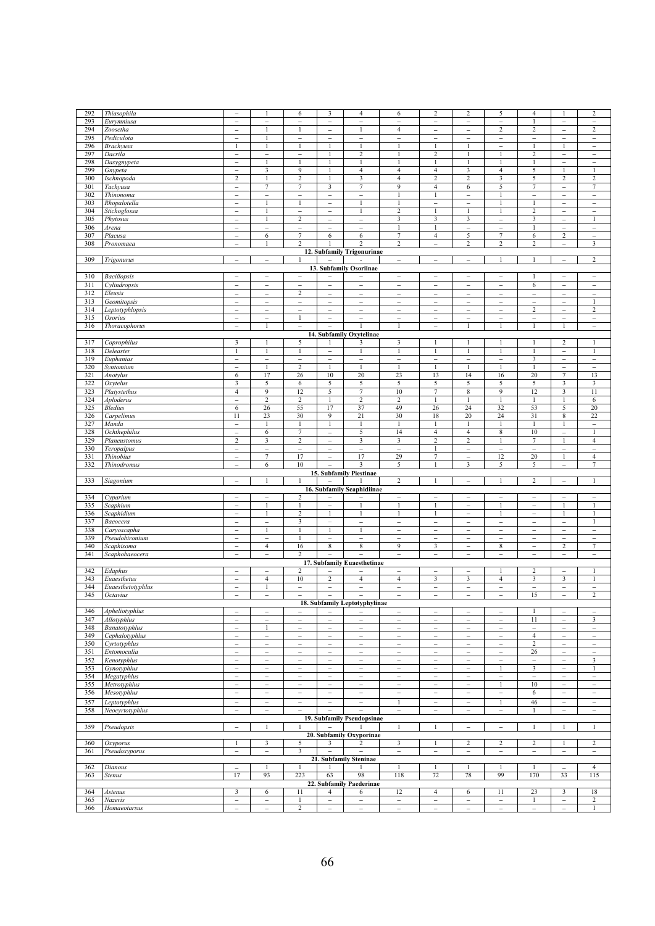| 292        | Thiasophila                      | $\overline{a}$                                       | 1                        | 6                        | $\overline{\mathbf{3}}$                    | 4                             | 6                                          | $\sqrt{2}$                                 | $\overline{c}$                | 5                                          | $\overline{4}$                | 1                             | $\sqrt{2}$               |  |
|------------|----------------------------------|------------------------------------------------------|--------------------------|--------------------------|--------------------------------------------|-------------------------------|--------------------------------------------|--------------------------------------------|-------------------------------|--------------------------------------------|-------------------------------|-------------------------------|--------------------------|--|
| 293        | Eurymniusa                       | $\overline{\phantom{a}}$                             | $\overline{\phantom{0}}$ | $\overline{\phantom{0}}$ | $\overline{\phantom{a}}$                   | $\overline{\phantom{0}}$      | $\overline{a}$                             | $\overline{\phantom{0}}$                   | $\overline{\phantom{a}}$      | $\overline{\phantom{0}}$                   | 1                             | $\overline{\phantom{0}}$      | $\overline{\phantom{a}}$ |  |
| 294        | Zoosetha                         | $\overline{a}$                                       | $\mathbf{1}$             | $\mathbf{1}$             | $\overline{a}$                             | $\mathbf{1}$                  | $\overline{4}$                             | $\overline{\phantom{0}}$                   | $\overline{\phantom{0}}$      | $\overline{2}$                             | 2                             | $\overline{a}$                | $\overline{2}$           |  |
| 295        | Pediculota                       | $\overline{\phantom{0}}$                             | 1                        | $\overline{\phantom{a}}$ | $\overline{\phantom{a}}$                   | $\overline{\phantom{a}}$      | $\bar{\phantom{a}}$                        | $\overline{\phantom{a}}$                   | $\qquad \qquad -$             | $\qquad \qquad -$                          | $\overline{\phantom{a}}$      | $\overline{\phantom{0}}$      | $\qquad \qquad -$        |  |
| 296        | Brachyusa                        | $\mathbf{1}$                                         |                          | $\mathbf{1}$             | $\mathbf{1}$                               | $\mathbf{1}$                  | $\mathbf{1}$                               | $\mathbf{1}$                               | $\mathbf{1}$                  | $\overline{a}$                             | $\mathbf{1}$                  | $\mathbf{1}$                  | $\overline{a}$           |  |
| 297        | Dacrila                          | $\qquad \qquad -$                                    | $\qquad \qquad -$        | $\qquad \qquad -$        | 1                                          | $\boldsymbol{2}$              | 1                                          | $\boldsymbol{2}$                           |                               |                                            | 2                             | $\overline{\phantom{0}}$      | -                        |  |
| 298        | Dasygnypeta                      | $\overline{a}$                                       | $\overline{1}$           |                          | $\mathbf{1}$                               |                               | $\mathbf{1}$                               | $\mathbf{1}$                               | $\mathbf{1}$                  | $\mathbf{1}$                               | 1                             | $\overline{\phantom{0}}$      | $\overline{a}$           |  |
| 299        | Gnypeta                          | $\qquad \qquad -$                                    | 3                        | 9                        | $\mathbf{1}$                               | $\overline{4}$                | $\overline{4}$                             | $\overline{4}$                             | 3                             | $\overline{4}$                             | 5                             | 1                             | 1                        |  |
| 300        | Ischnopoda                       | $\overline{c}$                                       | $\mathbf{1}$             | $\sqrt{2}$               | $\mathbf{1}$                               | 3                             | $\sqrt{4}$                                 | $\overline{2}$                             | $\overline{c}$                | 3                                          | 5                             | $\overline{c}$                | $\overline{2}$           |  |
| 301        | Tachyusa                         | $\qquad \qquad -$                                    | 7                        | 7                        | 3                                          | 7                             | $\overline{9}$                             | $\overline{4}$                             | 6                             | 5                                          | 7                             | -                             | 7                        |  |
| 302        | Thinonoma                        | $\overline{\phantom{0}}$                             | $\overline{\phantom{0}}$ | $\overline{\phantom{a}}$ | $\overline{\phantom{0}}$                   | $\overline{\phantom{0}}$      | $\mathbf{1}$                               | 1                                          | $\overline{\phantom{0}}$      | $\mathbf{1}$                               | $\overline{\phantom{0}}$      | $\overline{\phantom{0}}$      | $\overline{a}$           |  |
| 303        | Rhopalotella                     | $\overline{a}$                                       | $\mathbf{1}$             | $\mathbf{1}$             | $\overline{a}$                             | 1                             | $\mathbf{1}$                               | $\qquad \qquad -$                          | $\overline{\phantom{0}}$      | $\mathbf{1}$                               | $\mathbf{1}$                  | $\overline{\phantom{0}}$      | -                        |  |
| 304        | Stichoglossa                     | $\overline{\phantom{0}}$                             | $\overline{1}$           | $\overline{\phantom{a}}$ | $\overline{\phantom{a}}$                   | 1                             | $\overline{2}$                             | $\mathbf{1}$                               | $\mathbf{1}$                  | $\mathbf{1}$                               | $\overline{c}$                | $\overline{\phantom{a}}$      | $\overline{a}$           |  |
| 305        | Phytosus                         | $\overline{\phantom{0}}$                             | 1                        | $\overline{c}$           | $\overline{\phantom{a}}$                   | $\overline{\phantom{a}}$      | 3                                          | $\overline{\mathbf{3}}$                    | 3                             | $\overline{\phantom{0}}$                   | 3                             | $\overline{\phantom{0}}$      | $\mathbf{1}$             |  |
| 306        | Arena                            | $\overline{\phantom{0}}$                             | $\overline{\phantom{a}}$ | $\overline{\phantom{a}}$ | $\overline{\phantom{a}}$                   | $\bar{\phantom{0}}$           | 1                                          | $\mathbf{1}$                               | $\overline{\phantom{a}}$      | $\overline{\phantom{0}}$                   | 1                             | $\overline{\phantom{a}}$      | $\overline{\phantom{0}}$ |  |
| 307        | Placusa                          | $\qquad \qquad -$                                    | 6                        | $\overline{7}$           | 6                                          | 6                             | 7                                          | $\overline{4}$                             | 5                             | 7                                          | 6                             | $\overline{c}$                | $\overline{\phantom{a}}$ |  |
| 308        | Pronomaea                        | $\overline{a}$                                       | $\mathbf{1}$             | $\overline{c}$           |                                            | $\overline{c}$                | $\boldsymbol{2}$                           | $\overline{\phantom{0}}$                   | $\overline{c}$                | $\overline{c}$                             | 2                             | $\overline{\phantom{0}}$      | 3                        |  |
|            |                                  |                                                      |                          |                          |                                            | 12. Subfamily Trigonurinae    |                                            |                                            |                               |                                            |                               |                               |                          |  |
| 309        | Trigonurus                       | $\overline{\phantom{a}}$                             | $\qquad \qquad -$        |                          | $\overline{a}$                             |                               | $\overline{\phantom{a}}$                   | $\overline{\phantom{a}}$                   | $\overline{\phantom{a}}$      |                                            |                               | $\overline{\phantom{0}}$      | 2                        |  |
|            |                                  |                                                      |                          |                          |                                            | 13. Subfamily Osoriinae       |                                            |                                            |                               |                                            |                               |                               |                          |  |
| 310        | <b>Bacillopsis</b>               | $\overline{a}$                                       | $\qquad \qquad -$        | $\overline{\phantom{a}}$ | $\qquad \qquad -$                          | $\overline{\phantom{0}}$      | $\qquad \qquad -$                          | $\overline{\phantom{a}}$                   | $\qquad \qquad -$             | $\qquad \qquad -$                          | 1                             | $\overline{\phantom{0}}$      | $\qquad \qquad -$        |  |
| 311        | Cylindropsis                     | $\overline{a}$                                       | $\overline{\phantom{a}}$ | $\overline{\phantom{a}}$ | $\overline{\phantom{0}}$                   | $\overline{a}$                | $\overline{\phantom{0}}$                   | $\overline{\phantom{a}}$                   | $\overline{\phantom{a}}$      | $\overline{\phantom{0}}$                   | 6                             | $\overline{\phantom{0}}$      | $\overline{a}$           |  |
| 312        | Eleusis                          | $\overline{\phantom{a}}$                             | $\overline{\phantom{a}}$ | 2                        | $\overline{\phantom{a}}$                   | $\overline{\phantom{0}}$      | $\overline{\phantom{a}}$                   | $\overline{\phantom{a}}$                   | $\overline{\phantom{a}}$      | $\overline{\phantom{a}}$                   | $\overline{\phantom{a}}$      | $\overline{\phantom{a}}$      | $\overline{\phantom{0}}$ |  |
| 313        | Geomitopsis                      | $\overline{\phantom{0}}$                             | $\overline{\phantom{a}}$ | $\qquad \qquad -$        | $\overline{\phantom{0}}$                   | $\overline{\phantom{0}}$      | $\overline{\phantom{0}}$                   | $\overline{\phantom{a}}$                   | $\overline{\phantom{0}}$      | $\qquad \qquad -$                          | $\overline{\phantom{0}}$      | $\overline{\phantom{0}}$      | 1                        |  |
| 314        | Leptotyphlopsis                  | $\overline{\phantom{a}}$                             | $\overline{\phantom{0}}$ | $\overline{\phantom{a}}$ | $\overline{\phantom{a}}$                   | $\qquad \qquad -$             | $\overline{\phantom{0}}$                   | $\overline{\phantom{a}}$                   | $\qquad \qquad -$             | $\overline{\phantom{a}}$                   | $\overline{c}$                | $\overline{\phantom{0}}$      | $\overline{c}$           |  |
| 315        | Osorius                          | $\qquad \qquad -$                                    | $\overline{\phantom{a}}$ | $\mathbf{1}$             | $\overline{\phantom{a}}$                   | $\overline{a}$                | $\overline{\phantom{0}}$                   | $\overline{\phantom{a}}$                   | $\overline{\phantom{a}}$      | $\overline{\phantom{0}}$                   | $\overline{\phantom{0}}$      | $\overline{\phantom{0}}$      | $\overline{\phantom{a}}$ |  |
| 316        | Thoracophorus                    | $\overline{\phantom{0}}$                             | 1                        | $\overline{\phantom{a}}$ | $\overline{\phantom{0}}$                   |                               | $\overline{1}$                             | $\overline{\phantom{a}}$                   | $\mathbf{1}$                  | -1                                         |                               | 1                             | $\overline{\phantom{0}}$ |  |
|            |                                  |                                                      |                          |                          |                                            | 14. Subfamily Oxytelinae      |                                            |                                            |                               |                                            |                               |                               |                          |  |
| 317        | Coprophilus                      | 3                                                    | 1                        | 5                        | 1                                          | 3                             | $\mathbf{3}$                               | $\mathbf{1}$                               | 1                             | $\mathbf{1}$                               | 1                             | $\overline{c}$                | 1                        |  |
| 318        | Deleaster                        | $\mathbf{1}$                                         | $\mathbf{1}$             | -1                       | $\overline{\phantom{0}}$                   | 1                             | $\mathbf{1}$                               | $\mathbf{1}$                               | 1                             | $\mathbf{1}$                               | 1                             | $\overline{\phantom{0}}$      | $\mathbf{1}$             |  |
| 319        | Euphanias                        | $\overline{\phantom{a}}$                             | $\overline{\phantom{a}}$ | $\overline{\phantom{a}}$ | $\overline{\phantom{0}}$                   |                               | $\overline{a}$                             | $\overline{\phantom{0}}$                   | $\overline{\phantom{a}}$      | $\overline{\phantom{0}}$                   | 3                             | $\overline{\phantom{0}}$      | $\overline{a}$           |  |
| 320        | Syntomium                        | $\overline{a}$                                       | $\mathbf{1}$             | $\sqrt{2}$               | $\mathbf{1}$                               | $\mathbf{1}$                  | $\mathbf{1}$                               | $\mathbf{1}$                               | $\mathbf{1}$                  | $\mathbf{1}$                               |                               | $\overline{a}$                | $\overline{a}$           |  |
| 321        | Anotylus                         | 6                                                    | 17                       | 26                       | 10                                         | 20                            | 23                                         | 13                                         | 14                            | 16                                         | 20                            | 7                             | 13                       |  |
| 322        | Oxytelus                         | 3                                                    | 5                        | 6                        | 5                                          | 5                             | 5                                          | 5                                          | 5                             | 5                                          | 5                             | 3                             | 3                        |  |
| 323        | Platystethus                     | $\overline{4}$                                       | 9                        | 12                       | 5                                          | 7                             | 10                                         | 7                                          | 8                             | 9                                          | 12                            | 3                             | 11                       |  |
| 324        | Aploderus                        | $\overline{a}$                                       | $\overline{2}$           | $\sqrt{2}$               | $\mathbf{1}$                               | $\boldsymbol{2}$              | $\sqrt{2}$                                 | $\mathbf{1}$                               | $\mathbf{1}$                  | $\mathbf{1}$                               | 1                             | $\mathbf{1}$                  | $\sqrt{6}$               |  |
| 325        | Bledius                          | 6                                                    | 26                       | 55                       | 17                                         | 37                            | 49                                         | 26                                         | 24                            | 32                                         | 53                            | 5                             | 20                       |  |
| 326        | Carpelimus                       | 11                                                   | 23                       | 30                       | 9                                          | 21                            | 30                                         | 18                                         | 20                            | 24                                         | 31                            | $\,$ 8 $\,$                   | 22                       |  |
| 327        | Manda                            | $\qquad \qquad -$                                    | 1                        | 1                        | $\mathbf{1}$                               | 1                             | 1                                          | $\mathbf{1}$                               | 1                             | 1                                          | 1                             | $\mathbf{1}$                  | $\overline{\phantom{a}}$ |  |
| 328        | Ochthephilus                     | $\overline{\phantom{0}}$                             | 6                        | 7                        | $\overline{\phantom{a}}$                   | 5                             | 14                                         | $\overline{4}$                             | $\overline{4}$                | 8                                          | 10                            | $\overline{\phantom{a}}$      | 1                        |  |
| 329        | Planeustomus                     | $\overline{c}$                                       | $\mathbf{3}$             | $\sqrt{2}$               | $\qquad \qquad -$                          | 3                             | 3                                          | $\overline{c}$                             | $\overline{c}$                | $\mathbf{1}$                               | 7                             | $\mathbf{1}$                  | $\overline{4}$           |  |
| 330        | Teropalpus                       | $\overline{a}$                                       | $\overline{\phantom{0}}$ | $\overline{\phantom{0}}$ | $\overline{\phantom{a}}$                   | $\overline{\phantom{0}}$      | $\overline{\phantom{0}}$                   | $\mathbf{1}$                               | $\overline{\phantom{0}}$      | $\overline{\phantom{a}}$                   | $\overline{\phantom{0}}$      | $\overline{\phantom{a}}$      | $\overline{a}$           |  |
| 331        | <b>Thinobius</b>                 | $\overline{\phantom{a}}$                             | $\overline{7}$           | 17                       | $\qquad \qquad -$                          | 17                            | 29                                         | $\tau$                                     | $\overline{\phantom{a}}$      | 12                                         | 20                            | $\mathbf{1}$                  | $\overline{4}$           |  |
| 332        | Thinodromus                      | $\overline{\phantom{0}}$                             | 6                        | 10                       | $\overline{\phantom{0}}$                   | 3                             | 5                                          | $\mathbf{1}$                               | 3                             | 5                                          | 5                             | $\overline{\phantom{a}}$      | $\overline{7}$           |  |
|            | 15. Subfamily Piestinae          |                                                      |                          |                          |                                            |                               |                                            |                                            |                               |                                            |                               |                               |                          |  |
| 333        | Siagonium                        | $\overline{\phantom{a}}$                             | $\mathbf{1}$             | -1                       | $\overline{a}$                             |                               | $\overline{c}$                             | $\mathbf{1}$                               | $\overline{\phantom{a}}$      | $\mathbf{1}$                               | $\overline{c}$                | $\overline{\phantom{0}}$      | $\mathbf{1}$             |  |
|            |                                  |                                                      |                          |                          |                                            | 16. Subfamily Scaphidiinae    |                                            |                                            |                               |                                            |                               |                               |                          |  |
| 334<br>335 | Cyparium<br>Scaphium             | $\overline{\phantom{a}}$                             | $\overline{\phantom{a}}$ | 2                        | $\overline{\phantom{a}}$                   | $\overline{\phantom{0}}$      | $\overline{\phantom{0}}$<br>$\mathbf{1}$   | $\overline{\phantom{a}}$<br>$\mathbf{1}$   | $\overline{\phantom{a}}$      | $\overline{\phantom{0}}$<br>$\mathbf{1}$   | $\overline{\phantom{a}}$      | $\overline{\phantom{0}}$<br>1 | $\overline{a}$           |  |
|            |                                  | -                                                    |                          |                          | $\overline{\phantom{0}}$<br>$\mathbf{1}$   | $\mathbf{1}$                  | $\mathbf{1}$                               | $\mathbf{1}$                               | $\overline{\phantom{0}}$      | $\mathbf{1}$                               | $\overline{\phantom{a}}$      | $\mathbf{1}$                  | 1                        |  |
|            |                                  |                                                      |                          |                          |                                            |                               |                                            |                                            |                               |                                            |                               |                               |                          |  |
| 336        | Scaphidium                       | $\overline{\phantom{0}}$                             | $\mathbf{1}$             | $\overline{\mathbf{c}}$  |                                            |                               |                                            |                                            | $\overline{\phantom{0}}$      |                                            | $\overline{\phantom{0}}$      |                               |                          |  |
| 337        | Baeocera                         | $\overline{a}$                                       | $\overline{\phantom{a}}$ | 3                        | $\overline{\phantom{0}}$                   | $\overline{a}$                | $\overline{\phantom{0}}$                   | $\overline{\phantom{a}}$                   | $\overline{a}$                | $\overline{\phantom{0}}$                   | $\overline{a}$                | $\overline{\phantom{0}}$      | 1                        |  |
| 338        | Caryoscapha                      | $\overline{a}$                                       | $\mathbf{1}$             |                          | $\mathbf{1}$                               |                               | $\overline{\phantom{a}}$                   | $\qquad \qquad -$                          | -                             | $\qquad \qquad -$                          | -                             | -                             | $\qquad \qquad -$        |  |
| 339        | Pseudobironium                   | $\overline{a}$                                       | $\overline{\phantom{a}}$ | $\mathbf{1}$             | $\equiv$                                   | $\overline{\phantom{a}}$      | $\qquad \qquad -$                          | $\overline{a}$                             | $\overline{\phantom{0}}$      | $\overline{a}$                             | $\overline{\phantom{0}}$      | $\overline{\phantom{0}}$      | $\overline{a}$           |  |
| 340        | Scaphisoma                       | -                                                    | $\overline{4}$           | 16                       | 8                                          | 8                             | $\overline{9}$                             | 3                                          | $\qquad \qquad -$             | 8                                          | $\overline{\phantom{0}}$      | $\overline{\mathbf{c}}$       | 7                        |  |
| 341        | Scaphobaeocera                   | $\overline{\phantom{a}}$                             | $\overline{\phantom{0}}$ | 2                        |                                            |                               | $\overline{\phantom{0}}$                   | $\overline{\phantom{a}}$                   | $\overline{\phantom{a}}$      | $\overline{\phantom{a}}$                   | $\overline{\phantom{a}}$      | $\overline{\phantom{0}}$      | $\overline{\phantom{a}}$ |  |
|            |                                  | $\overline{a}$                                       | $\overline{\phantom{0}}$ |                          | ÷                                          | 17. Subfamily Euaesthetinae   | $\overline{\phantom{0}}$                   | $\overline{a}$                             | $\overline{\phantom{0}}$      | 1                                          |                               | $\overline{\phantom{0}}$      | 1                        |  |
| 342<br>343 | Edaphus                          |                                                      | $\overline{4}$           | 2<br>10                  |                                            |                               |                                            |                                            |                               |                                            | 2                             |                               | 1                        |  |
| 344        | Euaesthetus<br>Euaesthetotyphlus | $\overline{\phantom{a}}$<br>$\overline{\phantom{a}}$ | $\overline{1}$           | $\overline{\phantom{a}}$ | $\overline{2}$<br>$\overline{\phantom{a}}$ | 4<br>$\overline{\phantom{a}}$ | $\overline{4}$<br>$\overline{\phantom{0}}$ | $\mathfrak{Z}$<br>$\overline{\phantom{a}}$ | 3<br>$\overline{\phantom{a}}$ | $\overline{4}$<br>$\overline{\phantom{a}}$ | 3<br>$\overline{\phantom{a}}$ | 3<br>$\overline{\phantom{a}}$ | $\overline{\phantom{a}}$ |  |
| 345        | Octavius                         | $\overline{\phantom{0}}$                             | $\overline{a}$           |                          | $\overline{\phantom{0}}$                   |                               | $\overline{\phantom{0}}$                   | $\overline{\phantom{0}}$                   | $\overline{\phantom{0}}$      | $\overline{\phantom{0}}$                   | 15                            | $\overline{\phantom{0}}$      | $\overline{2}$           |  |
|            |                                  |                                                      |                          |                          |                                            | 18. Subfamily Leptotyphylinae |                                            |                                            |                               |                                            |                               |                               |                          |  |
| 346        | Apheliotyphlus                   | -                                                    | $\qquad \qquad -$        |                          | -                                          | -                             | -                                          | $\overline{\phantom{0}}$                   | $\overline{\phantom{0}}$      |                                            |                               | -                             |                          |  |
| 347        | Allotyphlus                      | $\overline{\phantom{0}}$                             | $\overline{\phantom{0}}$ | $\overline{\phantom{a}}$ | $\overline{\phantom{a}}$                   | $\overline{\phantom{0}}$      | $\overline{\phantom{0}}$                   | $\overline{\phantom{a}}$                   | $\overline{\phantom{a}}$      | $\overline{\phantom{a}}$                   | 11                            | $\overline{a}$                | 3                        |  |
| 348        | Banatotyphlus                    | $\overline{\phantom{0}}$                             | $\mathbf{1}$             | $\overline{\phantom{0}}$ | $\overline{\phantom{a}}$                   | $\overline{\phantom{0}}$      | $\overline{\phantom{0}}$                   | $\overline{\phantom{m}}$                   | $\overline{\phantom{0}}$      | $\overline{\phantom{a}}$                   | $\bar{ }$                     | $\overline{\phantom{0}}$      | $\overline{\phantom{a}}$ |  |
| 349        | Cephalotyphlus                   | $\overline{\phantom{0}}$                             | $\overline{\phantom{a}}$ | $\qquad \qquad -$        | $\overline{\phantom{a}}$                   | $\overline{\phantom{0}}$      | $\overline{\phantom{0}}$                   | $\overline{\phantom{a}}$                   | $\overline{\phantom{0}}$      | $\overline{\phantom{a}}$                   | $\overline{4}$                | $\overline{\phantom{0}}$      | $\qquad \qquad -$        |  |
| 350        | Cyrtotyphlus                     | -                                                    | $\overline{\phantom{0}}$ | $\overline{\phantom{0}}$ | $\overline{a}$                             | $\overline{\phantom{0}}$      | $\overline{\phantom{0}}$                   | $\qquad \qquad -$                          | $\overline{\phantom{0}}$      | $\overline{\phantom{0}}$                   | $\overline{\mathbf{c}}$       | $\overline{\phantom{0}}$      | -                        |  |
| 351        | Entomoculia                      | $\overline{\phantom{0}}$                             | $\overline{\phantom{a}}$ | $\overline{\phantom{a}}$ | $\overline{\phantom{a}}$                   | $\overline{\phantom{0}}$      | $\bar{ }$                                  | $\qquad \qquad -$                          | $\overline{\phantom{0}}$      | $\qquad \qquad -$                          | 26                            | $\overline{\phantom{0}}$      | $\overline{\phantom{a}}$ |  |
| 352        | Kenotyphlus                      | $\overline{a}$                                       | $\overline{\phantom{0}}$ | $\overline{\phantom{a}}$ | $\overline{\phantom{0}}$                   | $\overline{\phantom{a}}$      | $\overline{\phantom{0}}$                   | $\overline{\phantom{a}}$                   |                               | $\overline{\phantom{0}}$                   | $\overline{\phantom{a}}$      | $\overline{\phantom{0}}$      | $\mathbf{3}$             |  |
| 353        | Gynotyphlus                      | $\overline{\phantom{0}}$                             | $\overline{\phantom{a}}$ | $\overline{\phantom{a}}$ | $\overline{\phantom{a}}$                   | $\qquad \qquad -$             | $\overline{\phantom{a}}$                   | $\overline{\phantom{a}}$                   | $\qquad \qquad -$             | $\mathbf{1}$                               | $\overline{\mathbf{3}}$       | $\overline{\phantom{a}}$      | 1                        |  |
| 354        | Megatyphlus                      | $\overline{\phantom{0}}$                             | $\overline{\phantom{a}}$ | $\overline{\phantom{a}}$ | $\overline{\phantom{a}}$                   | $\overline{\phantom{a}}$      | $\overline{\phantom{a}}$                   | $\overline{\phantom{a}}$                   | $\overline{\phantom{a}}$      | $\overline{\phantom{a}}$                   | $\overline{\phantom{a}}$      | $\overline{\phantom{a}}$      | $\overline{\phantom{a}}$ |  |
| 355        | Metrotyphlus                     | -                                                    | $\overline{\phantom{a}}$ | $\overline{\phantom{a}}$ | $\overline{\phantom{a}}$                   | $\overline{\phantom{0}}$      | $\overline{\phantom{a}}$                   | $\overline{\phantom{a}}$                   | $\qquad \qquad -$             | $\mathbf{1}$                               | $10\,$                        | $\overline{\phantom{0}}$      | $\overline{\phantom{a}}$ |  |
| 356        | Mesotyphlus                      | $\overline{\phantom{0}}$                             | $\overline{\phantom{a}}$ | $\overline{\phantom{a}}$ | $\overline{\phantom{a}}$                   | $\overline{\phantom{0}}$      | $\overline{\phantom{a}}$                   | $\overline{\phantom{a}}$                   | $\overline{\phantom{a}}$      | $\overline{\phantom{a}}$                   | 6                             | $\overline{\phantom{a}}$      | $\overline{\phantom{a}}$ |  |
| 357        | Leptotyphlus                     | $\overline{\phantom{a}}$                             | $\overline{\phantom{a}}$ | $\overline{\phantom{a}}$ | $\overline{\phantom{a}}$                   | $\qquad \qquad -$             | $\mathbf{1}$                               | $\overline{\phantom{a}}$                   | $\overline{\phantom{a}}$      | $\mathbf{1}$                               | 46                            | $\overline{\phantom{0}}$      | $\overline{\phantom{a}}$ |  |
| 358        | Neocyrtotyphlus                  | $\overline{\phantom{0}}$                             | $\overline{a}$           |                          |                                            | $\overline{a}$                | $\overline{\phantom{0}}$                   | $\overline{\phantom{0}}$                   | $\overline{\phantom{0}}$      | $\overline{a}$                             |                               | $\overline{\phantom{0}}$      | $\overline{\phantom{0}}$ |  |
|            |                                  |                                                      |                          |                          |                                            | 19. Subfamily Pseudopsinae    |                                            |                                            |                               |                                            |                               |                               |                          |  |
| 359        | Pseudopsis                       | $\overline{a}$                                       | $\mathbf{1}$             |                          |                                            |                               | $\mathbf{1}$                               | $\mathbf{1}$                               | $\overline{\phantom{0}}$      | $\overline{\phantom{0}}$                   | 1                             | $\mathbf{1}$                  | $\mathbf{1}$             |  |
|            |                                  |                                                      |                          |                          |                                            | 20. Subfamily Oxyporinae      |                                            |                                            |                               |                                            |                               |                               |                          |  |
| 360        | <b>Oxyporus</b>                  | $\mathbf{1}$                                         | 3                        | 5                        | 3                                          | 2                             | 3                                          | $\mathbf{1}$                               | $\overline{\mathbf{c}}$       | $\sqrt{2}$                                 | 2                             | 1                             | $\overline{\mathbf{c}}$  |  |
| 361        | Pseudoxyporus                    | $\overline{\phantom{0}}$                             | $\overline{\phantom{a}}$ | $\mathbf{3}$             | $\qquad \qquad -$                          | $\qquad \qquad -$             | $\overline{\phantom{a}}$                   | $\overline{\phantom{a}}$                   | $\qquad \qquad -$             | $\overline{\phantom{a}}$                   | $\overline{\phantom{a}}$      | $\overline{\phantom{0}}$      | $\overline{\phantom{a}}$ |  |
|            |                                  |                                                      |                          |                          |                                            | 21. Subfamily Steninae        |                                            |                                            |                               |                                            |                               |                               |                          |  |
| 362        | Dianous                          | $\overline{\phantom{0}}$                             | $\mathbf{1}$             | 1                        | 1                                          |                               | $\mathbf{1}$                               | $\mathbf{1}$                               | $\mathbf{1}$                  | $\mathbf{1}$                               | $\mathbf{1}$                  | $\overline{\phantom{0}}$      | $\overline{4}$           |  |
| 363        | <b>Stenus</b>                    | 17                                                   | 93                       | 223                      | 63                                         | 98                            | 118                                        | 72                                         | 78                            | 99                                         | 170                           | 33                            | 115                      |  |
|            |                                  |                                                      |                          |                          |                                            | 22. Subfamily Paederinae      |                                            |                                            |                               |                                            |                               |                               |                          |  |
| 364        | Astenus                          | 3                                                    | 6                        | 11                       | $\overline{4}$                             | 6                             | 12                                         | $\overline{4}$                             | 6                             | 11                                         | 23                            | $\mathbf{3}$                  | 18                       |  |
| 365        | Nazeris                          | $\overline{\phantom{0}}$                             | $\overline{a}$           | $\mathbf{1}$             | $\overline{\phantom{0}}$                   | $\overline{\phantom{0}}$      | $\overline{\phantom{0}}$                   | $\qquad \qquad -$                          | $\overline{\phantom{0}}$      | $\qquad \qquad -$                          | $\mathbf{1}$                  | $\overline{\phantom{0}}$      | $\boldsymbol{2}$         |  |
| 366        | Homaeotarsus                     | $\overline{\phantom{0}}$                             | $\overline{\phantom{a}}$ | $\overline{c}$           | $\overline{\phantom{a}}$                   | $\qquad \qquad -$             | $\overline{\phantom{0}}$                   | $\overline{\phantom{a}}$                   | $\overline{\phantom{a}}$      | $\overline{\phantom{a}}$                   | $\overline{\phantom{0}}$      | $\overline{\phantom{a}}$      | 1                        |  |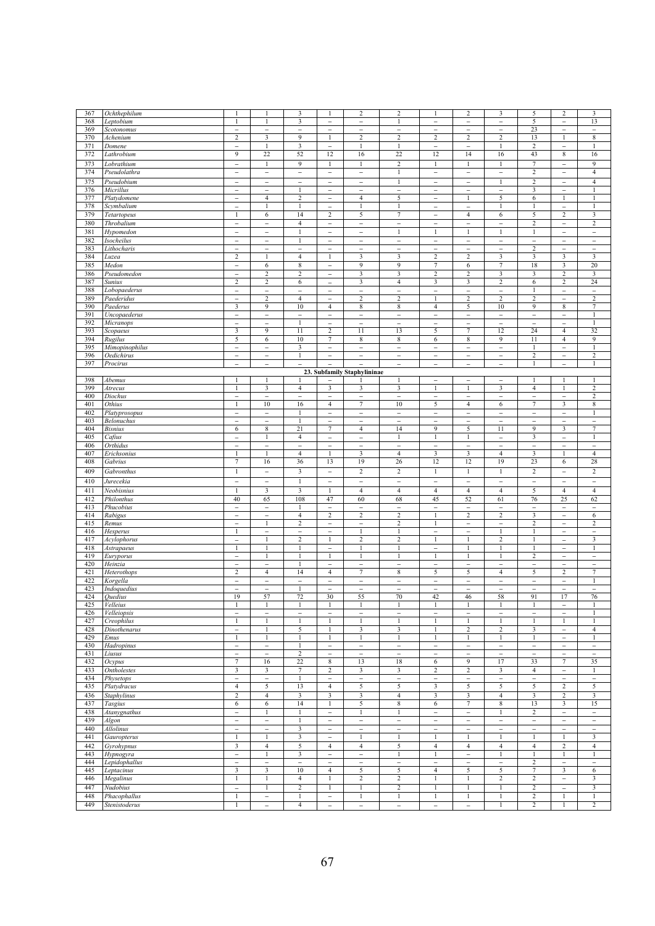| 367        | Ochthephilum     | $\mathbf{1}$             |                          | 3                        | $\mathbf{1}$             | $\overline{c}$              | $\,2$                    | $\mathbf{1}$             | $\overline{2}$           | $\overline{3}$           | 5                        | $\sqrt{2}$               | 3                        |
|------------|------------------|--------------------------|--------------------------|--------------------------|--------------------------|-----------------------------|--------------------------|--------------------------|--------------------------|--------------------------|--------------------------|--------------------------|--------------------------|
| 368        | Leptobium        | 1                        | 1                        | 3                        | $\overline{\phantom{a}}$ | $\overline{a}$              | $\mathbf{1}$             | $\overline{a}$           | $\overline{\phantom{0}}$ | $\overline{\phantom{0}}$ | 5                        | $\qquad \qquad -$        | 13                       |
| 369        | Scotonomus       | $\overline{\phantom{0}}$ | $\overline{\phantom{a}}$ | $\overline{\phantom{0}}$ | $\overline{\phantom{a}}$ | $\overline{a}$              | $\overline{a}$           | $\overline{a}$           | $\qquad \qquad -$        | $\overline{\phantom{0}}$ | 23                       | $\overline{a}$           | $\overline{\phantom{0}}$ |
| 370        | Achenium         | $\overline{\mathbf{c}}$  | 3                        | 9                        | $\mathbf{1}$             | $\overline{c}$              | $\overline{2}$           | $\overline{\mathbf{c}}$  | $\boldsymbol{2}$         | $\boldsymbol{2}$         | 13                       | $\mathbf{1}$             | 8                        |
| 371        | Domene           | $\overline{\phantom{0}}$ | $\mathbf{1}$             | 3                        | $\overline{\phantom{a}}$ | 1                           | $\mathbf{1}$             | $\overline{\phantom{0}}$ | $\overline{a}$           | 1                        | $\overline{c}$           | $\overline{\phantom{0}}$ | 1                        |
| 372        | Lathrobium       | 9                        | 22                       | 52                       | 12                       | 16                          | 22                       | 12                       | 14                       | 16                       | 43                       | $\,$ 8 $\,$              | 16                       |
| 373        | Lobrathium       | $\overline{\phantom{a}}$ | 1                        | 9                        | 1                        | 1                           | $\overline{\mathbf{c}}$  | $\mathbf{1}$             | 1                        | 1                        | 7                        | $\overline{\phantom{a}}$ | 9                        |
| 374        | Pseudolathra     | $\overline{\phantom{0}}$ | $\overline{\phantom{a}}$ | $\overline{\phantom{a}}$ | $\overline{\phantom{a}}$ | $\overline{\phantom{a}}$    | $\mathbf{1}$             | $\overline{\phantom{a}}$ | $\overline{\phantom{a}}$ | $\overline{\phantom{a}}$ | $\overline{c}$           | $\overline{\phantom{0}}$ | $\overline{4}$           |
| 375        | Pseudobium       | $\overline{a}$           | $\overline{\phantom{0}}$ | $\overline{\phantom{0}}$ | $\overline{\phantom{0}}$ |                             | $\mathbf{1}$             | $\overline{\phantom{0}}$ | $\overline{\phantom{0}}$ | 1                        | $\overline{c}$           | $\overline{\phantom{a}}$ | $\overline{4}$           |
| 376        | Micrillus        | $\qquad \qquad -$        | $\bar{ }$                | $\mathbf{1}$             | $\qquad \qquad -$        | $\overline{\phantom{0}}$    | $\overline{\phantom{0}}$ | $\qquad \qquad -$        | $\overline{\phantom{0}}$ | $\overline{\phantom{0}}$ | 3                        | $\overline{\phantom{0}}$ | 1                        |
| 377        | Platydomene      | $\overline{\phantom{a}}$ | $\overline{4}$           | $\overline{c}$           | $\overline{\phantom{a}}$ | $\overline{4}$              | 5                        | $\overline{\phantom{a}}$ | 1                        | 5                        | 6                        | $\mathbf{1}$             | 1                        |
| 378        | Scymbalium       | $\qquad \qquad -$        | 1                        | 1                        | $\qquad \qquad -$        | 1                           | $\mathbf{1}$             | $\qquad \qquad -$        | $\overline{a}$           | 1                        | $\mathbf{1}$             | $\overline{\phantom{a}}$ | $\mathbf{1}$             |
| 379        |                  | 1                        | 6                        | 14                       | 2                        | 5                           | 7                        | $\overline{\phantom{a}}$ | $\overline{4}$           | 6                        | 5                        | $\overline{2}$           | 3                        |
|            | Tetartopeus      |                          |                          |                          |                          |                             |                          |                          |                          |                          |                          |                          |                          |
| 380        | Throbalium       | $\overline{\phantom{a}}$ | $\overline{\phantom{0}}$ | $\overline{4}$           | $\overline{\phantom{0}}$ | $\overline{\phantom{0}}$    | $\bar{ }$                | $\overline{\phantom{a}}$ | $\overline{\phantom{0}}$ | $\overline{\phantom{0}}$ | 2                        | $\overline{\phantom{0}}$ | $\overline{c}$           |
| 381        | Hypomedon        | $\overline{\phantom{0}}$ | $\overline{\phantom{0}}$ | $\mathbf{1}$             | $\overline{\phantom{a}}$ | $\overline{\phantom{a}}$    | $\mathbf{1}$             | $\mathbf{1}$             | $\mathbf{1}$             | $\mathbf{1}$             | $\mathbf{1}$             | $\overline{\phantom{0}}$ | $\overline{\phantom{0}}$ |
| 382        | Isocheilus       | $\overline{\phantom{0}}$ | $\overline{\phantom{a}}$ |                          | $\overline{\phantom{a}}$ | $\overline{\phantom{a}}$    | $\overline{\phantom{0}}$ | $\overline{\phantom{a}}$ | $\overline{\phantom{a}}$ | $\overline{\phantom{a}}$ | $\overline{\phantom{0}}$ | $\overline{\phantom{a}}$ | $\overline{\phantom{0}}$ |
| 383        | Lithocharis      | -                        | $\overline{a}$           | $\overline{a}$           | $\overline{\phantom{0}}$ | $\overline{a}$              | $\overline{a}$           | $\overline{a}$           | $\overline{a}$           | $\overline{a}$           | $\overline{\mathbf{c}}$  | $\overline{\phantom{0}}$ | $\overline{a}$           |
| 384        | Luzea            | 2                        |                          | $\overline{4}$           | 1                        | 3                           | 3                        | $\overline{c}$           | $\overline{\mathbf{c}}$  | 3                        | 3                        | $\overline{\mathbf{3}}$  | 3                        |
| 385        | Medon            | $\overline{a}$           | 6                        | 8                        | $\overline{\phantom{0}}$ | 9                           | 9                        | 7                        | 6                        | 7                        | $18\,$                   | $\mathfrak{Z}$           | 20                       |
| 386        | Pseudomedon      | $\overline{\phantom{a}}$ | $\overline{2}$           | $\sqrt{2}$               | $\overline{\phantom{a}}$ | 3                           | $\overline{\mathbf{3}}$  | $\sqrt{2}$               | $\sqrt{2}$               | $\mathfrak{Z}$           | 3                        | $\overline{c}$           | $\overline{\mathbf{3}}$  |
| 387        | <b>Sunius</b>    | 2                        | $\overline{2}$           | 6                        | $\overline{\phantom{a}}$ | $\overline{\mathbf{3}}$     | $\overline{4}$           | $\overline{\mathbf{3}}$  | 3                        | $\overline{2}$           | 6                        | $\overline{c}$           | 24                       |
| 388        | Lobopaederus     | $\overline{\phantom{a}}$ | $\overline{\phantom{a}}$ | $\bar{\phantom{0}}$      | $\overline{\phantom{a}}$ | $\overline{\phantom{a}}$    | $\overline{\phantom{0}}$ | $\overline{\phantom{a}}$ | $\overline{\phantom{a}}$ | $\overline{\phantom{a}}$ | $\mathbf{1}$             | $\overline{\phantom{a}}$ | $\overline{\phantom{0}}$ |
| 389        | Paederidus       | -                        | $\overline{2}$           | $\overline{4}$           | $\overline{\phantom{0}}$ | $\overline{2}$              | $\overline{c}$           | $\mathbf{1}$             | $\overline{2}$           | $\overline{2}$           | 2                        | $\overline{\phantom{0}}$ | $\overline{c}$           |
| 390        | Paederus         | 3                        | $\overline{9}$           | 10                       | $\overline{4}$           | 8                           | $\,$ 8 $\,$              | $\overline{4}$           | 5                        | 10                       | 9                        | $\,$ 8 $\,$              | 7                        |
| 391        | Uncopaederus     | -                        | $\overline{\phantom{0}}$ | $\overline{a}$           | $\overline{\phantom{0}}$ | $\overline{\phantom{0}}$    | $\overline{\phantom{0}}$ | $\overline{a}$           | $\overline{\phantom{0}}$ | $\overline{a}$           | $\overline{\phantom{0}}$ | $\overline{\phantom{0}}$ | $\mathbf{1}$             |
| 392        | Micranops        | $\overline{\phantom{0}}$ | $\overline{\phantom{0}}$ | $\mathbf{1}$             | $\overline{\phantom{0}}$ | $\overline{\phantom{a}}$    | Ξ                        | $\overline{\phantom{0}}$ | $\overline{\phantom{a}}$ | $\overline{\phantom{0}}$ | $\overline{\phantom{0}}$ | $\overline{\phantom{0}}$ | 1                        |
| 393        | Scopaeus         | $\overline{\mathbf{3}}$  | 9                        | 11                       | $\sqrt{2}$               | 11                          | 13                       | 5                        | $\tau$                   | 12                       | 24                       | $\overline{4}$           | 32                       |
| 394        | Rugilus          | 5                        | 6                        | 10                       | 7                        | 8                           | 8                        | 6                        | 8                        | 9                        | 11                       | $\overline{4}$           | 9                        |
| 395        | Mimopinophilus   | $\overline{\phantom{0}}$ | $\overline{\phantom{a}}$ | 3                        | $\overline{\phantom{0}}$ | $\overline{\phantom{0}}$    | $\overline{\phantom{0}}$ | $\overline{\phantom{a}}$ | $\overline{\phantom{0}}$ | $\overline{\phantom{0}}$ | 1                        | $\overline{\phantom{0}}$ | 1                        |
| 396        | Oedichirus       | $\overline{\phantom{a}}$ | $\overline{\phantom{a}}$ | $\mathbf{1}$             | $\qquad \qquad -$        | $\overline{\phantom{0}}$    | $\overline{\phantom{a}}$ | $\overline{\phantom{a}}$ | $\overline{\phantom{a}}$ | $\overline{\phantom{a}}$ | 2                        | $\overline{\phantom{a}}$ | $\boldsymbol{2}$         |
| 397        | Procirus         | $\overline{a}$           | $\overline{a}$           |                          | $\overline{a}$           |                             | $\overline{\phantom{0}}$ | $\overline{\phantom{0}}$ | $\overline{\phantom{0}}$ | $\overline{a}$           | $\mathbf{1}$             | $\overline{\phantom{0}}$ | $\mathbf{1}$             |
|            |                  |                          |                          |                          |                          | 23. Subfamily Staphylininae |                          |                          |                          |                          |                          |                          |                          |
| 398        | Abemus           | 1                        | 1                        | 1                        | $\overline{\phantom{a}}$ |                             | $\mathbf{1}$             | $\overline{\phantom{0}}$ | $\overline{\phantom{0}}$ | $\overline{\phantom{a}}$ | 1                        | $\mathbf{1}$             | $\mathbf{1}$             |
| 399        | Atrecus          | $\mathbf{1}$             | $\mathbf{3}$             | $\overline{4}$           | 3                        | 3                           | $\overline{\mathbf{3}}$  | $\mathbf{1}$             | $\mathbf{1}$             | $\sqrt{3}$               | $\overline{4}$           | $\mathbf{1}$             | $\overline{c}$           |
| 400        | Diochus          | $\overline{\phantom{a}}$ | $\overline{\phantom{0}}$ | $\overline{\phantom{0}}$ | $\overline{\phantom{a}}$ | $\overline{\phantom{0}}$    | $\qquad \qquad -$        | $\overline{\phantom{a}}$ | $\overline{\phantom{0}}$ | $\overline{\phantom{0}}$ | $\overline{\phantom{0}}$ | $\overline{\phantom{0}}$ | $\overline{c}$           |
| 401        | Othius           | $\mathbf{1}$             | 10                       | 16                       | $\overline{4}$           | $\overline{7}$              | 10                       | 5                        | $\overline{4}$           | 6                        | 7                        | 3                        | 8                        |
| 402        | Platyprosopus    | $\overline{\phantom{a}}$ | $\overline{\phantom{m}}$ | $\mathbf{1}$             | $\overline{\phantom{a}}$ | $\overline{\phantom{a}}$    | $\overline{\phantom{0}}$ | $\overline{\phantom{a}}$ | $\overline{\phantom{0}}$ | $\overline{\phantom{a}}$ | $\overline{\phantom{0}}$ | $\overline{\phantom{a}}$ | $\mathbf{1}$             |
| 403        | Belonuchus       | -                        | $\overline{\phantom{0}}$ | $\mathbf{1}$             | $\overline{\phantom{0}}$ | $\overline{\phantom{0}}$    | $\overline{\phantom{0}}$ | $\overline{\phantom{0}}$ | $\overline{\phantom{0}}$ | $\overline{\phantom{0}}$ | $\overline{\phantom{0}}$ | $\overline{\phantom{0}}$ | $\overline{\phantom{0}}$ |
| 404        | <b>Bisnius</b>   | 6                        | $\,$ 8 $\,$              | 21                       | $\overline{7}$           | $\overline{4}$              | 14                       | 9                        | 5                        | 11                       | 9                        | $\overline{\mathbf{3}}$  | $\tau$                   |
| 405        | Cafius           | $\overline{\phantom{0}}$ | $\mathbf{1}$             | $\overline{4}$           | $\overline{\phantom{a}}$ | $\overline{\phantom{0}}$    | $\mathbf{1}$             | $\mathbf{1}$             | $\mathbf{1}$             | $\overline{\phantom{a}}$ | 3                        | $\qquad \qquad -$        | $\mathbf{1}$             |
| 406        | Orthidus         | $\overline{\phantom{a}}$ | $\overline{\phantom{a}}$ | $\overline{\phantom{a}}$ | $\overline{\phantom{0}}$ | $\overline{\phantom{a}}$    | $\overline{\phantom{0}}$ | $\overline{\phantom{a}}$ | $\overline{\phantom{a}}$ | $\overline{\phantom{a}}$ | $\overline{\phantom{0}}$ | $\overline{\phantom{a}}$ | $\overline{\phantom{0}}$ |
| 407        | Erichsonius      | $\mathbf{1}$             | $\mathbf{1}$             | $\overline{4}$           | $\mathbf{1}$             | $\mathfrak{Z}$              | $\overline{4}$           | $\overline{\mathbf{3}}$  | 3                        | $\overline{4}$           | 3                        | $\mathbf{1}$             | $\overline{4}$           |
| 408        | Gabrius          | $\tau$                   | 16                       | 36                       | 13                       | 19                          | 26                       | 12                       | 12                       | 19                       | 23                       | $\sqrt{6}$               | 28                       |
| 409        | Gabronthus       | $\mathbf{1}$             | $\overline{\phantom{a}}$ | 3                        | $\overline{a}$           | $\overline{c}$              | $\overline{c}$           | $\mathbf{1}$             | $\mathbf{1}$             | $\mathbf{1}$             | $\overline{c}$           | $\overline{\phantom{0}}$ | $\boldsymbol{2}$         |
|            |                  |                          |                          |                          |                          |                             |                          |                          |                          |                          |                          |                          |                          |
| 410        | Jurecekia        | $\overline{\phantom{a}}$ | $\overline{a}$           | $\mathbf{1}$             | $\overline{\phantom{a}}$ | $\overline{\phantom{a}}$    | Ξ                        | Ξ                        | $\overline{\phantom{0}}$ | $\overline{a}$           | Ξ                        | $\overline{\phantom{0}}$ | $\overline{\phantom{0}}$ |
| 411        | Neobisnius       | 1                        | 3                        | 3                        | $\mathbf{1}$             | 4                           | $\overline{4}$           | $\overline{4}$           | $\overline{4}$           | 4                        | 5                        | $\overline{4}$           | $\overline{4}$           |
| 412        | Philonthus       | 40                       | 65                       | 108                      | 47                       | 60                          | 68                       | 45                       | 52                       | 61                       | 76                       | 25                       | 62                       |
| 413        | Phucobius        | $\overline{\phantom{0}}$ | $\overline{\phantom{a}}$ | $\mathbf{1}$             | $\overline{\phantom{0}}$ | $\overline{\phantom{0}}$    | $\overline{\phantom{0}}$ | $\overline{\phantom{0}}$ | $\overline{a}$           | $\overline{\phantom{0}}$ | $\overline{\phantom{0}}$ | $\overline{\phantom{a}}$ | $\qquad \qquad -$        |
| 414        | Rabigus          | $\overline{\phantom{0}}$ | $\overline{\phantom{0}}$ | $\overline{4}$           | $\overline{c}$           | $\overline{c}$              | $\overline{c}$           | $\mathbf{1}$             | 2                        | $\overline{c}$           | $\overline{\mathbf{3}}$  | $\overline{\phantom{0}}$ | 6                        |
| 415        | Remus            | -                        | $\mathbf{1}$             | $\sqrt{2}$               | $\overline{\phantom{a}}$ | $\overline{a}$              | $\overline{2}$           | $\mathbf{1}$             | $\qquad \qquad -$        | $\overline{\phantom{0}}$ | $\overline{c}$           | $\qquad \qquad -$        | $\overline{c}$           |
| 416        | Hesperus         | 1                        | $\overline{\phantom{0}}$ | $\overline{\phantom{0}}$ | $\overline{\phantom{0}}$ | 1                           | $\mathbf{1}$             | $\overline{\phantom{0}}$ | $\overline{\phantom{0}}$ | 1                        | 1                        | $\overline{\phantom{0}}$ | $\overline{a}$           |
| 417        | Acylophorus      | $\overline{\phantom{0}}$ | $\overline{1}$           | $\,2$                    | $\mathbf{1}$             | $\overline{2}$              | $\overline{2}$           | $1\,$                    | $\mathbf{1}$             | $\overline{2}$           | $\mathbf{1}$             | $\overline{\phantom{0}}$ | $\overline{\mathbf{3}}$  |
| 418        | Astrapaeus       | $\mathbf{1}$             | $\mathbf{1}$             | $\mathbf{1}$             | $\overline{\phantom{a}}$ | 1                           | 1                        | $\overline{\phantom{a}}$ | 1                        | 1                        | $\mathbf{1}$             | $\overline{\phantom{a}}$ | 1                        |
| 419        | Euryporus        | $\qquad \qquad -$        | 1                        | $\mathbf{1}$             | $\mathbf{1}$             | 1                           | $\mathbf{1}$             | $\mathbf{1}$             | 1                        | $\mathbf{1}$             | 2                        | $\qquad \qquad -$        | $\overline{\phantom{0}}$ |
| 420        | Heinzia          | $\overline{\phantom{a}}$ | $\overline{\phantom{a}}$ | 1                        | $\overline{\phantom{a}}$ | $\overline{\phantom{a}}$    | $\overline{\phantom{0}}$ | $\overline{\phantom{a}}$ | $\overline{\phantom{a}}$ | $\overline{\phantom{a}}$ | $\overline{\phantom{a}}$ | $\overline{\phantom{a}}$ | $\overline{\phantom{0}}$ |
| 421        | Heterothops      | $\overline{2}$           | $\overline{4}$           | 14                       | $\overline{4}$           | $\overline{7}$              | $\,8\,$                  | 5                        | 5                        | $\overline{4}$           | 5                        | $\overline{c}$           | 7                        |
| 422        | Korgella         | $\overline{\phantom{a}}$ | $\overline{\phantom{0}}$ | $\overline{\phantom{a}}$ | $\overline{\phantom{a}}$ | $\overline{\phantom{a}}$    | $\overline{a}$           | $\overline{\phantom{a}}$ | $\overline{\phantom{a}}$ | $\overline{\phantom{a}}$ | $\overline{\phantom{0}}$ | $\overline{\phantom{a}}$ | $\mathbf{1}$             |
| 423        | Indoquedius      | $\overline{a}$           | $\overline{a}$           | $\mathbf{1}$             | $\overline{\phantom{0}}$ | $\overline{a}$              | $\overline{\phantom{0}}$ | $\overline{a}$           | $\overline{\phantom{0}}$ | $\overline{a}$           | $\overline{a}$           | $\overline{\phantom{0}}$ | $\overline{\phantom{0}}$ |
| 424        | Quedius          | 19                       | 57                       | 72                       | 30                       | 55                          | 70                       | 42                       | 46                       | 58                       | 91                       | 17                       | 76                       |
| 425        | Velleius         | 1                        | 1                        | -1                       | 1                        | 1                           | 1                        | 1                        | 1                        | $\mathbf{1}$             | 1                        | $\qquad \qquad -$        | 1                        |
| 426        | Velleiopsis      | $\overline{\phantom{a}}$ | $\qquad \qquad -$        | -                        | $\overline{\phantom{a}}$ | $\overline{\phantom{0}}$    | $\qquad \qquad -$        | $\overline{\phantom{a}}$ | $\overline{\phantom{a}}$ | -                        | -                        | $\overline{\phantom{a}}$ |                          |
| 427        | Creophilus       | $\mathbf{1}$             | $\mathbf{1}$             | $\mathbf{1}$             | 1                        | $\mathbf{1}$                | $\mathbf{1}$             | $\mathbf{1}$             | $\mathbf{1}$             | $\mathbf{1}$             | $\mathbf{1}$             | $\mathbf{1}$             | $\mathbf{1}$             |
| 428        | Dinothenarus     | $\overline{\phantom{a}}$ |                          | 5                        | $\mathbf{1}$             | 3                           | 3                        | $\mathbf{1}$             | $\sqrt{2}$               | $\overline{\mathbf{c}}$  | 3                        | $\overline{\phantom{a}}$ | 4                        |
| 429        | Emus             | 1                        | $\overline{1}$           | $\mathbf{1}$             | 1                        | $\mathbf{1}$                | $\mathbf{1}$             | $\mathbf{1}$             | $\mathbf{1}$             | $\mathbf{1}$             | $\mathbf{1}$             | $\overline{\phantom{a}}$ | $\mathbf{1}$             |
| 430        | Hadropinus       | $\overline{\phantom{a}}$ | $\qquad \qquad -$        | $\mathbf{1}$             | $\overline{\phantom{a}}$ | $\overline{\phantom{a}}$    | $\overline{\phantom{a}}$ | $\overline{\phantom{a}}$ | $\qquad \qquad -$        | $\overline{\phantom{a}}$ | $\overline{\phantom{a}}$ | $\overline{\phantom{a}}$ | $\overline{\phantom{0}}$ |
| 431        | Liusus           | $\overline{\phantom{0}}$ | $\overline{\phantom{0}}$ | 2                        | $\overline{\phantom{0}}$ | $\overline{a}$              | $\overline{a}$           | $\overline{\phantom{0}}$ | $\overline{\phantom{0}}$ | $\overline{\phantom{0}}$ | $\qquad \qquad -$        | $\overline{\phantom{0}}$ | $\overline{\phantom{0}}$ |
| 432        | Ocypus           | 7                        | 16                       | 22                       | 8                        | 13                          | 18                       | 6                        | 9                        | 17                       | 33                       | $\tau$                   | 35                       |
| 433        | Ontholestes      | 3                        | 3                        | 7                        | 2                        | 3                           | 3                        | 2                        | 2                        | 3                        | $\overline{4}$           | $\overline{\phantom{0}}$ | 1                        |
| 434        | Physetops        | $\overline{\phantom{0}}$ | $\overline{\phantom{0}}$ | $\mathbf{1}$             | $\overline{\phantom{0}}$ | $\overline{\phantom{0}}$    | $\overline{\phantom{a}}$ | $\overline{\phantom{a}}$ | $\qquad \qquad -$        | $\overline{\phantom{a}}$ | $\overline{\phantom{0}}$ | $\overline{\phantom{0}}$ | $\overline{\phantom{0}}$ |
| 435        | Platydracus      | 4                        | $\overline{5}$           | 13                       | $\overline{4}$           | 5                           | 5                        | $\overline{\mathbf{3}}$  | 5                        | 5                        | 5                        | $\overline{c}$           | 5                        |
| 436        | Staphylinus      | $\overline{\mathbf{c}}$  | $\overline{4}$           | 3                        | 3                        | 3                           | $\overline{4}$           | 3                        | 3                        | 4                        | 3                        | $\sqrt{2}$               | 3                        |
| 437        | Tasgius          | 6                        | 6                        | 14                       | $\mathbf{1}$             | 5                           | $\,$ 8 $\,$              | 6                        | $\tau$                   | $\,$ 8 $\,$              | 13                       | 3                        | 15                       |
| 438        | Atanygnathus     | $\overline{\phantom{0}}$ | $\mathbf{1}$             | $\mathbf{1}$             | $\overline{\phantom{a}}$ | $\mathbf{1}$                | $\mathbf{1}$             | $\overline{\phantom{a}}$ | $\qquad \qquad -$        | $\mathbf{1}$             | $\overline{c}$           | $\overline{\phantom{0}}$ | $\overline{\phantom{0}}$ |
| 439        | Algon            | $\overline{\phantom{0}}$ | $\overline{a}$           | 1                        | $\overline{\phantom{0}}$ | $\overline{\phantom{0}}$    | $\overline{a}$           | $\overline{\phantom{0}}$ | $\overline{\phantom{0}}$ | $\overline{\phantom{0}}$ | $\overline{\phantom{0}}$ | $\overline{\phantom{0}}$ | $\overline{\phantom{0}}$ |
| 440        | <b>Allolinus</b> | $\overline{\phantom{0}}$ | $\overline{\phantom{a}}$ | 3                        | $\overline{\phantom{a}}$ | $\overline{\phantom{a}}$    | $\overline{a}$           | $\overline{\phantom{0}}$ | $\overline{\phantom{0}}$ |                          | $\overline{\phantom{0}}$ | $\overline{\phantom{0}}$ | $\overline{\phantom{0}}$ |
| 441        | Gauropterus      | $\,1\,$                  | $\mathbf{1}$             | 3                        | $\overline{a}$           | $\mathbf{1}$                | $\mathbf{1}$             | $\,1$                    | $\mathbf{1}$             | $\mathbf{1}$             | $\,1$                    | $\mathbf{1}$             | 3                        |
| 442        | Gyrohypnus       | 3                        | $\overline{4}$           | 5                        | $\overline{4}$           | $\overline{4}$              | 5                        | $\overline{4}$           | $\overline{4}$           | $\overline{4}$           | $\overline{4}$           | $\boldsymbol{2}$         | $\overline{4}$           |
| 443        | Hypnogyra        | $\qquad \qquad -$        | 1                        | 3                        | $\overline{\phantom{a}}$ | $\overline{\phantom{a}}$    | $\mathbf{1}$             | $\mathbf{1}$             | $\qquad \qquad -$        | 1                        | $\mathbf{1}$             | $\mathbf{1}$             | $\mathbf{1}$             |
| 444        | Lepidophallus    | $\overline{\phantom{a}}$ | $\overline{\phantom{a}}$ | $\overline{\phantom{a}}$ | $\overline{\phantom{a}}$ | $\overline{\phantom{a}}$    | $\overline{\phantom{a}}$ | $\overline{\phantom{a}}$ | $\overline{\phantom{a}}$ | $\overline{\phantom{a}}$ | $\overline{\mathbf{c}}$  | $\overline{\phantom{a}}$ | $\overline{\phantom{a}}$ |
| 445        | Leptacinus       | 3                        | $\mathfrak{Z}$           | 10                       | $\overline{4}$           | 5                           | 5                        | $\overline{4}$           | 5                        | 5                        | 7                        | $\mathbf{3}$             | 6                        |
| 446        | Megalinus        | $\mathbf{1}$             | $\mathbf{1}$             | $\overline{4}$           | $\mathbf{1}$             | $\overline{c}$              | $\overline{c}$           | $\mathbf{1}$             | $\mathbf{1}$             | $\overline{2}$           | $\overline{c}$           | $\overline{\phantom{a}}$ | 3                        |
|            |                  |                          |                          |                          |                          |                             |                          |                          |                          |                          |                          |                          |                          |
| 447<br>448 | Nudobius         | $\overline{\phantom{a}}$ |                          | $\boldsymbol{2}$         | 1                        |                             | $\overline{c}$           | 1                        |                          |                          | 2                        | $\qquad \qquad -$        | 3                        |
|            | Phacophallus     | $\mathbf{1}$             | $\overline{\phantom{0}}$ | $\mathbf{1}$             | $\overline{\phantom{0}}$ | $\mathbf{1}$                | $\mathbf{1}$             | $\mathbf{1}$             | $\mathbf{1}$             | $\mathbf{1}$             | $\overline{\mathbf{c}}$  | $\mathbf{1}$             | $\mathbf{1}$             |
| 449        | Stenistoderus    | $\mathbf{1}$             | $\overline{\phantom{0}}$ | $\overline{4}$           | $\overline{\phantom{a}}$ | $\overline{\phantom{a}}$    | $\overline{\phantom{0}}$ | $\overline{\phantom{0}}$ | $\overline{\phantom{a}}$ | $\mathbf{1}$             | $\sqrt{2}$               | $\mathbf{1}$             | $\overline{2}$           |
|            |                  |                          |                          |                          |                          |                             |                          |                          |                          |                          |                          |                          |                          |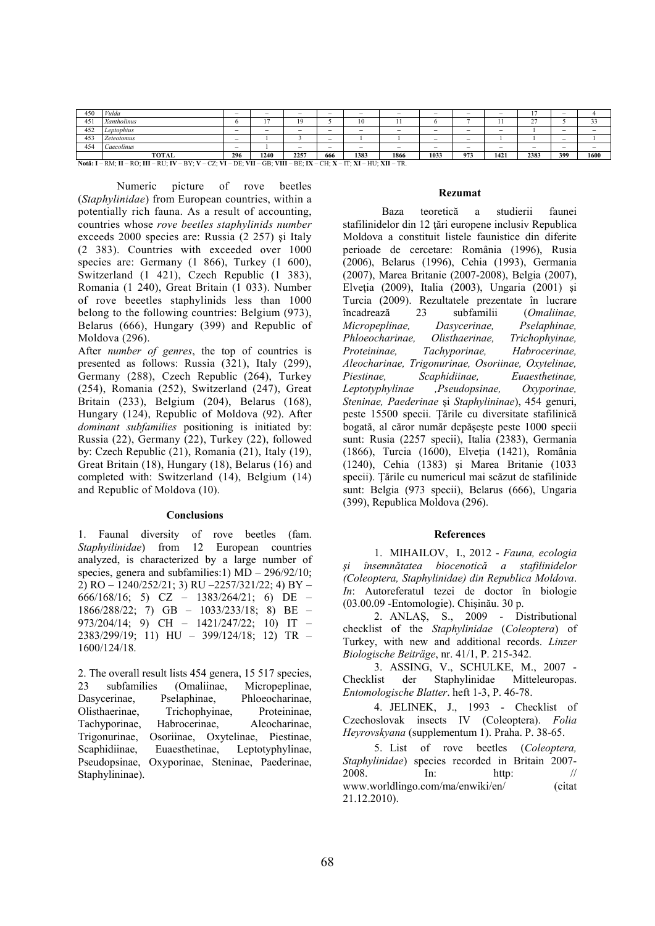| 450 | Vulda                                                                                                               | $\overline{\phantom{a}}$ | $\overline{\phantom{a}}$ |      | -                        | -    | -                        |      |                          |                          |                          | $\overline{\phantom{a}}$ |                          |
|-----|---------------------------------------------------------------------------------------------------------------------|--------------------------|--------------------------|------|--------------------------|------|--------------------------|------|--------------------------|--------------------------|--------------------------|--------------------------|--------------------------|
| 451 | Xantholinus                                                                                                         | n                        |                          | 19   |                          | 10   |                          |      |                          |                          | $\sim$<br>∼              |                          |                          |
| 452 | Leptophius                                                                                                          | $\overline{\phantom{0}}$ | $\overline{\phantom{a}}$ |      | $\overline{\phantom{a}}$ |      | $\overline{\phantom{a}}$ |      |                          | $\overline{\phantom{m}}$ |                          | $\hspace{0.05cm}$        | $\overline{\phantom{a}}$ |
| 453 | <b>Zeteotomus</b>                                                                                                   | $\overline{\phantom{a}}$ |                          |      | -                        |      |                          |      | $\overline{\phantom{a}}$ |                          |                          | $\overline{\phantom{a}}$ |                          |
| 454 | Caecolinus                                                                                                          | $\hspace{0.05cm}$        |                          |      | $\overline{\phantom{a}}$ |      | $\overline{\phantom{a}}$ |      |                          | $\overline{\phantom{m}}$ | $\overline{\phantom{m}}$ | $\overline{\phantom{a}}$ | $\overline{\phantom{a}}$ |
|     | TOTAL                                                                                                               | 296                      | 1240                     | 2257 | 666                      | 1383 | 1866                     | 1033 | 973                      | 1421                     | 2383                     | 399                      | 1600                     |
|     | Notă: I – RM; II – RO; III – RU; IV – BY; V – CZ; VI – DE; VII – GB; VIII – BE; IX – CH; X – IT; XI – HU; XII – TR. |                          |                          |      |                          |      |                          |      |                          |                          |                          |                          |                          |

Numeric picture of rove beetles (*Staphylinidae*) from European countries, within a potentially rich fauna. As a result of accounting, countries whose *rove beetles staphylinids number*  exceeds 2000 species are: Russia (2 257) şi Italy (2 383). Countries with exceeded over 1000 species are: Germany (1 866), Turkey (1 600), Switzerland (1 421), Czech Republic (1 383), Romania (1 240), Great Britain (1 033). Number of rove beeetles staphylinids less than 1000 belong to the following countries: Belgium (973), Belarus (666), Hungary (399) and Republic of Moldova (296).

After *number of genres*, the top of countries is presented as follows: Russia (321), Italy (299), Germany (288), Czech Republic (264), Turkey (254), Romania (252), Switzerland (247), Great Britain (233), Belgium (204), Belarus (168), Hungary (124), Republic of Moldova (92). After *dominant subfamilies* positioning is initiated by: Russia (22), Germany (22), Turkey (22), followed by: Czech Republic (21), Romania (21), Italy (19), Great Britain (18), Hungary (18), Belarus (16) and completed with: Switzerland (14), Belgium (14) and Republic of Moldova (10).

#### **Conclusions**

1. Faunal diversity of rove beetles (fam. *Staphyilinidae*) from 12 European countries analyzed, is characterized by a large number of species, genera and subfamilies:1) MD – 296/92/10; 2) RO – 1240/252/21; 3) RU –2257/321/22; 4) BY – 666/168/16; 5) CZ – 1383/264/21; 6) DE – 1866/288/22; 7) GB – 1033/233/18; 8) BE – 973/204/14; 9) CH – 1421/247/22; 10) IT – 2383/299/19; 11) HU – 399/124/18; 12) TR – 1600/124/18.

2. The overall result lists 454 genera, 15 517 species, 23 subfamilies (Omaliinae, Micropeplinae, Dasycerinae, Pselaphinae, Phloeocharinae, Olisthaerinae, Trichophyinae, Proteininae, Tachyporinae, Habrocerinae, Aleocharinae, Trigonurinae, Osoriinae, Oxytelinae, Piestinae, Scaphidiinae, Euaesthetinae, Leptotyphylinae, Pseudopsinae, Oxyporinae, Steninae, Paederinae, Staphylininae).

#### **Rezumat**

 Baza teoretică a studierii faunei stafilinidelor din 12 ţări europene inclusiv Republica Moldova a constituit listele faunistice din diferite perioade de cercetare: România (1996), Rusia (2006), Belarus (1996), Cehia (1993), Germania (2007), Marea Britanie (2007-2008), Belgia (2007), Elvetia (2009), Italia (2003), Ungaria (2001) și Turcia (2009). Rezultatele prezentate în lucrare încadrează 23 subfamilii (*Omaliinae, Micropeplinae, Dasycerinae, Pselaphinae, Phloeocharinae, Olisthaerinae, Trichophyinae, Proteininae, Tachyporinae, Habrocerinae, Aleocharinae, Trigonurinae, Osoriinae, Oxytelinae, Piestinae, Scaphidiinae, Euaesthetinae, Leptotyphylinae ,Pseudopsinae, Oxyporinae, Steninae, Paederinae* şi *Staphylininae*), 454 genuri, peste 15500 specii. Ţările cu diversitate stafilinică bogată, al căror număr depăşeşte peste 1000 specii sunt: Rusia (2257 specii), Italia (2383), Germania (1866), Turcia (1600), Elveţia (1421), România (1240), Cehia (1383) şi Marea Britanie (1033 specii). Ţările cu numericul mai scăzut de stafilinide sunt: Belgia (973 specii), Belarus (666), Ungaria (399), Republica Moldova (296).

## **References**

1. MIHAILOV, I., 2012 - *Fauna, ecologia şi însemnătatea biocenotică a stafilinidelor (Coleoptera, Staphylinidae) din Republica Moldova*. *In*: Autoreferatul tezei de doctor în biologie (03.00.09 -Entomologie). Chişinău. 30 p.

2. ANLAŞ, S., 2009 - Distributional checklist of the *Staphylinidae* (*Coleoptera*) of Turkey, with new and additional records. *Linzer Biologische Beiträge*, nr. 41/1, P. 215-342.

3. ASSING, V., SCHULKE, M., 2007 - Checklist der Staphylinidae Mitteleuropas. *Entomologische Blatter*. heft 1-3, P. 46-78.

4. JELINEK, J., 1993 - Checklist of Czechoslovak insects IV (Coleoptera). *Folia Heyrovskyana* (supplementum 1). Praha. P. 38-65.

5. List of rove beetles (*Coleoptera, Staphylinidae*) species recorded in Britain 2007- 2008. In: http: // www.worldlingo.com/ma/enwiki/en/ (citat 21.12.2010).